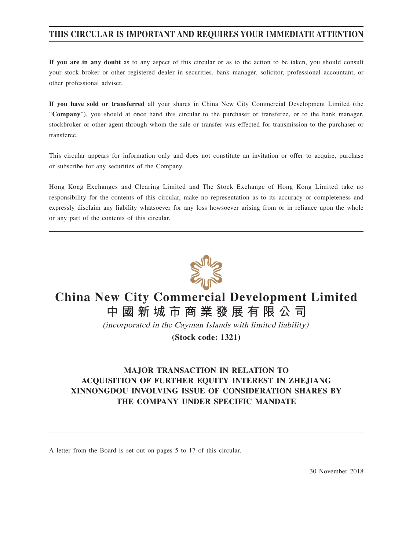# **THIS CIRCULAR IS IMPORTANT AND REQUIRES YOUR IMMEDIATE ATTENTION**

**If you are in any doubt** as to any aspect of this circular or as to the action to be taken, you should consult your stock broker or other registered dealer in securities, bank manager, solicitor, professional accountant, or other professional adviser.

**If you have sold or transferred** all your shares in China New City Commercial Development Limited (the "**Company**"), you should at once hand this circular to the purchaser or transferee, or to the bank manager, stockbroker or other agent through whom the sale or transfer was effected for transmission to the purchaser or transferee.

This circular appears for information only and does not constitute an invitation or offer to acquire, purchase or subscribe for any securities of the Company.

Hong Kong Exchanges and Clearing Limited and The Stock Exchange of Hong Kong Limited take no responsibility for the contents of this circular, make no representation as to its accuracy or completeness and expressly disclaim any liability whatsoever for any loss howsoever arising from or in reliance upon the whole or any part of the contents of this circular.



# **China New City Commercial Development Limited 中國新城市商業發展有限公司**

(incorporated in the Cayman Islands with limited liability)

**(Stock code: 1321)**

# **MAJOR TRANSACTION IN RELATION TO ACQUISITION OF FURTHER EQUITY INTEREST IN ZHEJIANG XINNONGDOU INVOLVING ISSUE OF CONSIDERATION SHARES BY THE COMPANY UNDER SPECIFIC MANDATE**

A letter from the Board is set out on pages 5 to 17 of this circular.

30 November 2018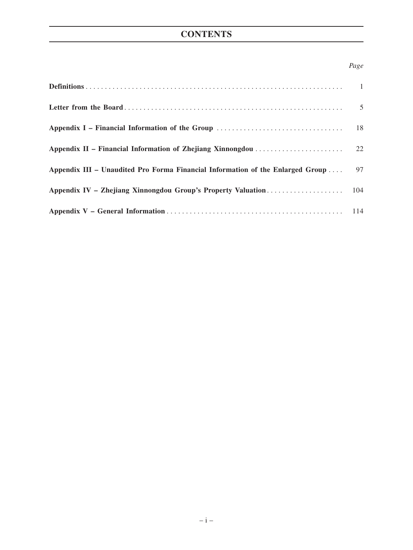# **CONTENTS**

### *Page*

| Appendix III – Unaudited Pro Forma Financial Information of the Enlarged Group  97 |  |
|------------------------------------------------------------------------------------|--|
|                                                                                    |  |
|                                                                                    |  |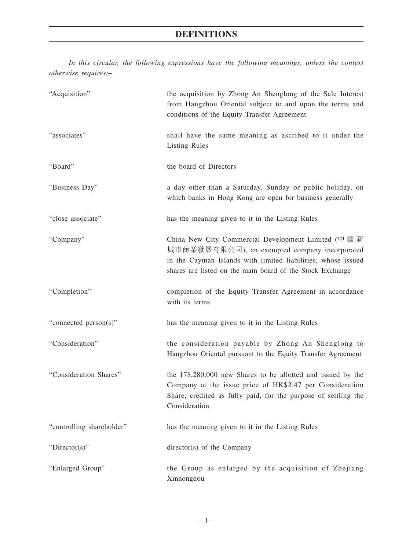# **DEFINITIONS**

*In this circular, the following expressions have the following meanings, unless the context otherwise requires:–*

| "Acquisition"             | the acquisition by Zhong An Shenglong of the Sale Interest<br>from Hangzhou Oriental subject to and upon the terms and<br>conditions of the Equity Transfer Agreement                                                            |
|---------------------------|----------------------------------------------------------------------------------------------------------------------------------------------------------------------------------------------------------------------------------|
| "associates"              | shall have the same meaning as ascribed to it under the<br><b>Listing Rules</b>                                                                                                                                                  |
| "Board"                   | the board of Directors                                                                                                                                                                                                           |
| "Business Day"            | a day other than a Saturday, Sunday or public holiday, on<br>which banks in Hong Kong are open for business generally                                                                                                            |
| "close associate"         | has the meaning given to it in the Listing Rules                                                                                                                                                                                 |
| "Company"                 | China New City Commercial Development Limited (中國新<br>城市商業發展有限公司), an exempted company incorporated<br>in the Cayman Islands with limited liabilities, whose issued<br>shares are listed on the main board of the Stock Exchange |
| "Completion"              | completion of the Equity Transfer Agreement in accordance<br>with its terms                                                                                                                                                      |
| "connected person(s)"     | has the meaning given to it in the Listing Rules                                                                                                                                                                                 |
| "Consideration"           | the consideration payable by Zhong An Shenglong to<br>Hangzhou Oriental pursuant to the Equity Transfer Agreement                                                                                                                |
| "Consideration Shares"    | the 178,280,000 new Shares to be allotted and issued by the<br>Company at the issue price of HK\$2.47 per Consideration<br>Share, credited as fully paid, for the purpose of settling the<br>Consideration                       |
| "controlling shareholder" | has the meaning given to it in the Listing Rules                                                                                                                                                                                 |
| "Director(s)"             | director(s) of the Company                                                                                                                                                                                                       |
| "Enlarged Group"          | the Group as enlarged by the acquisition of Zhejiang<br>Xinnongdou                                                                                                                                                               |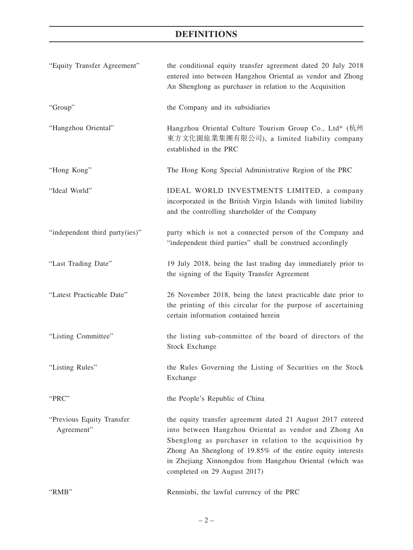# **DEFINITIONS**

| "Equity Transfer Agreement"             | the conditional equity transfer agreement dated 20 July 2018<br>entered into between Hangzhou Oriental as vendor and Zhong<br>An Shenglong as purchaser in relation to the Acquisition                                                                                                                                                     |
|-----------------------------------------|--------------------------------------------------------------------------------------------------------------------------------------------------------------------------------------------------------------------------------------------------------------------------------------------------------------------------------------------|
| "Group"                                 | the Company and its subsidiaries                                                                                                                                                                                                                                                                                                           |
| "Hangzhou Oriental"                     | Hangzhou Oriental Culture Tourism Group Co., Ltd* (杭州<br>東方文化園旅業集團有限公司), a limited liability company<br>established in the PRC                                                                                                                                                                                                             |
| "Hong Kong"                             | The Hong Kong Special Administrative Region of the PRC                                                                                                                                                                                                                                                                                     |
| "Ideal World"                           | IDEAL WORLD INVESTMENTS LIMITED, a company<br>incorporated in the British Virgin Islands with limited liability<br>and the controlling shareholder of the Company                                                                                                                                                                          |
| "independent third party(ies)"          | party which is not a connected person of the Company and<br>"independent third parties" shall be construed accordingly                                                                                                                                                                                                                     |
| "Last Trading Date"                     | 19 July 2018, being the last trading day immediately prior to<br>the signing of the Equity Transfer Agreement                                                                                                                                                                                                                              |
| "Latest Practicable Date"               | 26 November 2018, being the latest practicable date prior to<br>the printing of this circular for the purpose of ascertaining<br>certain information contained herein                                                                                                                                                                      |
| "Listing Committee"                     | the listing sub-committee of the board of directors of the<br>Stock Exchange                                                                                                                                                                                                                                                               |
| "Listing Rules"                         | the Rules Governing the Listing of Securities on the Stock<br>Exchange                                                                                                                                                                                                                                                                     |
| "PRC"                                   | the People's Republic of China                                                                                                                                                                                                                                                                                                             |
| "Previous Equity Transfer<br>Agreement" | the equity transfer agreement dated 21 August 2017 entered<br>into between Hangzhou Oriental as vendor and Zhong An<br>Shenglong as purchaser in relation to the acquisition by<br>Zhong An Shenglong of 19.85% of the entire equity interests<br>in Zhejiang Xinnongdou from Hangzhou Oriental (which was<br>completed on 29 August 2017) |
| "RMB"                                   | Renminbi, the lawful currency of the PRC                                                                                                                                                                                                                                                                                                   |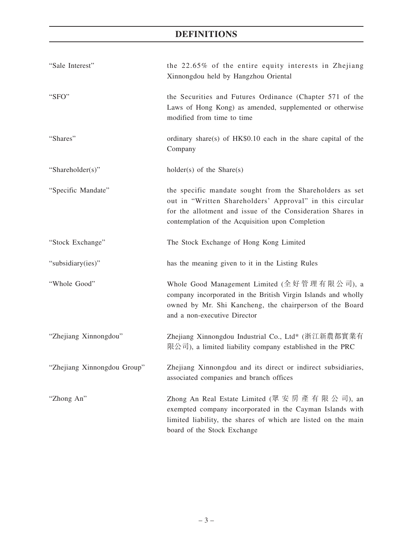# **DEFINITIONS**

| "Sale Interest"             | the 22.65% of the entire equity interests in Zhejiang<br>Xinnongdou held by Hangzhou Oriental                                                                                                                                          |
|-----------------------------|----------------------------------------------------------------------------------------------------------------------------------------------------------------------------------------------------------------------------------------|
| "SFO"                       | the Securities and Futures Ordinance (Chapter 571 of the<br>Laws of Hong Kong) as amended, supplemented or otherwise<br>modified from time to time                                                                                     |
| "Shares"                    | ordinary share(s) of $HK$0.10$ each in the share capital of the<br>Company                                                                                                                                                             |
| "Shareholder(s)"            | $holder(s)$ of the Share $(s)$                                                                                                                                                                                                         |
| "Specific Mandate"          | the specific mandate sought from the Shareholders as set<br>out in "Written Shareholders' Approval" in this circular<br>for the allotment and issue of the Consideration Shares in<br>contemplation of the Acquisition upon Completion |
| "Stock Exchange"            | The Stock Exchange of Hong Kong Limited                                                                                                                                                                                                |
| "subsidiary(ies)"           | has the meaning given to it in the Listing Rules                                                                                                                                                                                       |
| "Whole Good"                | Whole Good Management Limited (全好管理有限公司), a<br>company incorporated in the British Virgin Islands and wholly<br>owned by Mr. Shi Kancheng, the chairperson of the Board<br>and a non-executive Director                                |
| "Zhejiang Xinnongdou"       | Zhejiang Xinnongdou Industrial Co., Ltd* (浙江新農都實業有<br>限公司), a limited liability company established in the PRC                                                                                                                         |
| "Zhejiang Xinnongdou Group" | Zhejiang Xinnongdou and its direct or indirect subsidiaries,<br>associated companies and branch offices                                                                                                                                |
| "Zhong An"                  | Zhong An Real Estate Limited (眾 安 房 產 有 限 公 司), an<br>exempted company incorporated in the Cayman Islands with<br>limited liability, the shares of which are listed on the main<br>board of the Stock Exchange                         |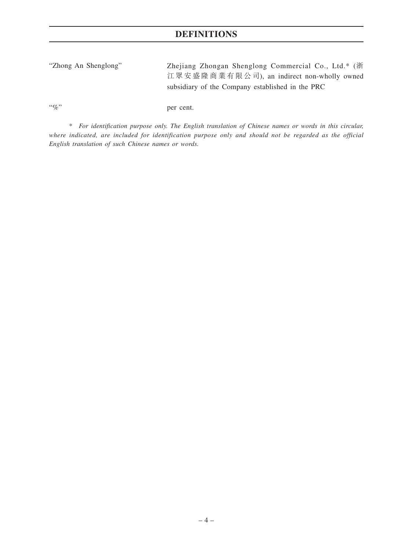"Zhong An Shenglong" Zhejiang Zhongan Shenglong Commercial Co., Ltd.\* (浙 江眾安盛隆商業有限公司), an indirect non-wholly owned subsidiary of the Company established in the PRC

"%" per cent.

*\* For identification purpose only. The English translation of Chinese names or words in this circular, where indicated, are included for identification purpose only and should not be regarded as the official English translation of such Chinese names or words.*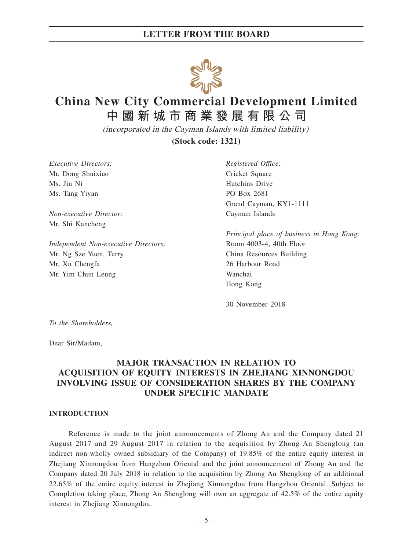

# **China New City Commercial Development Limited**

**中國新城市商業發展有限公司**

(incorporated in the Cayman Islands with limited liability)

**(Stock code: 1321)**

*Executive Directors: Registered Office:* Mr. Dong Shuixiao Cricket Square Ms. Jin Ni Hutchins Drive Ms. Tang Yiyan PO Box 2681

*Non-executive Director:* Cayman Islands Mr. Shi Kancheng

*Independent Non-executive Directors:* Room 4003-4, 40th Floor Mr. Ng Sze Yuen, Terry China Resources Building Mr. Xu Chengfa 26 Harbour Road Mr. Yim Chun Leung Wanchai

Grand Cayman, KY1-1111

*Principal place of business in Hong Kong:* Hong Kong

30 November 2018

*To the Shareholders,*

Dear Sir/Madam,

# **MAJOR TRANSACTION IN RELATION TO ACQUISITION OF EQUITY INTERESTS IN ZHEJIANG XINNONGDOU INVOLVING ISSUE OF CONSIDERATION SHARES BY THE COMPANY UNDER SPECIFIC MANDATE**

#### **INTRODUCTION**

Reference is made to the joint announcements of Zhong An and the Company dated 21 August 2017 and 29 August 2017 in relation to the acquisition by Zhong An Shenglong (an indirect non-wholly owned subsidiary of the Company) of 19.85% of the entire equity interest in Zhejiang Xinnongdou from Hangzhou Oriental and the joint announcement of Zhong An and the Company dated 20 July 2018 in relation to the acquisition by Zhong An Shenglong of an additional 22.65% of the entire equity interest in Zhejiang Xinnongdou from Hangzhou Oriental. Subject to Completion taking place, Zhong An Shenglong will own an aggregate of 42.5% of the entire equity interest in Zhejiang Xinnongdou.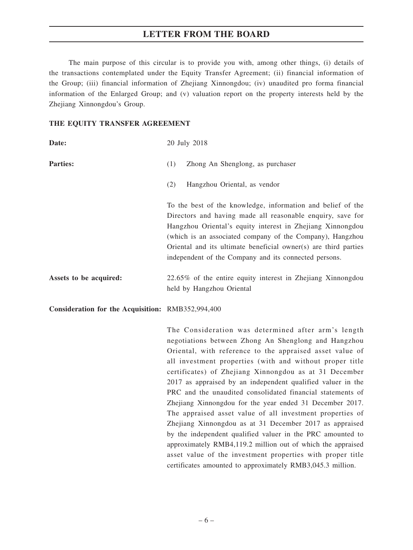The main purpose of this circular is to provide you with, among other things, (i) details of the transactions contemplated under the Equity Transfer Agreement; (ii) financial information of the Group; (iii) financial information of Zhejiang Xinnongdou; (iv) unaudited pro forma financial information of the Enlarged Group; and (v) valuation report on the property interests held by the Zhejiang Xinnongdou's Group.

#### **THE EQUITY TRANSFER AGREEMENT**

| Date:                                             | 20 July 2018                                                                                                                                                                                                                                                                                                                                                                     |
|---------------------------------------------------|----------------------------------------------------------------------------------------------------------------------------------------------------------------------------------------------------------------------------------------------------------------------------------------------------------------------------------------------------------------------------------|
| <b>Parties:</b>                                   | Zhong An Shenglong, as purchaser<br>(1)                                                                                                                                                                                                                                                                                                                                          |
|                                                   | Hangzhou Oriental, as vendor<br>(2)                                                                                                                                                                                                                                                                                                                                              |
|                                                   | To the best of the knowledge, information and belief of the<br>Directors and having made all reasonable enquiry, save for<br>Hangzhou Oriental's equity interest in Zhejiang Xinnongdou<br>(which is an associated company of the Company), Hangzhou<br>Oriental and its ultimate beneficial owner(s) are third parties<br>independent of the Company and its connected persons. |
| Assets to be acquired:                            | 22.65% of the entire equity interest in Zhejiang Xinnongdou<br>held by Hangzhou Oriental                                                                                                                                                                                                                                                                                         |
| Consideration for the Acquisition: RMB352,994,400 |                                                                                                                                                                                                                                                                                                                                                                                  |
|                                                   | The Consideration was determined after arm's length<br>negotiations between Zhong An Shenglong and Hangzhou<br>$\bigcap_{i=1}^{n}$ and $i=1,\ldots,n$ and $\bigcap_{i=1}^{n}$ are $i=1,\ldots,n$ . The contract of $i=1,\ldots,n$                                                                                                                                                |

Oriental, with reference to the appraised asset value of all investment properties (with and without proper title certificates) of Zhejiang Xinnongdou as at 31 December 2017 as appraised by an independent qualified valuer in the PRC and the unaudited consolidated financial statements of Zhejiang Xinnongdou for the year ended 31 December 2017. The appraised asset value of all investment properties of Zhejiang Xinnongdou as at 31 December 2017 as appraised by the independent qualified valuer in the PRC amounted to approximately RMB4,119.2 million out of which the appraised asset value of the investment properties with proper title certificates amounted to approximately RMB3,045.3 million.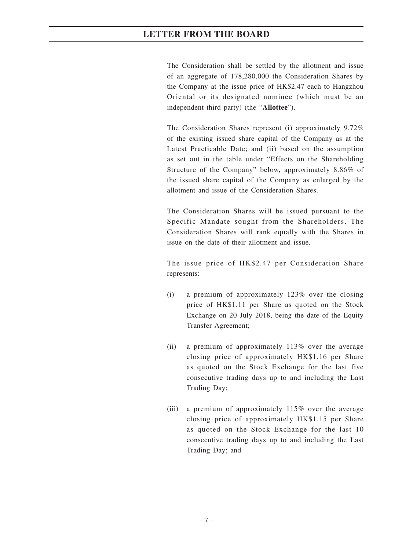The Consideration shall be settled by the allotment and issue of an aggregate of 178,280,000 the Consideration Shares by the Company at the issue price of HK\$2.47 each to Hangzhou Oriental or its designated nominee (which must be an independent third party) (the "**Allottee**").

The Consideration Shares represent (i) approximately 9.72% of the existing issued share capital of the Company as at the Latest Practicable Date; and (ii) based on the assumption as set out in the table under "Effects on the Shareholding Structure of the Company" below, approximately 8.86% of the issued share capital of the Company as enlarged by the allotment and issue of the Consideration Shares.

The Consideration Shares will be issued pursuant to the Specific Mandate sought from the Shareholders. The Consideration Shares will rank equally with the Shares in issue on the date of their allotment and issue.

The issue price of HK\$2.47 per Consideration Share represents:

- (i) a premium of approximately 123% over the closing price of HK\$1.11 per Share as quoted on the Stock Exchange on 20 July 2018, being the date of the Equity Transfer Agreement;
- (ii) a premium of approximately 113% over the average closing price of approximately HK\$1.16 per Share as quoted on the Stock Exchange for the last five consecutive trading days up to and including the Last Trading Day;
- (iii) a premium of approximately 115% over the average closing price of approximately HK\$1.15 per Share as quoted on the Stock Exchange for the last 10 consecutive trading days up to and including the Last Trading Day; and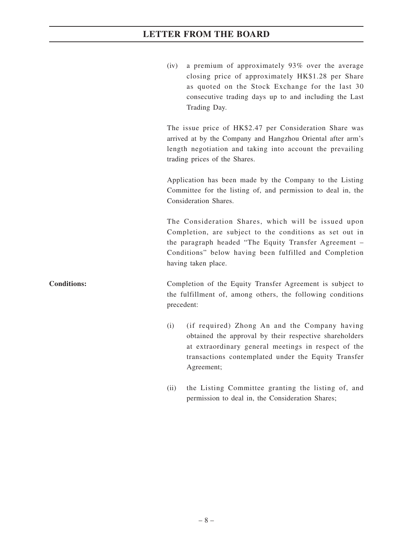(iv) a premium of approximately 93% over the average closing price of approximately HK\$1.28 per Share as quoted on the Stock Exchange for the last 30 consecutive trading days up to and including the Last Trading Day.

The issue price of HK\$2.47 per Consideration Share was arrived at by the Company and Hangzhou Oriental after arm's length negotiation and taking into account the prevailing trading prices of the Shares.

Application has been made by the Company to the Listing Committee for the listing of, and permission to deal in, the Consideration Shares.

The Consideration Shares, which will be issued upon Completion, are subject to the conditions as set out in the paragraph headed "The Equity Transfer Agreement – Conditions" below having been fulfilled and Completion having taken place.

**Conditions:** Completion of the Equity Transfer Agreement is subject to the fulfillment of, among others, the following conditions precedent:

- (i) (if required) Zhong An and the Company having obtained the approval by their respective shareholders at extraordinary general meetings in respect of the transactions contemplated under the Equity Transfer Agreement;
- (ii) the Listing Committee granting the listing of, and permission to deal in, the Consideration Shares;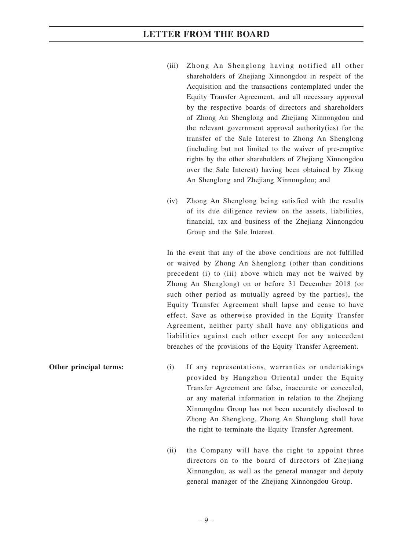- (iii) Zhong An Shenglong having notified all other shareholders of Zhejiang Xinnongdou in respect of the Acquisition and the transactions contemplated under the Equity Transfer Agreement, and all necessary approval by the respective boards of directors and shareholders of Zhong An Shenglong and Zhejiang Xinnongdou and the relevant government approval authority(ies) for the transfer of the Sale Interest to Zhong An Shenglong (including but not limited to the waiver of pre-emptive rights by the other shareholders of Zhejiang Xinnongdou over the Sale Interest) having been obtained by Zhong An Shenglong and Zhejiang Xinnongdou; and
- (iv) Zhong An Shenglong being satisfied with the results of its due diligence review on the assets, liabilities, financial, tax and business of the Zhejiang Xinnongdou Group and the Sale Interest.

In the event that any of the above conditions are not fulfilled or waived by Zhong An Shenglong (other than conditions precedent (i) to (iii) above which may not be waived by Zhong An Shenglong) on or before 31 December 2018 (or such other period as mutually agreed by the parties), the Equity Transfer Agreement shall lapse and cease to have effect. Save as otherwise provided in the Equity Transfer Agreement, neither party shall have any obligations and liabilities against each other except for any antecedent breaches of the provisions of the Equity Transfer Agreement.

- **Other principal terms:** (i) If any representations, warranties or undertakings provided by Hangzhou Oriental under the Equity Transfer Agreement are false, inaccurate or concealed, or any material information in relation to the Zhejiang Xinnongdou Group has not been accurately disclosed to Zhong An Shenglong, Zhong An Shenglong shall have the right to terminate the Equity Transfer Agreement.
	- (ii) the Company will have the right to appoint three directors on to the board of directors of Zhejiang Xinnongdou, as well as the general manager and deputy general manager of the Zhejiang Xinnongdou Group.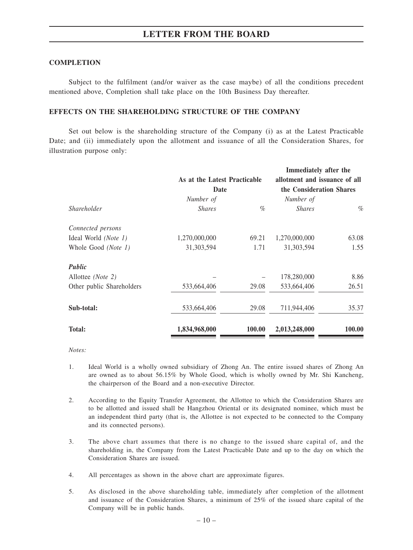#### **COMPLETION**

Subject to the fulfilment (and/or waiver as the case maybe) of all the conditions precedent mentioned above, Completion shall take place on the 10th Business Day thereafter.

#### **EFFECTS ON THE SHAREHOLDING STRUCTURE OF THE COMPANY**

Set out below is the shareholding structure of the Company (i) as at the Latest Practicable Date; and (ii) immediately upon the allotment and issuance of all the Consideration Shares, for illustration purpose only:

|                           |                              |                               | Immediately after the    |               |  |
|---------------------------|------------------------------|-------------------------------|--------------------------|---------------|--|
|                           | As at the Latest Practicable | allotment and issuance of all |                          |               |  |
|                           | Date                         |                               | the Consideration Shares |               |  |
|                           | Number of                    | Number of                     |                          |               |  |
| Shareholder               | <b>Shares</b>                | $\%$                          | <b>Shares</b>            | $\%$          |  |
| Connected persons         |                              |                               |                          |               |  |
| Ideal World (Note 1)      | 1,270,000,000                | 69.21                         | 1,270,000,000            | 63.08         |  |
| Whole Good (Note 1)       | 31,303,594                   | 1.71                          | 31, 303, 594             | 1.55          |  |
| Public                    |                              |                               |                          |               |  |
| Allottee ( <i>Note</i> 2) |                              |                               | 178,280,000              | 8.86          |  |
| Other public Shareholders | 533,664,406                  | 29.08                         | 533,664,406              | 26.51         |  |
| Sub-total:                | 533,664,406                  | 29.08                         | 711,944,406              | 35.37         |  |
| <b>Total:</b>             | 1,834,968,000                | 100.00                        | 2,013,248,000            | <b>100.00</b> |  |

*Notes:*

- 1. Ideal World is a wholly owned subsidiary of Zhong An. The entire issued shares of Zhong An are owned as to about 56.15% by Whole Good, which is wholly owned by Mr. Shi Kancheng, the chairperson of the Board and a non-executive Director.
- 2. According to the Equity Transfer Agreement, the Allottee to which the Consideration Shares are to be allotted and issued shall be Hangzhou Oriental or its designated nominee, which must be an independent third party (that is, the Allottee is not expected to be connected to the Company and its connected persons).
- 3. The above chart assumes that there is no change to the issued share capital of, and the shareholding in, the Company from the Latest Practicable Date and up to the day on which the Consideration Shares are issued.
- 4. All percentages as shown in the above chart are approximate figures.
- 5. As disclosed in the above shareholding table, immediately after completion of the allotment and issuance of the Consideration Shares, a minimum of 25% of the issued share capital of the Company will be in public hands.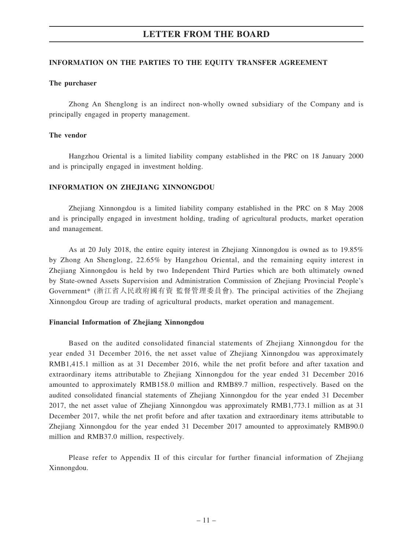#### **INFORMATION ON THE PARTIES TO THE EQUITY TRANSFER AGREEMENT**

#### **The purchaser**

Zhong An Shenglong is an indirect non-wholly owned subsidiary of the Company and is principally engaged in property management.

#### **The vendor**

Hangzhou Oriental is a limited liability company established in the PRC on 18 January 2000 and is principally engaged in investment holding.

#### **INFORMATION ON ZHEJIANG XINNONGDOU**

Zhejiang Xinnongdou is a limited liability company established in the PRC on 8 May 2008 and is principally engaged in investment holding, trading of agricultural products, market operation and management.

As at 20 July 2018, the entire equity interest in Zhejiang Xinnongdou is owned as to 19.85% by Zhong An Shenglong, 22.65% by Hangzhou Oriental, and the remaining equity interest in Zhejiang Xinnongdou is held by two Independent Third Parties which are both ultimately owned by State-owned Assets Supervision and Administration Commission of Zhejiang Provincial People's Government\* (浙江省人民政府國有資 監督管理委員會). The principal activities of the Zhejiang Xinnongdou Group are trading of agricultural products, market operation and management.

#### **Financial Information of Zhejiang Xinnongdou**

Based on the audited consolidated financial statements of Zhejiang Xinnongdou for the year ended 31 December 2016, the net asset value of Zhejiang Xinnongdou was approximately RMB1,415.1 million as at 31 December 2016, while the net profit before and after taxation and extraordinary items attributable to Zhejiang Xinnongdou for the year ended 31 December 2016 amounted to approximately RMB158.0 million and RMB89.7 million, respectively. Based on the audited consolidated financial statements of Zhejiang Xinnongdou for the year ended 31 December 2017, the net asset value of Zhejiang Xinnongdou was approximately RMB1,773.1 million as at 31 December 2017, while the net profit before and after taxation and extraordinary items attributable to Zhejiang Xinnongdou for the year ended 31 December 2017 amounted to approximately RMB90.0 million and RMB37.0 million, respectively.

Please refer to Appendix II of this circular for further financial information of Zhejiang Xinnongdou.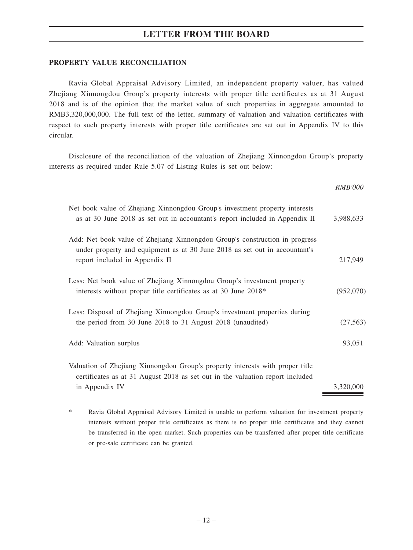#### **PROPERTY VALUE RECONCILIATION**

Ravia Global Appraisal Advisory Limited, an independent property valuer, has valued Zhejiang Xinnongdou Group's property interests with proper title certificates as at 31 August 2018 and is of the opinion that the market value of such properties in aggregate amounted to RMB3,320,000,000. The full text of the letter, summary of valuation and valuation certificates with respect to such property interests with proper title certificates are set out in Appendix IV to this circular.

Disclosure of the reconciliation of the valuation of Zhejiang Xinnongdou Group's property interests as required under Rule 5.07 of Listing Rules is set out below:

*RMB'000*

| Net book value of Zhejiang Xinnongdou Group's investment property interests<br>as at 30 June 2018 as set out in accountant's report included in Appendix II                                 | 3,988,633 |
|---------------------------------------------------------------------------------------------------------------------------------------------------------------------------------------------|-----------|
| Add: Net book value of Zhejiang Xinnongdou Group's construction in progress<br>under property and equipment as at 30 June 2018 as set out in accountant's<br>report included in Appendix II | 217,949   |
| Less: Net book value of Zhejiang Xinnongdou Group's investment property<br>interests without proper title certificates as at 30 June 2018*                                                  | (952,070) |
| Less: Disposal of Zhejiang Xinnongdou Group's investment properties during<br>the period from 30 June 2018 to 31 August 2018 (unaudited)                                                    | (27, 563) |
| Add: Valuation surplus                                                                                                                                                                      | 93,051    |
| Valuation of Zhejiang Xinnongdou Group's property interests with proper title<br>certificates as at 31 August 2018 as set out in the valuation report included<br>in Appendix IV            | 3,320,000 |

\* Ravia Global Appraisal Advisory Limited is unable to perform valuation for investment property interests without proper title certificates as there is no proper title certificates and they cannot be transferred in the open market. Such properties can be transferred after proper title certificate or pre-sale certificate can be granted.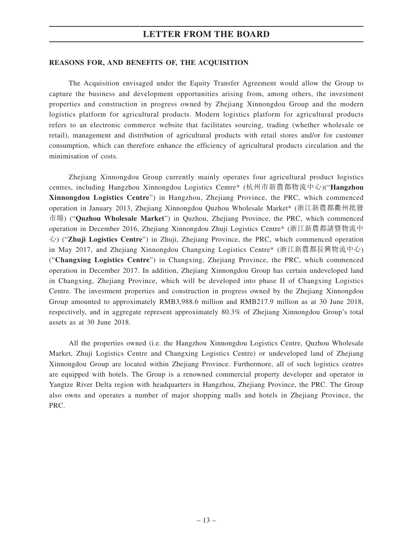#### **REASONS FOR, AND BENEFITS OF, THE ACQUISITION**

The Acquisition envisaged under the Equity Transfer Agreement would allow the Group to capture the business and development opportunities arising from, among others, the investment properties and construction in progress owned by Zhejiang Xinnongdou Group and the modern logistics platform for agricultural products. Modern logistics platform for agricultural products refers to an electronic commerce website that facilitates sourcing, trading (whether wholesale or retail), management and distribution of agricultural products with retail stores and/or for customer consumption, which can therefore enhance the efficiency of agricultural products circulation and the minimisation of costs.

Zhejiang Xinnongdou Group currently mainly operates four agricultural product logistics centres, including Hangzhou Xinnongdou Logistics Centre\* (杭州市新農都物流中心)("**Hangzhou Xinnongdou Logistics Centre**") in Hangzhou, Zhejiang Province, the PRC, which commenced operation in January 2013, Zhejiang Xinnongdou Quzhou Wholesale Market\* (浙江新農都衢州批發 市場) ("**Quzhou Wholesale Market**") in Quzhou, Zhejiang Province, the PRC, which commenced operation in December 2016, Zhejiang Xinnongdou Zhuji Logistics Centre\* (浙江新農都諸暨物流中 心) ("**Zhuji Logistics Centre**") in Zhuji, Zhejiang Province, the PRC, which commenced operation in May 2017, and Zhejiang Xinnongdou Changxing Logistics Centre\* (浙江新農都長興物流中心) ("**Changxing Logistics Centre**") in Changxing, Zhejiang Province, the PRC, which commenced operation in December 2017. In addition, Zhejiang Xinnongdou Group has certain undeveloped land in Changxing, Zhejiang Province, which will be developed into phase II of Changxing Logistics Centre. The investment properties and construction in progress owned by the Zhejiang Xinnongdou Group amounted to approximately RMB3,988.6 million and RMB217.9 million as at 30 June 2018, respectively, and in aggregate represent approximately 80.3% of Zhejiang Xinnongdou Group's total assets as at 30 June 2018.

All the properties owned (i.e. the Hangzhou Xinnongdou Logistics Centre, Quzhou Wholesale Market, Zhuji Logistics Centre and Changxing Logistics Centre) or undeveloped land of Zhejiang Xinnongdou Group are located within Zhejiang Province. Furthermore, all of such logistics centres are equipped with hotels. The Group is a renowned commercial property developer and operator in Yangtze River Delta region with headquarters in Hangzhou, Zhejiang Province, the PRC. The Group also owns and operates a number of major shopping malls and hotels in Zhejiang Province, the PRC.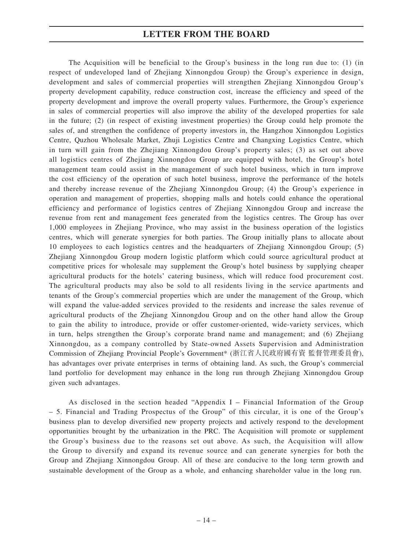The Acquisition will be beneficial to the Group's business in the long run due to: (1) (in respect of undeveloped land of Zhejiang Xinnongdou Group) the Group's experience in design, development and sales of commercial properties will strengthen Zhejiang Xinnongdou Group's property development capability, reduce construction cost, increase the efficiency and speed of the property development and improve the overall property values. Furthermore, the Group's experience in sales of commercial properties will also improve the ability of the developed properties for sale in the future; (2) (in respect of existing investment properties) the Group could help promote the sales of, and strengthen the confidence of property investors in, the Hangzhou Xinnongdou Logistics Centre, Quzhou Wholesale Market, Zhuji Logistics Centre and Changxing Logistics Centre, which in turn will gain from the Zhejiang Xinnongdou Group's property sales; (3) as set out above all logistics centres of Zhejiang Xinnongdou Group are equipped with hotel, the Group's hotel management team could assist in the management of such hotel business, which in turn improve the cost efficiency of the operation of such hotel business, improve the performance of the hotels and thereby increase revenue of the Zhejiang Xinnongdou Group; (4) the Group's experience in operation and management of properties, shopping malls and hotels could enhance the operational efficiency and performance of logistics centres of Zhejiang Xinnongdou Group and increase the revenue from rent and management fees generated from the logistics centres. The Group has over 1,000 employees in Zhejiang Province, who may assist in the business operation of the logistics centres, which will generate synergies for both parties. The Group initially plans to allocate about 10 employees to each logistics centres and the headquarters of Zhejiang Xinnongdou Group; (5) Zhejiang Xinnongdou Group modern logistic platform which could source agricultural product at competitive prices for wholesale may supplement the Group's hotel business by supplying cheaper agricultural products for the hotels' catering business, which will reduce food procurement cost. The agricultural products may also be sold to all residents living in the service apartments and tenants of the Group's commercial properties which are under the management of the Group, which will expand the value-added services provided to the residents and increase the sales revenue of agricultural products of the Zhejiang Xinnongdou Group and on the other hand allow the Group to gain the ability to introduce, provide or offer customer-oriented, wide-variety services, which in turn, helps strengthen the Group's corporate brand name and management; and (6) Zhejiang Xinnongdou, as a company controlled by State-owned Assets Supervision and Administration Commission of Zhejiang Provincial People's Government\* (浙江省人民政府國有資 監督管理委員會), has advantages over private enterprises in terms of obtaining land. As such, the Group's commercial land portfolio for development may enhance in the long run through Zhejiang Xinnongdou Group given such advantages.

As disclosed in the section headed "Appendix I – Financial Information of the Group – 5. Financial and Trading Prospectus of the Group" of this circular, it is one of the Group's business plan to develop diversified new property projects and actively respond to the development opportunities brought by the urbanization in the PRC. The Acquisition will promote or supplement the Group's business due to the reasons set out above. As such, the Acquisition will allow the Group to diversify and expand its revenue source and can generate synergies for both the Group and Zhejiang Xinnongdou Group. All of these are conducive to the long term growth and sustainable development of the Group as a whole, and enhancing shareholder value in the long run.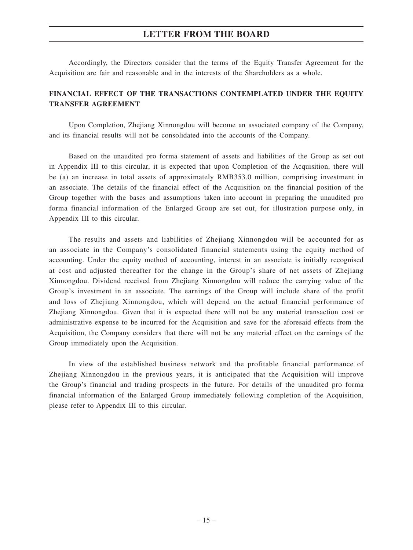Accordingly, the Directors consider that the terms of the Equity Transfer Agreement for the Acquisition are fair and reasonable and in the interests of the Shareholders as a whole.

### **FINANCIAL EFFECT OF THE TRANSACTIONS CONTEMPLATED UNDER THE EQUITY TRANSFER AGREEMENT**

Upon Completion, Zhejiang Xinnongdou will become an associated company of the Company, and its financial results will not be consolidated into the accounts of the Company.

Based on the unaudited pro forma statement of assets and liabilities of the Group as set out in Appendix III to this circular, it is expected that upon Completion of the Acquisition, there will be (a) an increase in total assets of approximately RMB353.0 million, comprising investment in an associate. The details of the financial effect of the Acquisition on the financial position of the Group together with the bases and assumptions taken into account in preparing the unaudited pro forma financial information of the Enlarged Group are set out, for illustration purpose only, in Appendix III to this circular.

The results and assets and liabilities of Zhejiang Xinnongdou will be accounted for as an associate in the Company's consolidated financial statements using the equity method of accounting. Under the equity method of accounting, interest in an associate is initially recognised at cost and adjusted thereafter for the change in the Group's share of net assets of Zhejiang Xinnongdou. Dividend received from Zhejiang Xinnongdou will reduce the carrying value of the Group's investment in an associate. The earnings of the Group will include share of the profit and loss of Zhejiang Xinnongdou, which will depend on the actual financial performance of Zhejiang Xinnongdou. Given that it is expected there will not be any material transaction cost or administrative expense to be incurred for the Acquisition and save for the aforesaid effects from the Acquisition, the Company considers that there will not be any material effect on the earnings of the Group immediately upon the Acquisition.

In view of the established business network and the profitable financial performance of Zhejiang Xinnongdou in the previous years, it is anticipated that the Acquisition will improve the Group's financial and trading prospects in the future. For details of the unaudited pro forma financial information of the Enlarged Group immediately following completion of the Acquisition, please refer to Appendix III to this circular.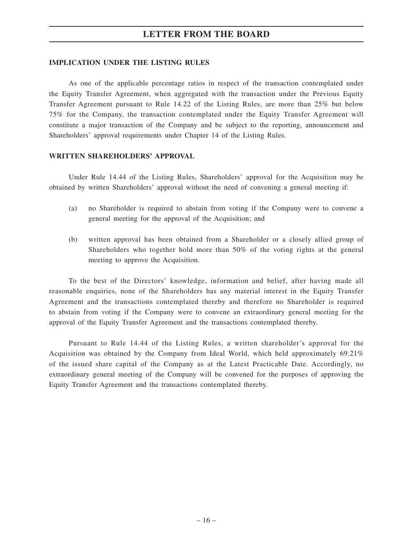#### **IMPLICATION UNDER THE LISTING RULES**

As one of the applicable percentage ratios in respect of the transaction contemplated under the Equity Transfer Agreement, when aggregated with the transaction under the Previous Equity Transfer Agreement pursuant to Rule 14.22 of the Listing Rules, are more than 25% but below 75% for the Company, the transaction contemplated under the Equity Transfer Agreement will constitute a major transaction of the Company and be subject to the reporting, announcement and Shareholders' approval requirements under Chapter 14 of the Listing Rules.

#### **WRITTEN SHAREHOLDERS' APPROVAL**

Under Rule 14.44 of the Listing Rules, Shareholders' approval for the Acquisition may be obtained by written Shareholders' approval without the need of convening a general meeting if:

- (a) no Shareholder is required to abstain from voting if the Company were to convene a general meeting for the approval of the Acquisition; and
- (b) written approval has been obtained from a Shareholder or a closely allied group of Shareholders who together hold more than 50% of the voting rights at the general meeting to approve the Acquisition.

To the best of the Directors' knowledge, information and belief, after having made all reasonable enquiries, none of the Shareholders has any material interest in the Equity Transfer Agreement and the transactions contemplated thereby and therefore no Shareholder is required to abstain from voting if the Company were to convene an extraordinary general meeting for the approval of the Equity Transfer Agreement and the transactions contemplated thereby.

Pursuant to Rule 14.44 of the Listing Rules, a written shareholder's approval for the Acquisition was obtained by the Company from Ideal World, which held approximately 69.21% of the issued share capital of the Company as at the Latest Practicable Date. Accordingly, no extraordinary general meeting of the Company will be convened for the purposes of approving the Equity Transfer Agreement and the transactions contemplated thereby.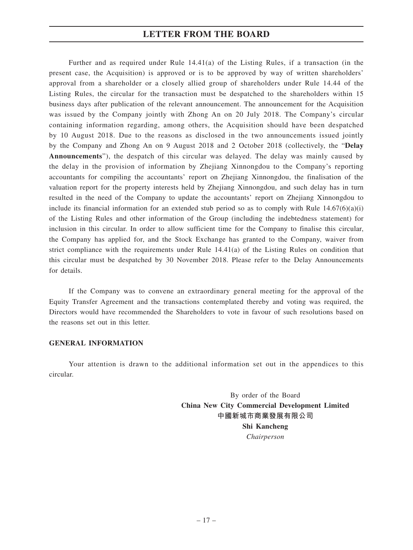Further and as required under Rule  $14.41(a)$  of the Listing Rules, if a transaction (in the present case, the Acquisition) is approved or is to be approved by way of written shareholders' approval from a shareholder or a closely allied group of shareholders under Rule 14.44 of the Listing Rules, the circular for the transaction must be despatched to the shareholders within 15 business days after publication of the relevant announcement. The announcement for the Acquisition was issued by the Company jointly with Zhong An on 20 July 2018. The Company's circular containing information regarding, among others, the Acquisition should have been despatched by 10 August 2018. Due to the reasons as disclosed in the two announcements issued jointly by the Company and Zhong An on 9 August 2018 and 2 October 2018 (collectively, the "**Delay Announcements**"), the despatch of this circular was delayed. The delay was mainly caused by the delay in the provision of information by Zhejiang Xinnongdou to the Company's reporting accountants for compiling the accountants' report on Zhejiang Xinnongdou, the finalisation of the valuation report for the property interests held by Zhejiang Xinnongdou, and such delay has in turn resulted in the need of the Company to update the accountants' report on Zhejiang Xinnongdou to include its financial information for an extended stub period so as to comply with Rule  $14.67(6)(a)(i)$ of the Listing Rules and other information of the Group (including the indebtedness statement) for inclusion in this circular. In order to allow sufficient time for the Company to finalise this circular, the Company has applied for, and the Stock Exchange has granted to the Company, waiver from strict compliance with the requirements under Rule 14.41(a) of the Listing Rules on condition that this circular must be despatched by 30 November 2018. Please refer to the Delay Announcements for details.

If the Company was to convene an extraordinary general meeting for the approval of the Equity Transfer Agreement and the transactions contemplated thereby and voting was required, the Directors would have recommended the Shareholders to vote in favour of such resolutions based on the reasons set out in this letter.

#### **GENERAL INFORMATION**

Your attention is drawn to the additional information set out in the appendices to this circular.

> By order of the Board **China New City Commercial Development Limited 中國新城市商業發展有限公司 Shi Kancheng** *Chairperson*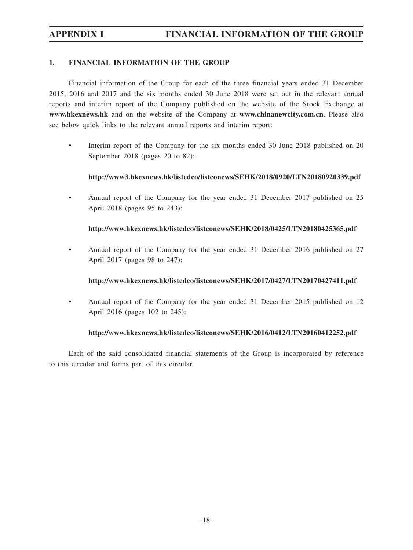### **1. FINANCIAL INFORMATION OF THE GROUP**

Financial information of the Group for each of the three financial years ended 31 December 2015, 2016 and 2017 and the six months ended 30 June 2018 were set out in the relevant annual reports and interim report of the Company published on the website of the Stock Exchange at **www.hkexnews.hk** and on the website of the Company at **www.chinanewcity.com.cn**. Please also see below quick links to the relevant annual reports and interim report:

• Interim report of the Company for the six months ended 30 June 2018 published on 20 September 2018 (pages 20 to 82):

### **http://www3.hkexnews.hk/listedco/listconews/SEHK/2018/0920/LTN20180920339.pdf**

• Annual report of the Company for the year ended 31 December 2017 published on 25 April 2018 (pages 95 to 243):

### **http://www.hkexnews.hk/listedco/listconews/SEHK/2018/0425/LTN20180425365.pdf**

• Annual report of the Company for the year ended 31 December 2016 published on 27 April 2017 (pages 98 to 247):

#### **http://www.hkexnews.hk/listedco/listconews/SEHK/2017/0427/LTN20170427411.pdf**

• Annual report of the Company for the year ended 31 December 2015 published on 12 April 2016 (pages 102 to 245):

### **http://www.hkexnews.hk/listedco/listconews/SEHK/2016/0412/LTN20160412252.pdf**

Each of the said consolidated financial statements of the Group is incorporated by reference to this circular and forms part of this circular.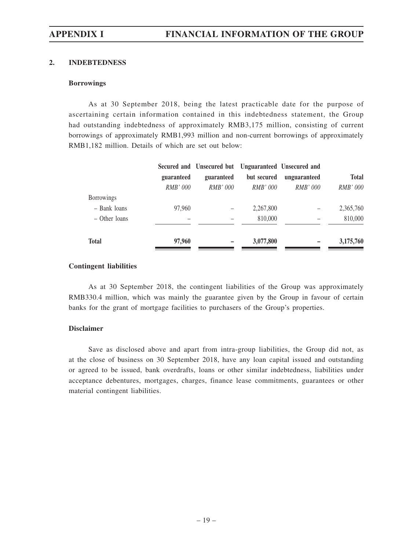### **2. INDEBTEDNESS**

#### **Borrowings**

As at 30 September 2018, being the latest practicable date for the purpose of ascertaining certain information contained in this indebtedness statement, the Group had outstanding indebtedness of approximately RMB3,175 million, consisting of current borrowings of approximately RMB1,993 million and non-current borrowings of approximately RMB1,182 million. Details of which are set out below:

|                   |                 | Secured and Unsecured but Unguaranteed Unsecured and |                 |                 |                 |
|-------------------|-----------------|------------------------------------------------------|-----------------|-----------------|-----------------|
|                   | guaranteed      | guaranteed                                           | but secured     | unguaranteed    | <b>Total</b>    |
|                   | <i>RMB' 000</i> | <i>RMB' 000</i>                                      | <i>RMB' 000</i> | <i>RMB' 000</i> | <i>RMB' 000</i> |
| <b>Borrowings</b> |                 |                                                      |                 |                 |                 |
| - Bank loans      | 97,960          |                                                      | 2,267,800       |                 | 2,365,760       |
| - Other loans     |                 |                                                      | 810,000         |                 | 810,000         |
| <b>Total</b>      | 97,960          |                                                      | 3,077,800       |                 | 3,175,760       |

#### **Contingent liabilities**

As at 30 September 2018, the contingent liabilities of the Group was approximately RMB330.4 million, which was mainly the guarantee given by the Group in favour of certain banks for the grant of mortgage facilities to purchasers of the Group's properties.

### **Disclaimer**

Save as disclosed above and apart from intra-group liabilities, the Group did not, as at the close of business on 30 September 2018, have any loan capital issued and outstanding or agreed to be issued, bank overdrafts, loans or other similar indebtedness, liabilities under acceptance debentures, mortgages, charges, finance lease commitments, guarantees or other material contingent liabilities.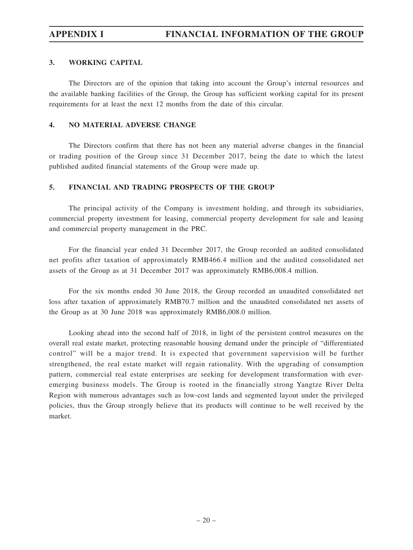# **APPENDIX I FINANCIAL INFORMATION OF THE GROUP**

### **3. WORKING CAPITAL**

The Directors are of the opinion that taking into account the Group's internal resources and the available banking facilities of the Group, the Group has sufficient working capital for its present requirements for at least the next 12 months from the date of this circular.

### **4. NO MATERIAL ADVERSE CHANGE**

The Directors confirm that there has not been any material adverse changes in the financial or trading position of the Group since 31 December 2017, being the date to which the latest published audited financial statements of the Group were made up.

### **5. FINANCIAL AND TRADING PROSPECTS OF THE GROUP**

The principal activity of the Company is investment holding, and through its subsidiaries, commercial property investment for leasing, commercial property development for sale and leasing and commercial property management in the PRC.

For the financial year ended 31 December 2017, the Group recorded an audited consolidated net profits after taxation of approximately RMB466.4 million and the audited consolidated net assets of the Group as at 31 December 2017 was approximately RMB6,008.4 million.

For the six months ended 30 June 2018, the Group recorded an unaudited consolidated net loss after taxation of approximately RMB70.7 million and the unaudited consolidated net assets of the Group as at 30 June 2018 was approximately RMB6,008.0 million.

Looking ahead into the second half of 2018, in light of the persistent control measures on the overall real estate market, protecting reasonable housing demand under the principle of "differentiated control" will be a major trend. It is expected that government supervision will be further strengthened, the real estate market will regain rationality. With the upgrading of consumption pattern, commercial real estate enterprises are seeking for development transformation with everemerging business models. The Group is rooted in the financially strong Yangtze River Delta Region with numerous advantages such as low-cost lands and segmented layout under the privileged policies, thus the Group strongly believe that its products will continue to be well received by the market.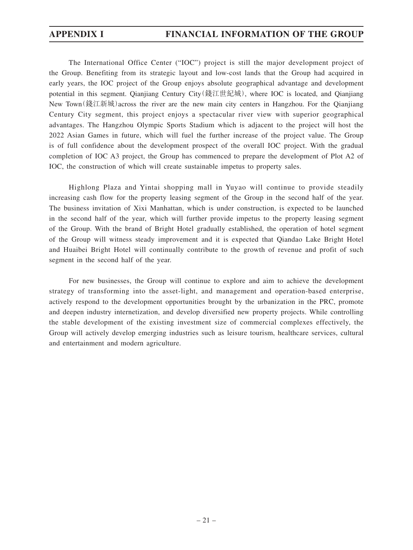# **APPENDIX I FINANCIAL INFORMATION OF THE GROUP**

The International Office Center ("IOC") project is still the major development project of the Group. Benefiting from its strategic layout and low-cost lands that the Group had acquired in early years, the IOC project of the Group enjoys absolute geographical advantage and development potential in this segment. Qianjiang Century City(錢江世紀城), where IOC is located, and Qianjiang New Town(錢江新城)across the river are the new main city centers in Hangzhou. For the Qianjiang Century City segment, this project enjoys a spectacular river view with superior geographical advantages. The Hangzhou Olympic Sports Stadium which is adjacent to the project will host the 2022 Asian Games in future, which will fuel the further increase of the project value. The Group is of full confidence about the development prospect of the overall IOC project. With the gradual completion of IOC A3 project, the Group has commenced to prepare the development of Plot A2 of IOC, the construction of which will create sustainable impetus to property sales.

Highlong Plaza and Yintai shopping mall in Yuyao will continue to provide steadily increasing cash flow for the property leasing segment of the Group in the second half of the year. The business invitation of Xixi Manhattan, which is under construction, is expected to be launched in the second half of the year, which will further provide impetus to the property leasing segment of the Group. With the brand of Bright Hotel gradually established, the operation of hotel segment of the Group will witness steady improvement and it is expected that Qiandao Lake Bright Hotel and Huaibei Bright Hotel will continually contribute to the growth of revenue and profit of such segment in the second half of the year.

For new businesses, the Group will continue to explore and aim to achieve the development strategy of transforming into the asset-light, and management and operation-based enterprise, actively respond to the development opportunities brought by the urbanization in the PRC, promote and deepen industry internetization, and develop diversified new property projects. While controlling the stable development of the existing investment size of commercial complexes effectively, the Group will actively develop emerging industries such as leisure tourism, healthcare services, cultural and entertainment and modern agriculture.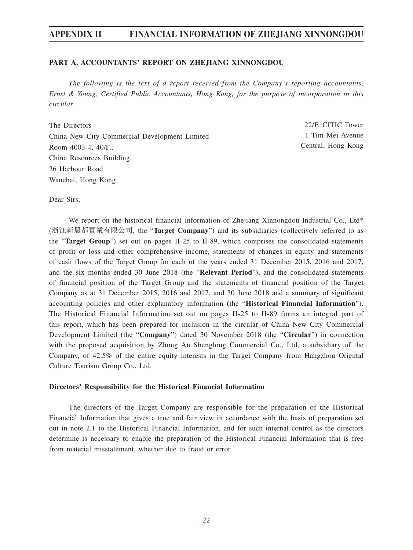#### **PART A. ACCOUNTANTS' REPORT ON ZHEJIANG XINNONGDOU**

*The following is the text of a report received from the Company's reporting accountants, Ernst & Young, Certified Public Accountants, Hong Kong, for the purpose of incorporation in this circular.*

The Directors China New City Commercial Development Limited Room 4003-4, 40/F., China Resources Building, 26 Harbour Road Wanchai, Hong Kong

22/F, CITIC Tower 1 Tim Mei Avenue Central, Hong Kong

Dear Sirs,

We report on the historical financial information of Zhejiang Xinnongdou Industrial Co., Ltd\* (浙江新農都實業有限公司, the "**Target Company**") and its subsidiaries (collectively referred to as the "**Target Group**") set out on pages II-25 to II-89, which comprises the consolidated statements of profit or loss and other comprehensive income, statements of changes in equity and statements of cash flows of the Target Group for each of the years ended 31 December 2015, 2016 and 2017, and the six months ended 30 June 2018 (the "**Relevant Period**"), and the consolidated statements of financial position of the Target Group and the statements of financial position of the Target Company as at 31 December 2015, 2016 and 2017, and 30 June 2018 and a summary of significant accounting policies and other explanatory information (the "**Historical Financial Information**"). The Historical Financial Information set out on pages II-25 to II-89 forms an integral part of this report, which has been prepared for inclusion in the circular of China New City Commercial Development Limited (the "**Company**") dated 30 November 2018 (the "**Circular**") in connection with the proposed acquisition by Zhong An Shenglong Commercial Co., Ltd, a subsidiary of the Company, of 42.5% of the entire equity interests in the Target Company from Hangzhou Oriental Culture Tourism Group Co., Ltd.

#### **Directors' Responsibility for the Historical Financial Information**

The directors of the Target Company are responsible for the preparation of the Historical Financial Information that gives a true and fair view in accordance with the basis of preparation set out in note 2.1 to the Historical Financial Information, and for such internal control as the directors determine is necessary to enable the preparation of the Historical Financial Information that is free from material misstatement, whether due to fraud or error.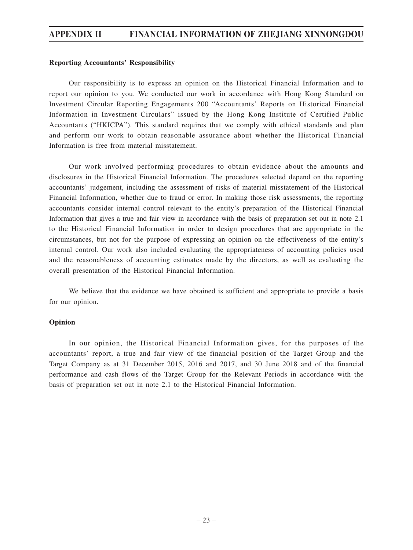#### **Reporting Accountants' Responsibility**

Our responsibility is to express an opinion on the Historical Financial Information and to report our opinion to you. We conducted our work in accordance with Hong Kong Standard on Investment Circular Reporting Engagements 200 "Accountants' Reports on Historical Financial Information in Investment Circulars" issued by the Hong Kong Institute of Certified Public Accountants ("HKICPA"). This standard requires that we comply with ethical standards and plan and perform our work to obtain reasonable assurance about whether the Historical Financial Information is free from material misstatement.

Our work involved performing procedures to obtain evidence about the amounts and disclosures in the Historical Financial Information. The procedures selected depend on the reporting accountants' judgement, including the assessment of risks of material misstatement of the Historical Financial Information, whether due to fraud or error. In making those risk assessments, the reporting accountants consider internal control relevant to the entity's preparation of the Historical Financial Information that gives a true and fair view in accordance with the basis of preparation set out in note 2.1 to the Historical Financial Information in order to design procedures that are appropriate in the circumstances, but not for the purpose of expressing an opinion on the effectiveness of the entity's internal control. Our work also included evaluating the appropriateness of accounting policies used and the reasonableness of accounting estimates made by the directors, as well as evaluating the overall presentation of the Historical Financial Information.

We believe that the evidence we have obtained is sufficient and appropriate to provide a basis for our opinion.

#### **Opinion**

In our opinion, the Historical Financial Information gives, for the purposes of the accountants' report, a true and fair view of the financial position of the Target Group and the Target Company as at 31 December 2015, 2016 and 2017, and 30 June 2018 and of the financial performance and cash flows of the Target Group for the Relevant Periods in accordance with the basis of preparation set out in note 2.1 to the Historical Financial Information.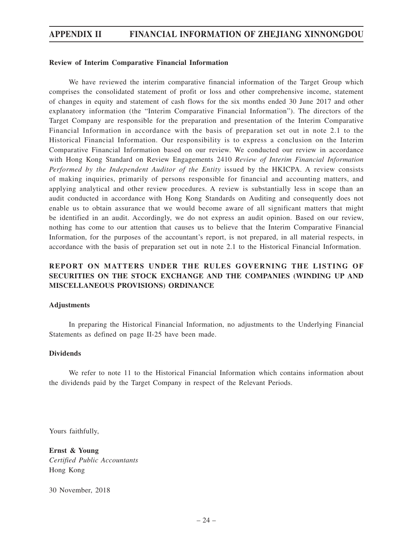#### **Review of Interim Comparative Financial Information**

We have reviewed the interim comparative financial information of the Target Group which comprises the consolidated statement of profit or loss and other comprehensive income, statement of changes in equity and statement of cash flows for the six months ended 30 June 2017 and other explanatory information (the "Interim Comparative Financial Information"). The directors of the Target Company are responsible for the preparation and presentation of the Interim Comparative Financial Information in accordance with the basis of preparation set out in note 2.1 to the Historical Financial Information. Our responsibility is to express a conclusion on the Interim Comparative Financial Information based on our review. We conducted our review in accordance with Hong Kong Standard on Review Engagements 2410 *Review of Interim Financial Information Performed by the Independent Auditor of the Entity* issued by the HKICPA. A review consists of making inquiries, primarily of persons responsible for financial and accounting matters, and applying analytical and other review procedures. A review is substantially less in scope than an audit conducted in accordance with Hong Kong Standards on Auditing and consequently does not enable us to obtain assurance that we would become aware of all significant matters that might be identified in an audit. Accordingly, we do not express an audit opinion. Based on our review, nothing has come to our attention that causes us to believe that the Interim Comparative Financial Information, for the purposes of the accountant's report, is not prepared, in all material respects, in accordance with the basis of preparation set out in note 2.1 to the Historical Financial Information.

### **REPORT ON MATTERS UNDER THE RULES GOVERNING THE LISTING OF SECURITIES ON THE STOCK EXCHANGE AND THE COMPANIES (WINDING UP AND MISCELLANEOUS PROVISIONS) ORDINANCE**

#### **Adjustments**

In preparing the Historical Financial Information, no adjustments to the Underlying Financial Statements as defined on page II-25 have been made.

#### **Dividends**

We refer to note 11 to the Historical Financial Information which contains information about the dividends paid by the Target Company in respect of the Relevant Periods.

Yours faithfully,

**Ernst & Young** *Certified Public Accountants* Hong Kong

30 November, 2018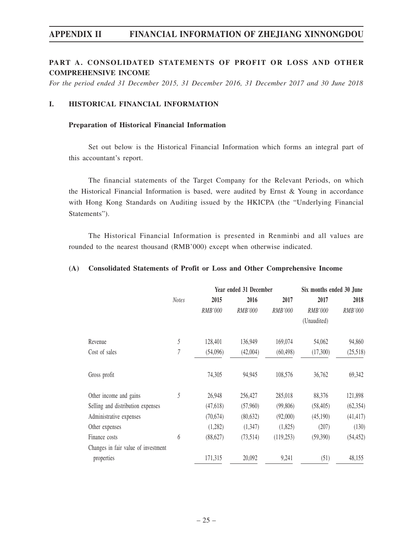### **PART A. CONSOLIDATED STATEMENTS OF PROFIT OR LOSS AND OTHER COMPREHENSIVE INCOME**

*For the period ended 31 December 2015, 31 December 2016, 31 December 2017 and 30 June 2018*

#### **I. HISTORICAL FINANCIAL INFORMATION**

#### **Preparation of Historical Financial Information**

Set out below is the Historical Financial Information which forms an integral part of this accountant's report.

The financial statements of the Target Company for the Relevant Periods, on which the Historical Financial Information is based, were audited by Ernst & Young in accordance with Hong Kong Standards on Auditing issued by the HKICPA (the "Underlying Financial Statements").

The Historical Financial Information is presented in Renminbi and all values are rounded to the nearest thousand (RMB'000) except when otherwise indicated.

#### **(A) Consolidated Statements of Profit or Loss and Other Comprehensive Income**

|                                     |              | Year ended 31 December |           |                | Six months ended 30 June |           |
|-------------------------------------|--------------|------------------------|-----------|----------------|--------------------------|-----------|
|                                     | <b>Notes</b> | 2015                   | 2016      | 2017           | 2017                     | 2018      |
|                                     |              | RMB'000                | RMB'000   | <i>RMB'000</i> | RMB'000                  | RMB'000   |
|                                     |              |                        |           |                | (Unaudited)              |           |
| Revenue                             | 5            | 128,401                | 136,949   | 169,074        | 54,062                   | 94,860    |
| Cost of sales                       | 7            | (54,096)               | (42,004)  | (60, 498)      | (17,300)                 | (25,518)  |
| Gross profit                        |              | 74,305                 | 94,945    | 108,576        | 36,762                   | 69,342    |
| Other income and gains              | 5            | 26,948                 | 256,427   | 285,018        | 88,376                   | 121,898   |
| Selling and distribution expenses   |              | (47,618)               | (57,960)  | (99,806)       | (58, 405)                | (62, 354) |
| Administrative expenses             |              | (70,674)               | (80, 632) | (92,000)       | (45,190)                 | (41, 417) |
| Other expenses                      |              | (1,282)                | (1,347)   | (1,825)        | (207)                    | (130)     |
| Finance costs                       | 6            | (88,627)               | (73,514)  | (119,253)      | (59,390)                 | (54, 452) |
| Changes in fair value of investment |              |                        |           |                |                          |           |
| properties                          |              | 171,315                | 20,092    | 9,241          | (51)                     | 48,155    |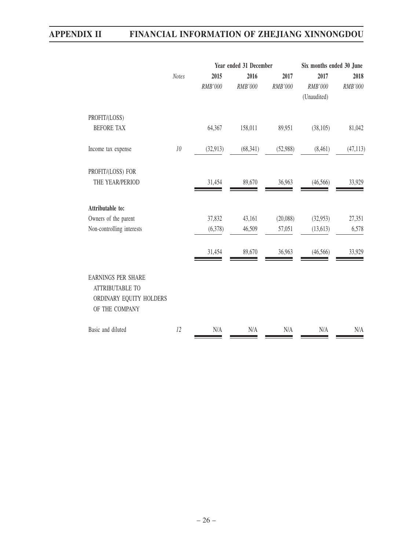|                                                                                                  |              | Year ended 31 December |           |          | Six months ended 30 June |           |
|--------------------------------------------------------------------------------------------------|--------------|------------------------|-----------|----------|--------------------------|-----------|
|                                                                                                  | <b>Notes</b> | 2015                   | 2016      | 2017     | 2017                     | 2018      |
|                                                                                                  |              | RMB'000                | RMB'000   | RMB'000  | RMB'000                  | RMB'000   |
|                                                                                                  |              |                        |           |          | (Unaudited)              |           |
| PROFIT/(LOSS)                                                                                    |              |                        |           |          |                          |           |
| <b>BEFORE TAX</b>                                                                                |              | 64,367                 | 158,011   | 89,951   | (38,105)                 | 81,042    |
| Income tax expense                                                                               | $10\,$       | (32, 913)              | (68, 341) | (52,988) | (8,461)                  | (47, 113) |
| PROFIT/(LOSS) FOR                                                                                |              |                        |           |          |                          |           |
| THE YEAR/PERIOD                                                                                  |              | 31,454                 | 89,670    | 36,963   | (46, 566)                | 33,929    |
| Attributable to:                                                                                 |              |                        |           |          |                          |           |
| Owners of the parent                                                                             |              | 37,832                 | 43,161    | (20,088) | (32,953)                 | 27,351    |
| Non-controlling interests                                                                        |              | (6,378)                | 46,509    | 57,051   | (13,613)                 | 6,578     |
|                                                                                                  |              | 31,454                 | 89,670    | 36,963   | (46, 566)                | 33,929    |
| <b>EARNINGS PER SHARE</b><br><b>ATTRIBUTABLE TO</b><br>ORDINARY EQUITY HOLDERS<br>OF THE COMPANY |              |                        |           |          |                          |           |
| Basic and diluted                                                                                | 12           | N/A                    | N/A       | N/A      | N/A                      | N/A       |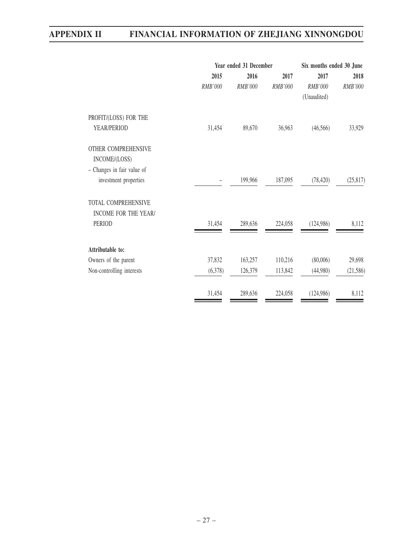| Year ended 31 December |         | Six months ended 30 June |                |           |
|------------------------|---------|--------------------------|----------------|-----------|
| 2015                   | 2016    | 2017                     | 2017           | 2018      |
| RMB'000                | RMB'000 | <b>RMB'000</b>           | <b>RMB'000</b> | RMB'000   |
|                        |         |                          | (Unaudited)    |           |
|                        |         |                          |                |           |
| 31,454                 | 89,670  | 36,963                   | (46, 566)      | 33,929    |
|                        |         |                          |                |           |
|                        |         |                          |                |           |
|                        |         |                          |                |           |
|                        | 199,966 | 187,095                  | (78, 420)      | (25, 817) |
|                        |         |                          |                |           |
|                        |         |                          |                |           |
| 31,454                 | 289,636 | 224,058                  | (124, 986)     | 8,112     |
|                        |         |                          |                |           |
|                        |         |                          |                | 29,698    |
| (6,378)                | 126,379 | 113,842                  | (44,980)       | (21, 586) |
| 31,454                 | 289,636 | 224,058                  | (124, 986)     | 8,112     |
|                        | 37,832  | 163,257                  | 110,216        | (80,006)  |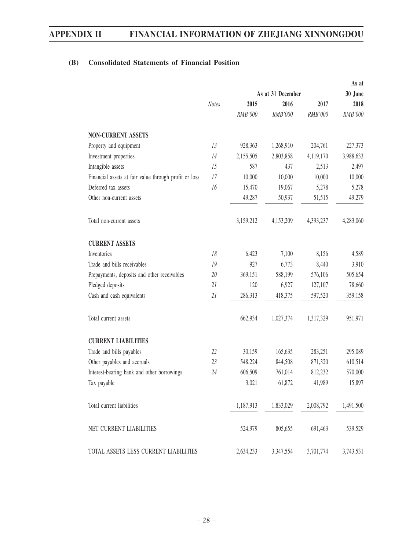# **(B) Consolidated Statements of Financial Position**

|                                                       |                   |           |           |           | As at     |
|-------------------------------------------------------|-------------------|-----------|-----------|-----------|-----------|
|                                                       | As at 31 December |           |           | 30 June   |           |
|                                                       | <b>Notes</b>      | 2015      | 2016      | 2017      | 2018      |
|                                                       |                   | RMB'000   | RMB'000   | RMB'000   | RMB'000   |
| <b>NON-CURRENT ASSETS</b>                             |                   |           |           |           |           |
| Property and equipment                                | 13                | 928,363   | 1,268,910 | 204,761   | 227,373   |
| Investment properties                                 | 14                | 2,155,505 | 2,803,858 | 4,119,170 | 3,988,633 |
| Intangible assets                                     | 15                | 587       | 437       | 2,513     | 2,497     |
| Financial assets at fair value through profit or loss | 17                | 10,000    | 10,000    | 10,000    | 10,000    |
| Deferred tax assets                                   | 16                | 15,470    | 19,067    | 5,278     | 5,278     |
| Other non-current assets                              |                   | 49,287    | 50,937    | 51,515    | 49,279    |
| Total non-current assets                              |                   | 3,159,212 | 4,153,209 | 4,393,237 | 4,283,060 |
| <b>CURRENT ASSETS</b>                                 |                   |           |           |           |           |
| Inventories                                           | 18                | 6,423     | 7,100     | 8,156     | 4,589     |
| Trade and bills receivables                           | 19                | 927       | 6,773     | 8,440     | 3,910     |
| Prepayments, deposits and other receivables           | 20                | 369,151   | 588,199   | 576,106   | 505,654   |
| Pledged deposits                                      | 21                | 120       | 6,927     | 127,107   | 78,660    |
| Cash and cash equivalents                             | 21                | 286,313   | 418,375   | 597,520   | 359,158   |
| Total current assets                                  |                   | 662,934   | 1,027,374 | 1,317,329 | 951,971   |
| <b>CURRENT LIABILITIES</b>                            |                   |           |           |           |           |
| Trade and bills payables                              | 22                | 30,159    | 165,635   | 283,251   | 295,089   |
| Other payables and accruals                           | 23                | 548,224   | 844,508   | 871,320   | 610,514   |
| Interest-bearing bank and other borrowings            | 24                | 606,509   | 761,014   | 812,232   | 570,000   |
| Tax payable                                           |                   | 3,021     | 61,872    | 41,989    | 15,897    |
| Total current liabilities                             |                   | 1,187,913 | 1,833,029 | 2,008,792 | 1,491,500 |
| NET CURRENT LIABILITIES                               |                   | 524,979   | 805,655   | 691,463   | 539,529   |
| TOTAL ASSETS LESS CURRENT LIABILITIES                 |                   | 2,634,233 | 3,347,554 | 3,701,774 | 3,743,531 |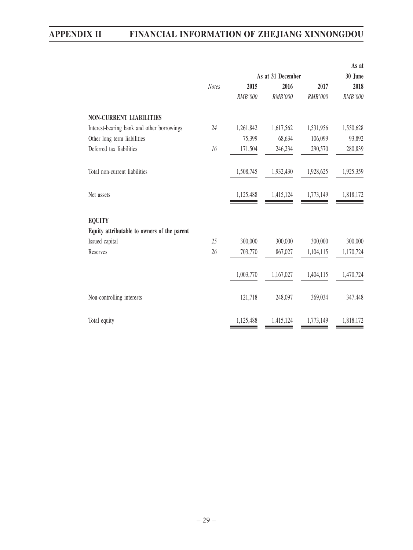|                                             |              |                   |           |           | As at     |
|---------------------------------------------|--------------|-------------------|-----------|-----------|-----------|
|                                             |              | As at 31 December | 30 June   |           |           |
|                                             | <b>Notes</b> | 2015              | 2016      | 2017      | 2018      |
|                                             |              | RMB'000           | RMB'000   | RMB'000   | RMB'000   |
| <b>NON-CURRENT LIABILITIES</b>              |              |                   |           |           |           |
| Interest-bearing bank and other borrowings  | 24           | 1,261,842         | 1,617,562 | 1,531,956 | 1,550,628 |
| Other long term liabilities                 |              | 75,399            | 68,634    | 106,099   | 93,892    |
| Deferred tax liabilities                    | 16           | 171,504           | 246,234   | 290,570   | 280,839   |
| Total non-current liabilities               |              | 1,508,745         | 1,932,430 | 1,928,625 | 1,925,359 |
| Net assets                                  |              | 1,125,488         | 1,415,124 | 1,773,149 | 1,818,172 |
| <b>EQUITY</b>                               |              |                   |           |           |           |
| Equity attributable to owners of the parent |              |                   |           |           |           |
| Issued capital                              | 25           | 300,000           | 300,000   | 300,000   | 300,000   |
| Reserves                                    | 26           | 703,770           | 867,027   | 1,104,115 | 1,170,724 |
|                                             |              | 1,003,770         | 1,167,027 | 1,404,115 | 1,470,724 |
| Non-controlling interests                   |              | 121,718           | 248,097   | 369,034   | 347,448   |
| Total equity                                |              | 1,125,488         | 1,415,124 | 1,773,149 | 1,818,172 |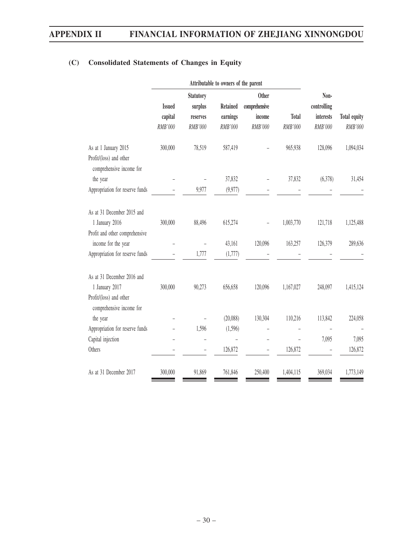|                                                                             | Attributable to owners of the parent |          |                 |               |              |                |              |  |
|-----------------------------------------------------------------------------|--------------------------------------|----------|-----------------|---------------|--------------|----------------|--------------|--|
|                                                                             | <b>Statutory</b>                     |          | <b>Other</b>    |               |              | Non-           |              |  |
|                                                                             | <b>Issued</b>                        | surplus  | <b>Retained</b> | comprehensive |              | controlling    |              |  |
|                                                                             | capital                              | reserves | earnings        | income        | <b>Total</b> | interests      | Total equity |  |
|                                                                             | RMB'000                              | RMB'000  | RMB'000         | RMB'000       | RMB'000      | <b>RMB'000</b> | RMB'000      |  |
| As at 1 January 2015<br>Profit/(loss) and other<br>comprehensive income for | 300,000                              | 78,519   | 587,419         |               | 965,938      | 128,096        | 1,094,034    |  |
| the year                                                                    |                                      |          | 37,832          |               | 37,832       | (6,378)        | 31,454       |  |
| Appropriation for reserve funds                                             |                                      | 9,977    | (9,977)         |               |              |                |              |  |
| As at 31 December 2015 and<br>1 January 2016                                | 300,000                              | 88,496   | 615,274         |               | 1,003,770    | 121,718        | 1,125,488    |  |
| Profit and other comprehensive                                              |                                      |          |                 |               |              |                |              |  |
| income for the year                                                         |                                      |          | 43,161          | 120,096       | 163,257      | 126,379        | 289,636      |  |
| Appropriation for reserve funds                                             |                                      | 1,777    | (1,777)         |               |              |                |              |  |
| As at 31 December 2016 and<br>1 January 2017                                | 300,000                              | 90,273   | 656,658         | 120,096       | 1,167,027    | 248,097        | 1,415,124    |  |
| Profit/(loss) and other<br>comprehensive income for                         |                                      |          |                 |               |              |                |              |  |
| the year                                                                    |                                      |          | (20,088)        | 130,304       | 110,216      | 113,842        | 224,058      |  |
| Appropriation for reserve funds                                             |                                      | 1,596    | (1,596)         |               |              |                |              |  |
| Capital injection                                                           |                                      |          |                 |               |              | 7,095          | 7,095        |  |
| Others                                                                      |                                      |          | 126,872         |               | 126,872      |                | 126,872      |  |
| As at 31 December 2017                                                      | 300,000                              | 91,869   | 761,846         | 250,400       | 1,404,115    | 369,034        | 1,773,149    |  |

# **(C) Consolidated Statements of Changes in Equity**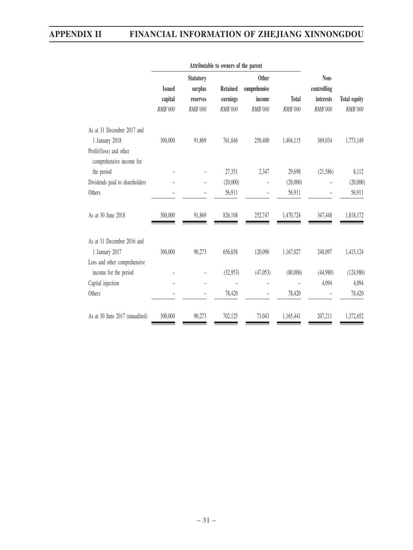|                                                     | Attributable to owners of the parent         |          |                                                  |          |              |                     |                     |  |
|-----------------------------------------------------|----------------------------------------------|----------|--------------------------------------------------|----------|--------------|---------------------|---------------------|--|
|                                                     | <b>Statutory</b><br><b>Issued</b><br>surplus |          | <b>Other</b><br><b>Retained</b><br>comprehensive |          |              | Non-<br>controlling |                     |  |
|                                                     | capital                                      | reserves | earnings                                         | income   | <b>Total</b> | interests           | <b>Total equity</b> |  |
|                                                     | RMB'000                                      | RMB'000  | RMB'000                                          | RMB'000  | RMB'000      | RMB'000             | RMB'000             |  |
| As at 31 December 2017 and                          |                                              |          |                                                  |          |              |                     |                     |  |
| 1 January 2018                                      | 300,000                                      | 91,869   | 761,846                                          | 250,400  | 1,404,115    | 369,034             | 1,773,149           |  |
| Profit/(loss) and other<br>comprehensive income for |                                              |          |                                                  |          |              |                     |                     |  |
| the period                                          |                                              |          | 27,351                                           | 2,347    | 29,698       | (21, 586)           | 8,112               |  |
| Dividends paid to shareholders                      |                                              |          | (20,000)                                         |          | (20,000)     |                     | (20,000)            |  |
| Others                                              |                                              |          | 56,911                                           |          | 56,911       |                     | 56,911              |  |
| As at 30 June 2018                                  | 300,000                                      | 91,869   | 826,108                                          | 252,747  | 1,470,724    | 347,448             | 1,818,172           |  |
| As at 31 December 2016 and                          |                                              |          |                                                  |          |              |                     |                     |  |
| 1 January 2017                                      | 300,000                                      | 90,273   | 656,658                                          | 120,096  | 1,167,027    | 248,097             | 1,415,124           |  |
| Loss and other comprehensive                        |                                              |          |                                                  |          |              |                     |                     |  |
| income for the period                               |                                              |          | (32,953)                                         | (47,053) | (80,006)     | (44,980)            | (124,986)           |  |
| Capital injection                                   |                                              |          |                                                  |          |              | 4,094               | 4,094               |  |
| Others                                              |                                              |          | 78,420                                           |          | 78,420       |                     | 78,420              |  |
| As at 30 June 2017 (unaudited)                      | 300,000                                      | 90,273   | 702,125                                          | 73,043   | 1,165,441    | 207,211             | 1,372,652           |  |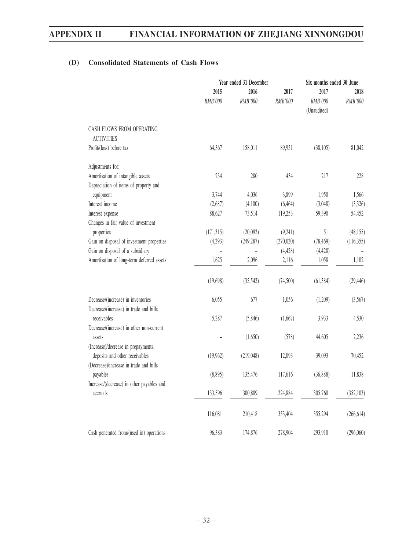# **(D) Consolidated Statements of Cash Flows**

|                                                                       |                 | Year ended 31 December |                 |                                | Six months ended 30 June |  |  |
|-----------------------------------------------------------------------|-----------------|------------------------|-----------------|--------------------------------|--------------------------|--|--|
|                                                                       | 2015<br>RMB'000 | 2016<br>RMB'000        | 2017<br>RMB'000 | 2017<br>RMB'000<br>(Unaudited) | 2018<br>RMB'000          |  |  |
| CASH FLOWS FROM OPERATING<br><b>ACTIVITIES</b>                        |                 |                        |                 |                                |                          |  |  |
| Profit/(loss) before tax:                                             | 64,367          | 158,011                | 89,951          | (38,105)                       | 81,042                   |  |  |
| Adjustments for:                                                      |                 |                        |                 |                                |                          |  |  |
| Amortisation of intangible assets                                     | 234             | 280                    | 434             | 217                            | 228                      |  |  |
| Depreciation of items of property and                                 |                 |                        |                 |                                |                          |  |  |
| equipment                                                             | 3,744           | 4,036                  | 3,899           | 1,950                          | 1,566                    |  |  |
| Interest income                                                       | (2,687)         | (4,100)                | (6, 464)        | (3,048)                        | (3,326)                  |  |  |
| Interest expense                                                      | 88,627          | 73,514                 | 119,253         | 59,390                         | 54,452                   |  |  |
| Changes in fair value of investment                                   |                 |                        |                 |                                |                          |  |  |
| properties                                                            | (171, 315)      | (20,092)               | (9,241)         | 51                             | (48, 155)                |  |  |
| Gain on disposal of investment properties                             | (4,293)         | (249, 287)             | (270, 020)      | (78, 469)                      | (116,355)                |  |  |
| Gain on disposal of a subsidiary                                      | $\overline{a}$  | $\overline{a}$         | (4, 428)        | (4, 428)                       |                          |  |  |
| Amortisation of long-term deferred assets                             | 1,625           | 2,096                  | 2,116           | 1,058                          | 1,102                    |  |  |
|                                                                       | (19,698)        | (35,542)               | (74, 500)       | (61, 384)                      | (29, 446)                |  |  |
| Decrease/(increase) in inventories                                    | 6,055           | 677                    | 1,056           | (1,209)                        | (3,567)                  |  |  |
| Decrease/(increase) in trade and bills<br>receivables                 | 5,287           | (5,846)                | (1,667)         | 3,933                          | 4,530                    |  |  |
| Decrease/(increase) in other non-current<br>assets                    |                 | (1,650)                | (578)           | 44,605                         | 2,236                    |  |  |
| (Increase)/decrease in prepayments,<br>deposits and other receivables | (19,962)        | (219,048)              | 12,093          | 39,093                         | 70,452                   |  |  |
| (Decrease)/increase in trade and bills                                |                 |                        |                 |                                |                          |  |  |
| payables                                                              | (8,895)         | 135,476                | 117,616         | (36,888)                       | 11,838                   |  |  |
| Increase/(decrease) in other payables and                             | 133,596         | 300,809                | 224,884         | 305,760                        |                          |  |  |
| accruals                                                              |                 |                        |                 |                                | (352, 103)               |  |  |
|                                                                       | 116,081         | 210,418                | 353,404         | 355,294                        | (266, 614)               |  |  |
| Cash generated from/(used in) operations                              | 96,383          | 174,876                | 278,904         | 293,910                        | (296,060)                |  |  |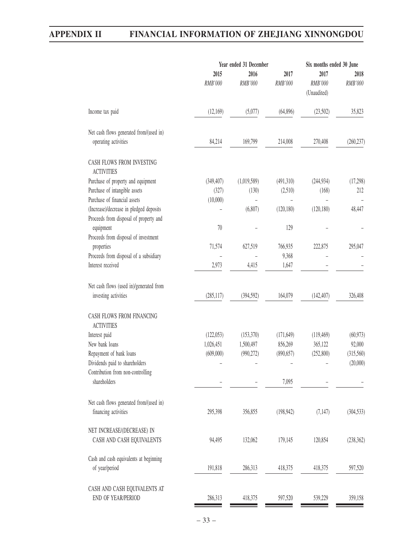|                                                                 |            | Year ended 31 December | Six months ended 30 June |                        |            |
|-----------------------------------------------------------------|------------|------------------------|--------------------------|------------------------|------------|
|                                                                 | 2015       | 2016                   | 2017                     | 2017                   | 2018       |
|                                                                 | RMB'000    | RMB'000                | RMB'000                  | RMB'000<br>(Unaudited) | RMB'000    |
| Income tax paid                                                 | (12,169)   | (5,077)                | (64,896)                 | (23,502)               | 35,823     |
| Net cash flows generated from/(used in)                         |            |                        |                          |                        |            |
| operating activities                                            | 84,214     | 169,799                | 214,008                  | 270,408                | (260, 237) |
| CASH FLOWS FROM INVESTING<br><b>ACTIVITIES</b>                  |            |                        |                          |                        |            |
| Purchase of property and equipment                              | (349, 407) | (1,019,589)            | (491,310)                | (244, 934)             | (17,298)   |
| Purchase of intangible assets                                   | (327)      | (130)                  | (2,510)                  | (168)                  | 212        |
| Purchase of financial assets                                    | (10,000)   |                        |                          |                        |            |
| (Increase)/decrease in pledged deposits                         |            | (6,807)                | (120, 180)               | (120, 180)             | 48,447     |
| Proceeds from disposal of property and                          |            |                        |                          |                        |            |
| equipment                                                       | 70         |                        | 129                      |                        |            |
| Proceeds from disposal of investment                            |            |                        |                          |                        |            |
| properties                                                      | 71,574     | 627,519                | 766,935                  | 222,875                | 295,047    |
| Proceeds from disposal of a subsidiary                          |            |                        | 9,368                    |                        |            |
| Interest received                                               | 2,973      | 4,415                  | 1,647                    |                        |            |
| Net cash flows (used in)/generated from<br>investing activities | (285, 117) | (394, 592)             | 164,079                  | (142, 407)             | 326,408    |
| CASH FLOWS FROM FINANCING<br><b>ACTIVITIES</b>                  |            |                        |                          |                        |            |
| Interest paid                                                   | (122,053)  | (153,370)              | (171, 649)               | (119, 469)             | (60, 973)  |
| New bank loans                                                  | 1,026,451  | 1,500,497              | 856,269                  | 365,122                | 92,000     |
| Repayment of bank loans                                         | (609,000)  | (990, 272)             | (890, 657)               | (252,800)              | (315,560)  |
| Dividends paid to shareholders                                  |            |                        |                          |                        | (20,000)   |
| Contribution from non-controlling                               |            |                        |                          |                        |            |
| shareholders                                                    |            |                        | 7,095                    |                        |            |
| Net cash flows generated from/(used in)                         |            |                        |                          |                        |            |
| financing activities                                            | 295,398    | 356,855                | (198, 942)               | (7, 147)               | (304, 533) |
| NET INCREASE/(DECREASE) IN                                      |            |                        |                          |                        |            |
| CASH AND CASH EQUIVALENTS                                       | 94,495     | 132,062                | 179,145                  | 120,854                | (238, 362) |
| Cash and cash equivalents at beginning                          |            |                        |                          |                        |            |
| of year/period                                                  | 191,818    | 286,313                | 418,375                  | 418,375                | 597,520    |
| CASH AND CASH EQUIVALENTS AT                                    |            |                        |                          |                        |            |
| END OF YEAR/PERIOD                                              | 286,313    | 418,375                | 597,520                  | 539,229                | 359,158    |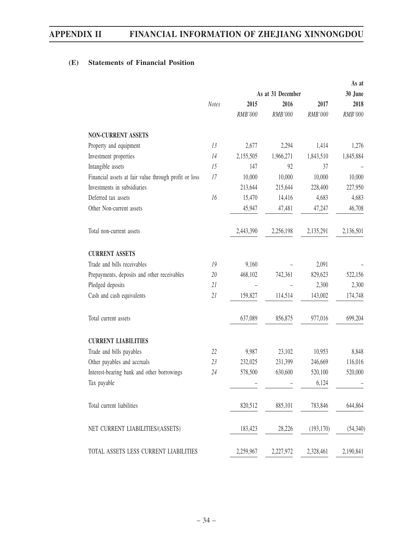# **(E) Statements of Financial Position**

|                                                       |              |                   |           |            | As at     |
|-------------------------------------------------------|--------------|-------------------|-----------|------------|-----------|
|                                                       |              | As at 31 December |           |            | 30 June   |
|                                                       | <b>Notes</b> | 2015              | 2016      | 2017       | 2018      |
|                                                       |              | RMB'000           | RMB'000   | RMB'000    | RMB'000   |
| <b>NON-CURRENT ASSETS</b>                             |              |                   |           |            |           |
| Property and equipment                                | 13           | 2,677             | 2,294     | 1,414      | 1,276     |
| Investment properties                                 | 14           | 2,155,505         | 1,966,271 | 1,843,510  | 1,845,884 |
| Intangible assets                                     | 15           | 147               | 92        | 37         |           |
| Financial assets at fair value through profit or loss | 17           | 10,000            | 10,000    | 10,000     | 10,000    |
| Investments in subsidiaries                           |              | 213,644           | 215,644   | 228,400    | 227,950   |
| Deferred tax assets                                   | 16           | 15,470            | 14,416    | 4,683      | 4,683     |
| Other Non-current assets                              |              | 45,947            | 47,481    | 47,247     | 46,708    |
| Total non-current assets                              |              | 2,443,390         | 2,256,198 | 2,135,291  | 2,136,501 |
| <b>CURRENT ASSETS</b>                                 |              |                   |           |            |           |
| Trade and bills receivables                           | 19           | 9,160             |           | 2,091      |           |
| Prepayments, deposits and other receivables           | 20           | 468,102           | 742,361   | 829,623    | 522,156   |
| Pledged deposits                                      | 21           |                   |           | 2,300      | 2,300     |
| Cash and cash equivalents                             | 21           | 159,827           | 114,514   | 143,002    | 174,748   |
| Total current assets                                  |              | 637,089           | 856,875   | 977,016    | 699,204   |
| <b>CURRENT LIABILITIES</b>                            |              |                   |           |            |           |
| Trade and bills payables                              | 22           | 9,987             | 23,102    | 10,953     | 8,848     |
| Other payables and accruals                           | 23           | 232,025           | 231,399   | 246,669    | 116,016   |
| Interest-bearing bank and other borrowings            | 24           | 578,500           | 630,600   | 520,100    | 520,000   |
| Tax payable                                           |              |                   |           | 6,124      |           |
| Total current liabilities                             |              | 820,512           | 885,101   | 783,846    | 644,864   |
| NET CURRENT LIABILITIES/(ASSETS)                      |              | 183,423           | 28,226    | (193, 170) | (54, 340) |
| TOTAL ASSETS LESS CURRENT LIABILITIES                 |              | 2,259,967         | 2,227,972 | 2,328,461  | 2,190,841 |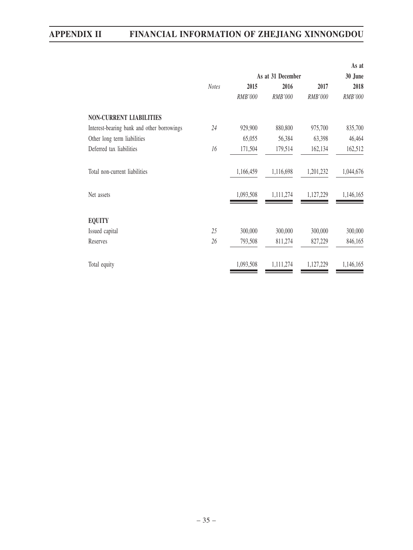|                                            |                   |           |           |           | As at     |  |  |
|--------------------------------------------|-------------------|-----------|-----------|-----------|-----------|--|--|
|                                            | As at 31 December |           |           |           |           |  |  |
|                                            | <b>Notes</b>      | 2015      | 2016      | 2017      | 2018      |  |  |
|                                            |                   | RMB'000   | RMB'000   | RMB'000   | RMB'000   |  |  |
| <b>NON-CURRENT LIABILITIES</b>             |                   |           |           |           |           |  |  |
| Interest-bearing bank and other borrowings | 24                | 929,900   | 880,800   | 975,700   | 835,700   |  |  |
| Other long term liabilities                |                   | 65,055    | 56,384    | 63,398    | 46,464    |  |  |
| Deferred tax liabilities                   | 16                | 171,504   | 179,514   | 162,134   | 162,512   |  |  |
| Total non-current liabilities              |                   | 1,166,459 | 1,116,698 | 1,201,232 | 1,044,676 |  |  |
| Net assets                                 |                   | 1,093,508 | 1,111,274 | 1,127,229 | 1,146,165 |  |  |
| <b>EQUITY</b>                              |                   |           |           |           |           |  |  |
| Issued capital                             | 25                | 300,000   | 300,000   | 300,000   | 300,000   |  |  |
| Reserves                                   | 26                | 793,508   | 811,274   | 827,229   | 846,165   |  |  |
| Total equity                               |                   | 1,093,508 | 1,111,274 | 1,127,229 | 1,146,165 |  |  |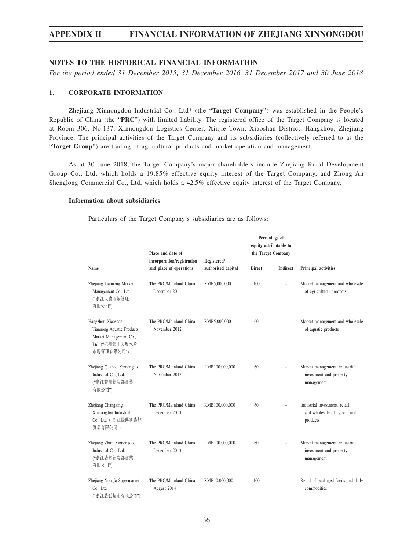## **NOTES TO THE HISTORICAL FINANCIAL INFORMATION**

*For the period ended 31 December 2015, 31 December 2016, 31 December 2017 and 30 June 2018*

#### **1. CORPORATE INFORMATION**

Zhejiang Xinnongdou Industrial Co., Ltd\* (the "**Target Company**") was established in the People's Republic of China (the "**PRC**") with limited liability. The registered office of the Target Company is located at Room 306, No.137, Xinnongdou Logistics Center, Xinjie Town, Xiaoshan District, Hangzhou, Zhejiang Province. The principal activities of the Target Company and its subsidiaries (collectively referred to as the "**Target Group**") are trading of agricultural products and market operation and management.

As at 30 June 2018, the Target Company's major shareholders include Zhejiang Rural Development Group Co., Ltd, which holds a 19.85% effective equity interest of the Target Company, and Zhong An Shenglong Commercial Co., Ltd, which holds a 42.5% effective equity interest of the Target Company.

#### **Information about subsidiaries**

Particulars of the Target Company's subsidiaries are as follows:

|                                                                                                           | Place and date of<br>incorporation/registration | Registered/        |               | Percentage of<br>equity attributable to<br>the Target Company |                                                                            |  |
|-----------------------------------------------------------------------------------------------------------|-------------------------------------------------|--------------------|---------------|---------------------------------------------------------------|----------------------------------------------------------------------------|--|
| Name                                                                                                      | and place of operations                         | authorised capital | <b>Direct</b> | <b>Indirect</b>                                               | Principal activities                                                       |  |
| Zhejiang Tiannong Market<br>Management Co., Ltd.<br>("浙江天農市場管理<br>有限公司")                                  | The PRC/Mainland China<br>December 2011         | RMB5,000,000       | 100           | $\equiv$                                                      | Market management and wholesale<br>of agricultural products                |  |
| Hangzhou Xiaoshan<br>Tiannong Aquatic Products<br>Market Management Co.,<br>Ltd. ("杭州蕭山天農水產<br>市場管理有限公司") | The PRC/Mainland China<br>November 2012         | RMB5,000,000       | 60            |                                                               | Market management and wholesale<br>of aquatic products                     |  |
| Zhejiang Quzhou Xinnongdou<br>Industrial Co., Ltd.<br>("浙江衢州新農都實業<br>有限公司")                               | The PRC/Mainland China<br>November 2013         | RMB100,000,000     | 60            | ÷,                                                            | Market management, industrial<br>investment and property<br>management     |  |
| Zhejiang Changxing<br>Xinnongdou Industrial<br>Co., Ltd. ("浙江長興新農都<br>實業有限公司")                            | The PRC/Mainland China<br>December 2013         | RMB100,000,000     | 60            |                                                               | Industrial investment, retail<br>and wholesale of agricultural<br>products |  |
| Zhejiang Zhuji Xinnongdou<br>Industrial Co., Ltd<br>("浙江諸暨新農都實業<br>有限公司")                                 | The PRC/Mainland China<br>December 2013         | RMB100,000,000     | 60            |                                                               | Market management, industrial<br>investment and property<br>management     |  |
| Zhejiang Nongfa Supermarket<br>Co., Ltd.<br>("浙江農發超市有限公司")                                                | The PRC/Mainland China<br>August 2014           | RMB10,000,000      | 100           |                                                               | Retail of packaged foods and daily<br>commodities                          |  |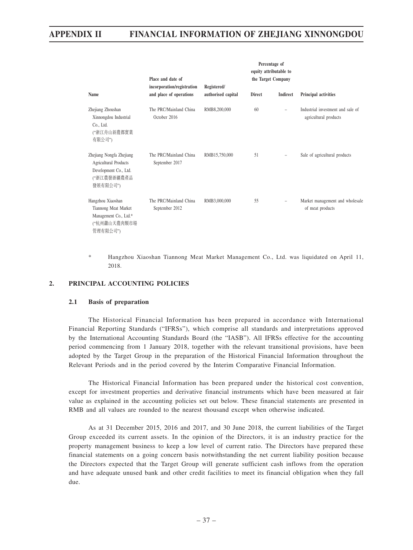|                                                                                                              | Place and date of                                     |                                   |               | Percentage of<br>equity attributable to<br>the Target Company |                                                            |  |
|--------------------------------------------------------------------------------------------------------------|-------------------------------------------------------|-----------------------------------|---------------|---------------------------------------------------------------|------------------------------------------------------------|--|
| Name                                                                                                         | incorporation/registration<br>and place of operations | Registered/<br>authorised capital | <b>Direct</b> | Indirect                                                      | Principal activities                                       |  |
| Zhejiang Zhoushan<br>Xinnongdou Industrial<br>Co., Ltd.<br>("浙江舟山新農都實業<br>有限公司")                             | The PRC/Mainland China<br>October 2016                | RMB8,200,000                      | 60            |                                                               | Industrial investment and sale of<br>agricultural products |  |
| Zhejiang Nongfa Zhejiang<br><b>Agricultural Products</b><br>Development Co., Ltd.<br>("浙江農發浙疆農產品<br>發展有限公司") | The PRC/Mainland China<br>September 2017              | RMB15,750,000                     | 51            |                                                               | Sale of agricultural products                              |  |
| Hangzhou Xiaoshan<br>Tiannong Meat Market<br>Management Co., Ltd.*<br>("杭州蕭山天農肉類市場<br>管理有限公司")               | The PRC/Mainland China<br>September 2012              | RMB3,000,000                      | 55            |                                                               | Market management and wholesale<br>of meat products        |  |

\* Hangzhou Xiaoshan Tiannong Meat Market Management Co., Ltd. was liquidated on April 11, 2018.

## **2. PRINCIPAL ACCOUNTING POLICIES**

#### **2.1 Basis of preparation**

The Historical Financial Information has been prepared in accordance with International Financial Reporting Standards ("IFRSs"), which comprise all standards and interpretations approved by the International Accounting Standards Board (the "IASB"). All IFRSs effective for the accounting period commencing from 1 January 2018, together with the relevant transitional provisions, have been adopted by the Target Group in the preparation of the Historical Financial Information throughout the Relevant Periods and in the period covered by the Interim Comparative Financial Information.

The Historical Financial Information has been prepared under the historical cost convention, except for investment properties and derivative financial instruments which have been measured at fair value as explained in the accounting policies set out below. These financial statements are presented in RMB and all values are rounded to the nearest thousand except when otherwise indicated.

As at 31 December 2015, 2016 and 2017, and 30 June 2018, the current liabilities of the Target Group exceeded its current assets. In the opinion of the Directors, it is an industry practice for the property management business to keep a low level of current ratio. The Directors have prepared these financial statements on a going concern basis notwithstanding the net current liability position because the Directors expected that the Target Group will generate sufficient cash inflows from the operation and have adequate unused bank and other credit facilities to meet its financial obligation when they fall due.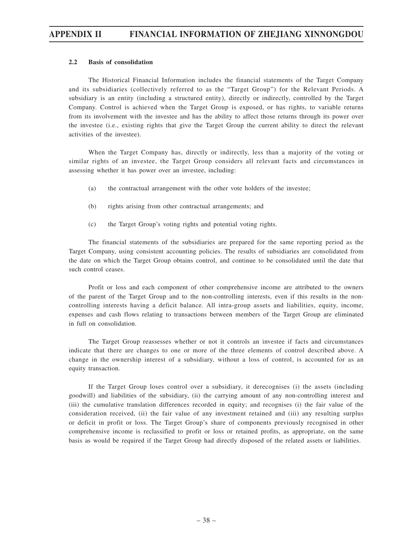#### **2.2 Basis of consolidation**

The Historical Financial Information includes the financial statements of the Target Company and its subsidiaries (collectively referred to as the "Target Group") for the Relevant Periods. A subsidiary is an entity (including a structured entity), directly or indirectly, controlled by the Target Company. Control is achieved when the Target Group is exposed, or has rights, to variable returns from its involvement with the investee and has the ability to affect those returns through its power over the investee (i.e., existing rights that give the Target Group the current ability to direct the relevant activities of the investee).

When the Target Company has, directly or indirectly, less than a majority of the voting or similar rights of an investee, the Target Group considers all relevant facts and circumstances in assessing whether it has power over an investee, including:

- (a) the contractual arrangement with the other vote holders of the investee;
- (b) rights arising from other contractual arrangements; and
- (c) the Target Group's voting rights and potential voting rights.

The financial statements of the subsidiaries are prepared for the same reporting period as the Target Company, using consistent accounting policies. The results of subsidiaries are consolidated from the date on which the Target Group obtains control, and continue to be consolidated until the date that such control ceases.

Profit or loss and each component of other comprehensive income are attributed to the owners of the parent of the Target Group and to the non-controlling interests, even if this results in the noncontrolling interests having a deficit balance. All intra-group assets and liabilities, equity, income, expenses and cash flows relating to transactions between members of the Target Group are eliminated in full on consolidation.

The Target Group reassesses whether or not it controls an investee if facts and circumstances indicate that there are changes to one or more of the three elements of control described above. A change in the ownership interest of a subsidiary, without a loss of control, is accounted for as an equity transaction.

If the Target Group loses control over a subsidiary, it derecognises (i) the assets (including goodwill) and liabilities of the subsidiary, (ii) the carrying amount of any non-controlling interest and (iii) the cumulative translation differences recorded in equity; and recognises (i) the fair value of the consideration received, (ii) the fair value of any investment retained and (iii) any resulting surplus or deficit in profit or loss. The Target Group's share of components previously recognised in other comprehensive income is reclassified to profit or loss or retained profits, as appropriate, on the same basis as would be required if the Target Group had directly disposed of the related assets or liabilities.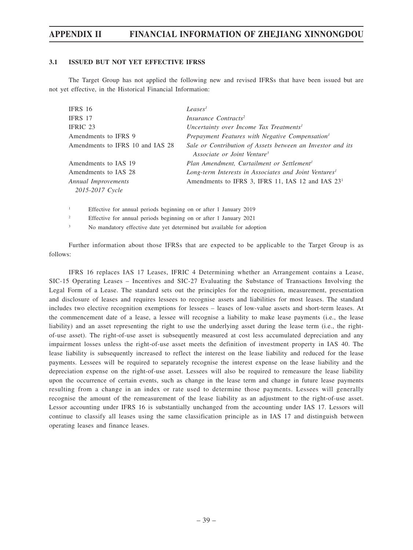### **3.1 ISSUED BUT NOT YET EFFECTIVE IFRSS**

The Target Group has not applied the following new and revised IFRSs that have been issued but are not yet effective, in the Historical Financial Information:

| IFRS 16                          | Leases <sup>1</sup>                                               |
|----------------------------------|-------------------------------------------------------------------|
| IFRS 17                          | Insurance Contracts <sup>2</sup>                                  |
| IFRIC 23                         | Uncertainty over Income Tax Treatments <sup>1</sup>               |
| Amendments to IFRS 9             | Prepayment Features with Negative Compensation <sup>1</sup>       |
| Amendments to IFRS 10 and IAS 28 | Sale or Contribution of Assets between an Investor and its        |
|                                  | Associate or Joint Venture <sup>3</sup>                           |
| Amendments to IAS 19             | Plan Amendment, Curtailment or Settlement <sup>1</sup>            |
| Amendments to IAS 28             | Long-term Interests in Associates and Joint Ventures <sup>1</sup> |
| Annual Improvements              | Amendments to IFRS 3, IFRS 11, IAS 12 and IAS 23 <sup>1</sup>     |
| 2015-2017 Cycle                  |                                                                   |

1 Effective for annual periods beginning on or after 1 January 2019

 $\overline{2}$ Effective for annual periods beginning on or after 1 January 2021

3 No mandatory effective date yet determined but available for adoption

Further information about those IFRSs that are expected to be applicable to the Target Group is as follows:

IFRS 16 replaces IAS 17 Leases, IFRIC 4 Determining whether an Arrangement contains a Lease, SIC-15 Operating Leases – Incentives and SIC-27 Evaluating the Substance of Transactions Involving the Legal Form of a Lease. The standard sets out the principles for the recognition, measurement, presentation and disclosure of leases and requires lessees to recognise assets and liabilities for most leases. The standard includes two elective recognition exemptions for lessees – leases of low-value assets and short-term leases. At the commencement date of a lease, a lessee will recognise a liability to make lease payments (i.e., the lease liability) and an asset representing the right to use the underlying asset during the lease term (i.e., the rightof-use asset). The right-of-use asset is subsequently measured at cost less accumulated depreciation and any impairment losses unless the right-of-use asset meets the definition of investment property in IAS 40. The lease liability is subsequently increased to reflect the interest on the lease liability and reduced for the lease payments. Lessees will be required to separately recognise the interest expense on the lease liability and the depreciation expense on the right-of-use asset. Lessees will also be required to remeasure the lease liability upon the occurrence of certain events, such as change in the lease term and change in future lease payments resulting from a change in an index or rate used to determine those payments. Lessees will generally recognise the amount of the remeasurement of the lease liability as an adjustment to the right-of-use asset. Lessor accounting under IFRS 16 is substantially unchanged from the accounting under IAS 17. Lessors will continue to classify all leases using the same classification principle as in IAS 17 and distinguish between operating leases and finance leases.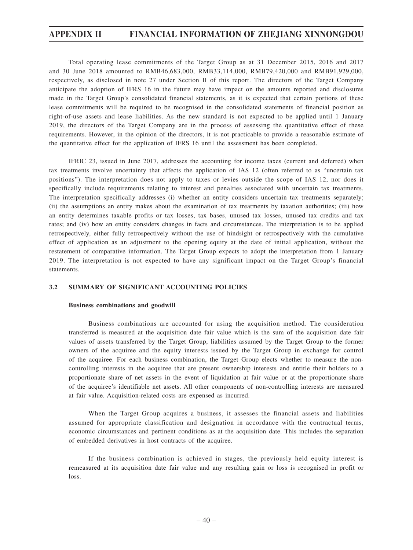Total operating lease commitments of the Target Group as at 31 December 2015, 2016 and 2017 and 30 June 2018 amounted to RMB46,683,000, RMB33,114,000, RMB79,420,000 and RMB91,929,000, respectively, as disclosed in note 27 under Section II of this report. The directors of the Target Company anticipate the adoption of IFRS 16 in the future may have impact on the amounts reported and disclosures made in the Target Group's consolidated financial statements, as it is expected that certain portions of these lease commitments will be required to be recognised in the consolidated statements of financial position as right-of-use assets and lease liabilities. As the new standard is not expected to be applied until 1 January 2019, the directors of the Target Company are in the process of assessing the quantitative effect of these requirements. However, in the opinion of the directors, it is not practicable to provide a reasonable estimate of the quantitative effect for the application of IFRS 16 until the assessment has been completed.

IFRIC 23, issued in June 2017, addresses the accounting for income taxes (current and deferred) when tax treatments involve uncertainty that affects the application of IAS 12 (often referred to as "uncertain tax positions"). The interpretation does not apply to taxes or levies outside the scope of IAS 12, nor does it specifically include requirements relating to interest and penalties associated with uncertain tax treatments. The interpretation specifically addresses (i) whether an entity considers uncertain tax treatments separately; (ii) the assumptions an entity makes about the examination of tax treatments by taxation authorities; (iii) how an entity determines taxable profits or tax losses, tax bases, unused tax losses, unused tax credits and tax rates; and (iv) how an entity considers changes in facts and circumstances. The interpretation is to be applied retrospectively, either fully retrospectively without the use of hindsight or retrospectively with the cumulative effect of application as an adjustment to the opening equity at the date of initial application, without the restatement of comparative information. The Target Group expects to adopt the interpretation from 1 January 2019. The interpretation is not expected to have any significant impact on the Target Group's financial statements.

#### **3.2 SUMMARY OF SIGNIFICANT ACCOUNTING POLICIES**

#### **Business combinations and goodwill**

Business combinations are accounted for using the acquisition method. The consideration transferred is measured at the acquisition date fair value which is the sum of the acquisition date fair values of assets transferred by the Target Group, liabilities assumed by the Target Group to the former owners of the acquiree and the equity interests issued by the Target Group in exchange for control of the acquiree. For each business combination, the Target Group elects whether to measure the noncontrolling interests in the acquiree that are present ownership interests and entitle their holders to a proportionate share of net assets in the event of liquidation at fair value or at the proportionate share of the acquiree's identifiable net assets. All other components of non-controlling interests are measured at fair value. Acquisition-related costs are expensed as incurred.

When the Target Group acquires a business, it assesses the financial assets and liabilities assumed for appropriate classification and designation in accordance with the contractual terms, economic circumstances and pertinent conditions as at the acquisition date. This includes the separation of embedded derivatives in host contracts of the acquiree.

If the business combination is achieved in stages, the previously held equity interest is remeasured at its acquisition date fair value and any resulting gain or loss is recognised in profit or loss.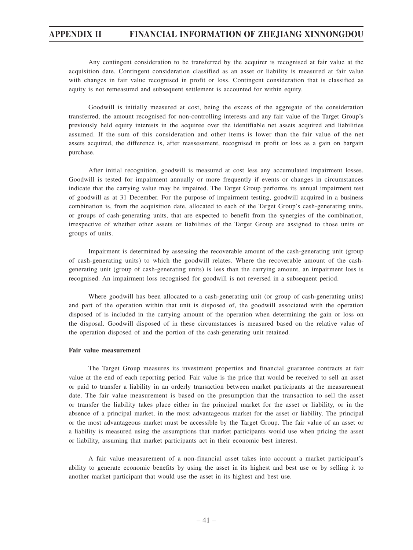Any contingent consideration to be transferred by the acquirer is recognised at fair value at the acquisition date. Contingent consideration classified as an asset or liability is measured at fair value with changes in fair value recognised in profit or loss. Contingent consideration that is classified as equity is not remeasured and subsequent settlement is accounted for within equity.

Goodwill is initially measured at cost, being the excess of the aggregate of the consideration transferred, the amount recognised for non-controlling interests and any fair value of the Target Group's previously held equity interests in the acquiree over the identifiable net assets acquired and liabilities assumed. If the sum of this consideration and other items is lower than the fair value of the net assets acquired, the difference is, after reassessment, recognised in profit or loss as a gain on bargain purchase.

After initial recognition, goodwill is measured at cost less any accumulated impairment losses. Goodwill is tested for impairment annually or more frequently if events or changes in circumstances indicate that the carrying value may be impaired. The Target Group performs its annual impairment test of goodwill as at 31 December. For the purpose of impairment testing, goodwill acquired in a business combination is, from the acquisition date, allocated to each of the Target Group's cash-generating units, or groups of cash-generating units, that are expected to benefit from the synergies of the combination, irrespective of whether other assets or liabilities of the Target Group are assigned to those units or groups of units.

Impairment is determined by assessing the recoverable amount of the cash-generating unit (group of cash-generating units) to which the goodwill relates. Where the recoverable amount of the cashgenerating unit (group of cash-generating units) is less than the carrying amount, an impairment loss is recognised. An impairment loss recognised for goodwill is not reversed in a subsequent period.

Where goodwill has been allocated to a cash-generating unit (or group of cash-generating units) and part of the operation within that unit is disposed of, the goodwill associated with the operation disposed of is included in the carrying amount of the operation when determining the gain or loss on the disposal. Goodwill disposed of in these circumstances is measured based on the relative value of the operation disposed of and the portion of the cash-generating unit retained.

#### **Fair value measurement**

The Target Group measures its investment properties and financial guarantee contracts at fair value at the end of each reporting period. Fair value is the price that would be received to sell an asset or paid to transfer a liability in an orderly transaction between market participants at the measurement date. The fair value measurement is based on the presumption that the transaction to sell the asset or transfer the liability takes place either in the principal market for the asset or liability, or in the absence of a principal market, in the most advantageous market for the asset or liability. The principal or the most advantageous market must be accessible by the Target Group. The fair value of an asset or a liability is measured using the assumptions that market participants would use when pricing the asset or liability, assuming that market participants act in their economic best interest.

A fair value measurement of a non-financial asset takes into account a market participant's ability to generate economic benefits by using the asset in its highest and best use or by selling it to another market participant that would use the asset in its highest and best use.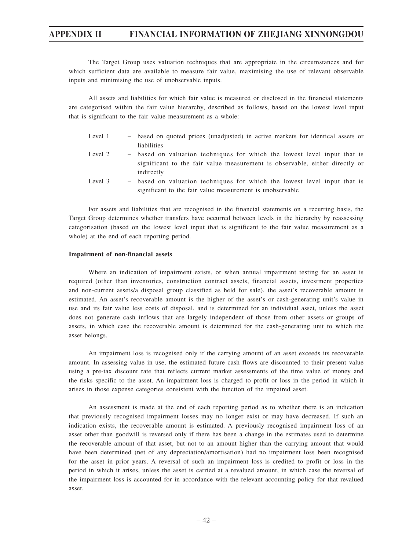The Target Group uses valuation techniques that are appropriate in the circumstances and for which sufficient data are available to measure fair value, maximising the use of relevant observable inputs and minimising the use of unobservable inputs.

All assets and liabilities for which fair value is measured or disclosed in the financial statements are categorised within the fair value hierarchy, described as follows, based on the lowest level input that is significant to the fair value measurement as a whole:

- Level 1 based on quoted prices (unadjusted) in active markets for identical assets or liabilities
- Level 2 based on valuation techniques for which the lowest level input that is significant to the fair value measurement is observable, either directly or indirectly
- Level 3 based on valuation techniques for which the lowest level input that is significant to the fair value measurement is unobservable

For assets and liabilities that are recognised in the financial statements on a recurring basis, the Target Group determines whether transfers have occurred between levels in the hierarchy by reassessing categorisation (based on the lowest level input that is significant to the fair value measurement as a whole) at the end of each reporting period.

#### **Impairment of non-financial assets**

Where an indication of impairment exists, or when annual impairment testing for an asset is required (other than inventories, construction contract assets, financial assets, investment properties and non-current assets/a disposal group classified as held for sale), the asset's recoverable amount is estimated. An asset's recoverable amount is the higher of the asset's or cash-generating unit's value in use and its fair value less costs of disposal, and is determined for an individual asset, unless the asset does not generate cash inflows that are largely independent of those from other assets or groups of assets, in which case the recoverable amount is determined for the cash-generating unit to which the asset belongs.

An impairment loss is recognised only if the carrying amount of an asset exceeds its recoverable amount. In assessing value in use, the estimated future cash flows are discounted to their present value using a pre-tax discount rate that reflects current market assessments of the time value of money and the risks specific to the asset. An impairment loss is charged to profit or loss in the period in which it arises in those expense categories consistent with the function of the impaired asset.

An assessment is made at the end of each reporting period as to whether there is an indication that previously recognised impairment losses may no longer exist or may have decreased. If such an indication exists, the recoverable amount is estimated. A previously recognised impairment loss of an asset other than goodwill is reversed only if there has been a change in the estimates used to determine the recoverable amount of that asset, but not to an amount higher than the carrying amount that would have been determined (net of any depreciation/amortisation) had no impairment loss been recognised for the asset in prior years. A reversal of such an impairment loss is credited to profit or loss in the period in which it arises, unless the asset is carried at a revalued amount, in which case the reversal of the impairment loss is accounted for in accordance with the relevant accounting policy for that revalued asset.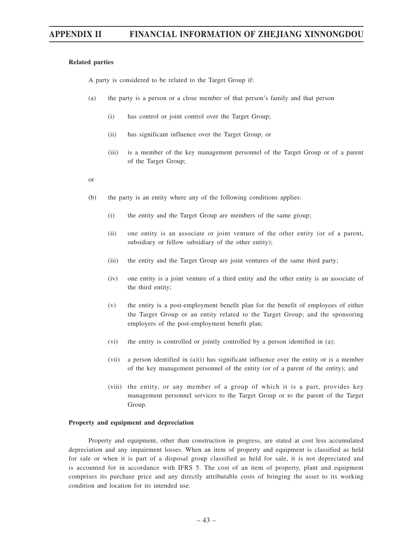#### **Related parties**

A party is considered to be related to the Target Group if:

- (a) the party is a person or a close member of that person's family and that person
	- (i) has control or joint control over the Target Group;
	- (ii) has significant influence over the Target Group; or
	- (iii) is a member of the key management personnel of the Target Group or of a parent of the Target Group;
- or
- (b) the party is an entity where any of the following conditions applies:
	- (i) the entity and the Target Group are members of the same group;
	- (ii) one entity is an associate or joint venture of the other entity (or of a parent, subsidiary or fellow subsidiary of the other entity);
	- (iii) the entity and the Target Group are joint ventures of the same third party;
	- (iv) one entity is a joint venture of a third entity and the other entity is an associate of the third entity;
	- (v) the entity is a post-employment benefit plan for the benefit of employees of either the Target Group or an entity related to the Target Group; and the sponsoring employers of the post-employment benefit plan;
	- (vi) the entity is controlled or jointly controlled by a person identified in (a);
	- (vii) a person identified in  $(a)(i)$  has significant influence over the entity or is a member of the key management personnel of the entity (or of a parent of the entity); and
	- (viii) the entity, or any member of a group of which it is a part, provides key management personnel services to the Target Group or to the parent of the Target Group.

#### **Property and equipment and depreciation**

Property and equipment, other than construction in progress, are stated at cost less accumulated depreciation and any impairment losses. When an item of property and equipment is classified as held for sale or when it is part of a disposal group classified as held for sale, it is not depreciated and is accounted for in accordance with IFRS 5. The cost of an item of property, plant and equipment comprises its purchase price and any directly attributable costs of bringing the asset to its working condition and location for its intended use.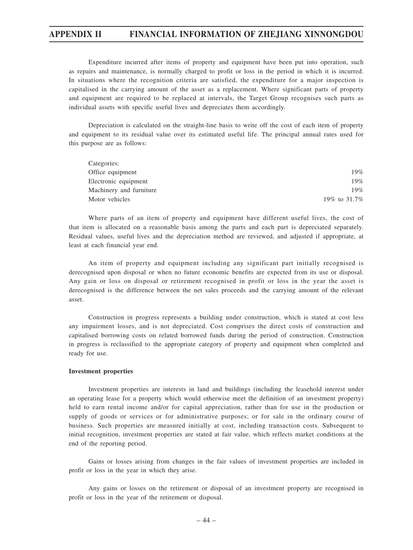Expenditure incurred after items of property and equipment have been put into operation, such as repairs and maintenance, is normally charged to profit or loss in the period in which it is incurred. In situations where the recognition criteria are satisfied, the expenditure for a major inspection is capitalised in the carrying amount of the asset as a replacement. Where significant parts of property and equipment are required to be replaced at intervals, the Target Group recognises such parts as individual assets with specific useful lives and depreciates them accordingly.

Depreciation is calculated on the straight-line basis to write off the cost of each item of property and equipment to its residual value over its estimated useful life. The principal annual rates used for this purpose are as follows:

| Categories:             |              |
|-------------------------|--------------|
| Office equipment        | 19%          |
| Electronic equipment    | 19%          |
| Machinery and furniture | 19%          |
| Motor vehicles          | 19% to 31.7% |

Where parts of an item of property and equipment have different useful lives, the cost of that item is allocated on a reasonable basis among the parts and each part is depreciated separately. Residual values, useful lives and the depreciation method are reviewed, and adjusted if appropriate, at least at each financial year end.

An item of property and equipment including any significant part initially recognised is derecognised upon disposal or when no future economic benefits are expected from its use or disposal. Any gain or loss on disposal or retirement recognised in profit or loss in the year the asset is derecognised is the difference between the net sales proceeds and the carrying amount of the relevant asset.

Construction in progress represents a building under construction, which is stated at cost less any impairment losses, and is not depreciated. Cost comprises the direct costs of construction and capitalised borrowing costs on related borrowed funds during the period of construction. Construction in progress is reclassified to the appropriate category of property and equipment when completed and ready for use.

#### **Investment properties**

Investment properties are interests in land and buildings (including the leasehold interest under an operating lease for a property which would otherwise meet the definition of an investment property) held to earn rental income and/or for capital appreciation, rather than for use in the production or supply of goods or services or for administrative purposes; or for sale in the ordinary course of business. Such properties are measured initially at cost, including transaction costs. Subsequent to initial recognition, investment properties are stated at fair value, which reflects market conditions at the end of the reporting period.

Gains or losses arising from changes in the fair values of investment properties are included in profit or loss in the year in which they arise.

Any gains or losses on the retirement or disposal of an investment property are recognised in profit or loss in the year of the retirement or disposal.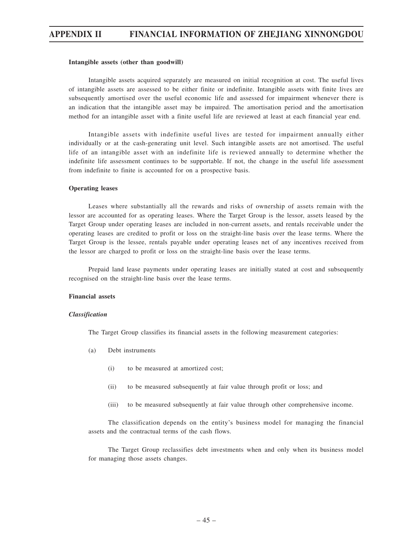#### **Intangible assets (other than goodwill)**

Intangible assets acquired separately are measured on initial recognition at cost. The useful lives of intangible assets are assessed to be either finite or indefinite. Intangible assets with finite lives are subsequently amortised over the useful economic life and assessed for impairment whenever there is an indication that the intangible asset may be impaired. The amortisation period and the amortisation method for an intangible asset with a finite useful life are reviewed at least at each financial year end.

Intangible assets with indefinite useful lives are tested for impairment annually either individually or at the cash-generating unit level. Such intangible assets are not amortised. The useful life of an intangible asset with an indefinite life is reviewed annually to determine whether the indefinite life assessment continues to be supportable. If not, the change in the useful life assessment from indefinite to finite is accounted for on a prospective basis.

#### **Operating leases**

Leases where substantially all the rewards and risks of ownership of assets remain with the lessor are accounted for as operating leases. Where the Target Group is the lessor, assets leased by the Target Group under operating leases are included in non-current assets, and rentals receivable under the operating leases are credited to profit or loss on the straight-line basis over the lease terms. Where the Target Group is the lessee, rentals payable under operating leases net of any incentives received from the lessor are charged to profit or loss on the straight-line basis over the lease terms.

Prepaid land lease payments under operating leases are initially stated at cost and subsequently recognised on the straight-line basis over the lease terms.

#### **Financial assets**

#### *Classification*

The Target Group classifies its financial assets in the following measurement categories:

- (a) Debt instruments
	- (i) to be measured at amortized cost;
	- (ii) to be measured subsequently at fair value through profit or loss; and
	- (iii) to be measured subsequently at fair value through other comprehensive income.

The classification depends on the entity's business model for managing the financial assets and the contractual terms of the cash flows.

The Target Group reclassifies debt investments when and only when its business model for managing those assets changes.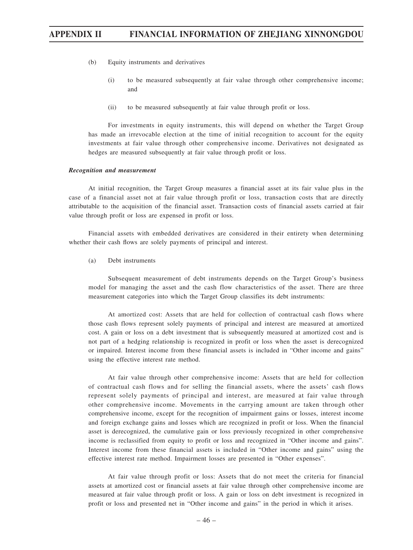- (b) Equity instruments and derivatives
	- (i) to be measured subsequently at fair value through other comprehensive income; and
	- (ii) to be measured subsequently at fair value through profit or loss.

For investments in equity instruments, this will depend on whether the Target Group has made an irrevocable election at the time of initial recognition to account for the equity investments at fair value through other comprehensive income. Derivatives not designated as hedges are measured subsequently at fair value through profit or loss.

#### *Recognition and measurement*

At initial recognition, the Target Group measures a financial asset at its fair value plus in the case of a financial asset not at fair value through profit or loss, transaction costs that are directly attributable to the acquisition of the financial asset. Transaction costs of financial assets carried at fair value through profit or loss are expensed in profit or loss.

Financial assets with embedded derivatives are considered in their entirety when determining whether their cash flows are solely payments of principal and interest.

(a) Debt instruments

Subsequent measurement of debt instruments depends on the Target Group's business model for managing the asset and the cash flow characteristics of the asset. There are three measurement categories into which the Target Group classifies its debt instruments:

At amortized cost: Assets that are held for collection of contractual cash flows where those cash flows represent solely payments of principal and interest are measured at amortized cost. A gain or loss on a debt investment that is subsequently measured at amortized cost and is not part of a hedging relationship is recognized in profit or loss when the asset is derecognized or impaired. Interest income from these financial assets is included in "Other income and gains" using the effective interest rate method.

At fair value through other comprehensive income: Assets that are held for collection of contractual cash flows and for selling the financial assets, where the assets' cash flows represent solely payments of principal and interest, are measured at fair value through other comprehensive income. Movements in the carrying amount are taken through other comprehensive income, except for the recognition of impairment gains or losses, interest income and foreign exchange gains and losses which are recognized in profit or loss. When the financial asset is derecognized, the cumulative gain or loss previously recognized in other comprehensive income is reclassified from equity to profit or loss and recognized in "Other income and gains". Interest income from these financial assets is included in "Other income and gains" using the effective interest rate method. Impairment losses are presented in "Other expenses".

At fair value through profit or loss: Assets that do not meet the criteria for financial assets at amortized cost or financial assets at fair value through other comprehensive income are measured at fair value through profit or loss. A gain or loss on debt investment is recognized in profit or loss and presented net in "Other income and gains" in the period in which it arises.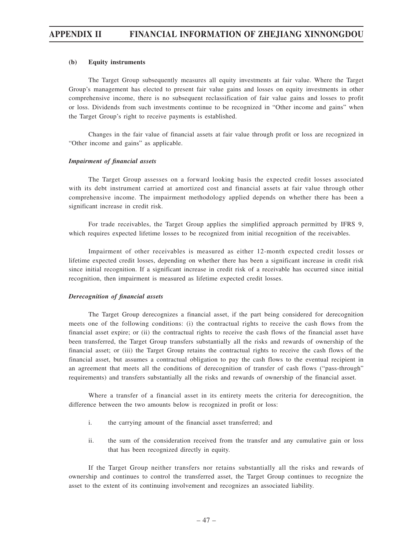#### **(b) Equity instruments**

The Target Group subsequently measures all equity investments at fair value. Where the Target Group's management has elected to present fair value gains and losses on equity investments in other comprehensive income, there is no subsequent reclassification of fair value gains and losses to profit or loss. Dividends from such investments continue to be recognized in "Other income and gains" when the Target Group's right to receive payments is established.

Changes in the fair value of financial assets at fair value through profit or loss are recognized in "Other income and gains" as applicable.

#### *Impairment of financial assets*

The Target Group assesses on a forward looking basis the expected credit losses associated with its debt instrument carried at amortized cost and financial assets at fair value through other comprehensive income. The impairment methodology applied depends on whether there has been a significant increase in credit risk.

For trade receivables, the Target Group applies the simplified approach permitted by IFRS 9, which requires expected lifetime losses to be recognized from initial recognition of the receivables.

Impairment of other receivables is measured as either 12-month expected credit losses or lifetime expected credit losses, depending on whether there has been a significant increase in credit risk since initial recognition. If a significant increase in credit risk of a receivable has occurred since initial recognition, then impairment is measured as lifetime expected credit losses.

#### *Derecognition of financial assets*

The Target Group derecognizes a financial asset, if the part being considered for derecognition meets one of the following conditions: (i) the contractual rights to receive the cash flows from the financial asset expire; or (ii) the contractual rights to receive the cash flows of the financial asset have been transferred, the Target Group transfers substantially all the risks and rewards of ownership of the financial asset; or (iii) the Target Group retains the contractual rights to receive the cash flows of the financial asset, but assumes a contractual obligation to pay the cash flows to the eventual recipient in an agreement that meets all the conditions of derecognition of transfer of cash flows ("pass-through" requirements) and transfers substantially all the risks and rewards of ownership of the financial asset.

Where a transfer of a financial asset in its entirety meets the criteria for derecognition, the difference between the two amounts below is recognized in profit or loss:

- i. the carrying amount of the financial asset transferred; and
- ii. the sum of the consideration received from the transfer and any cumulative gain or loss that has been recognized directly in equity.

If the Target Group neither transfers nor retains substantially all the risks and rewards of ownership and continues to control the transferred asset, the Target Group continues to recognize the asset to the extent of its continuing involvement and recognizes an associated liability.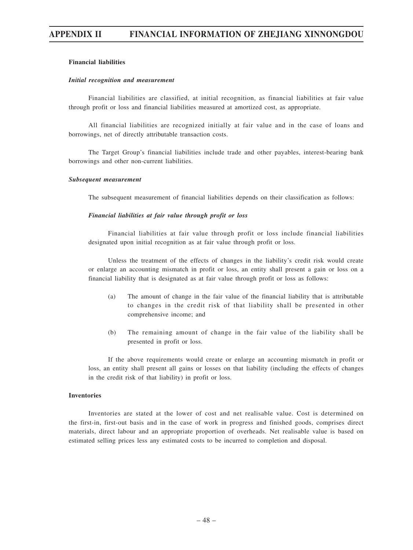#### **Financial liabilities**

#### *Initial recognition and measurement*

Financial liabilities are classified, at initial recognition, as financial liabilities at fair value through profit or loss and financial liabilities measured at amortized cost, as appropriate.

All financial liabilities are recognized initially at fair value and in the case of loans and borrowings, net of directly attributable transaction costs.

The Target Group's financial liabilities include trade and other payables, interest-bearing bank borrowings and other non-current liabilities.

#### *Subsequent measurement*

The subsequent measurement of financial liabilities depends on their classification as follows:

#### *Financial liabilities at fair value through profit or loss*

Financial liabilities at fair value through profit or loss include financial liabilities designated upon initial recognition as at fair value through profit or loss.

Unless the treatment of the effects of changes in the liability's credit risk would create or enlarge an accounting mismatch in profit or loss, an entity shall present a gain or loss on a financial liability that is designated as at fair value through profit or loss as follows:

- (a) The amount of change in the fair value of the financial liability that is attributable to changes in the credit risk of that liability shall be presented in other comprehensive income; and
- (b) The remaining amount of change in the fair value of the liability shall be presented in profit or loss.

If the above requirements would create or enlarge an accounting mismatch in profit or loss, an entity shall present all gains or losses on that liability (including the effects of changes in the credit risk of that liability) in profit or loss.

#### **Inventories**

Inventories are stated at the lower of cost and net realisable value. Cost is determined on the first-in, first-out basis and in the case of work in progress and finished goods, comprises direct materials, direct labour and an appropriate proportion of overheads. Net realisable value is based on estimated selling prices less any estimated costs to be incurred to completion and disposal.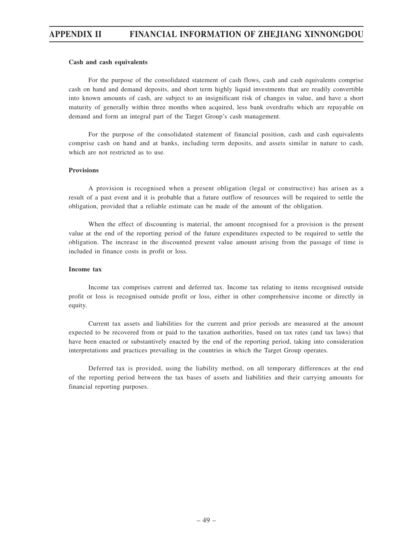#### **Cash and cash equivalents**

For the purpose of the consolidated statement of cash flows, cash and cash equivalents comprise cash on hand and demand deposits, and short term highly liquid investments that are readily convertible into known amounts of cash, are subject to an insignificant risk of changes in value, and have a short maturity of generally within three months when acquired, less bank overdrafts which are repayable on demand and form an integral part of the Target Group's cash management.

For the purpose of the consolidated statement of financial position, cash and cash equivalents comprise cash on hand and at banks, including term deposits, and assets similar in nature to cash, which are not restricted as to use.

#### **Provisions**

A provision is recognised when a present obligation (legal or constructive) has arisen as a result of a past event and it is probable that a future outflow of resources will be required to settle the obligation, provided that a reliable estimate can be made of the amount of the obligation.

When the effect of discounting is material, the amount recognised for a provision is the present value at the end of the reporting period of the future expenditures expected to be required to settle the obligation. The increase in the discounted present value amount arising from the passage of time is included in finance costs in profit or loss.

#### **Income tax**

Income tax comprises current and deferred tax. Income tax relating to items recognised outside profit or loss is recognised outside profit or loss, either in other comprehensive income or directly in equity.

Current tax assets and liabilities for the current and prior periods are measured at the amount expected to be recovered from or paid to the taxation authorities, based on tax rates (and tax laws) that have been enacted or substantively enacted by the end of the reporting period, taking into consideration interpretations and practices prevailing in the countries in which the Target Group operates.

Deferred tax is provided, using the liability method, on all temporary differences at the end of the reporting period between the tax bases of assets and liabilities and their carrying amounts for financial reporting purposes.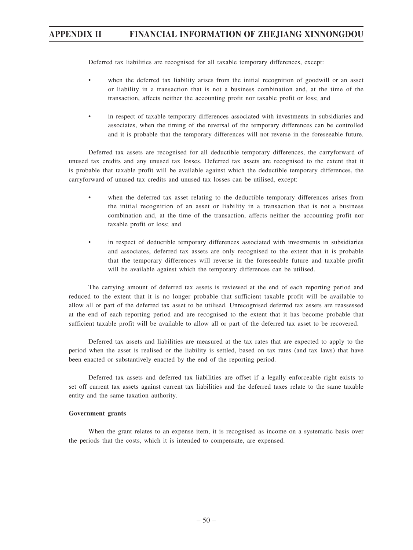Deferred tax liabilities are recognised for all taxable temporary differences, except:

- when the deferred tax liability arises from the initial recognition of goodwill or an asset or liability in a transaction that is not a business combination and, at the time of the transaction, affects neither the accounting profit nor taxable profit or loss; and
- in respect of taxable temporary differences associated with investments in subsidiaries and associates, when the timing of the reversal of the temporary differences can be controlled and it is probable that the temporary differences will not reverse in the foreseeable future.

Deferred tax assets are recognised for all deductible temporary differences, the carryforward of unused tax credits and any unused tax losses. Deferred tax assets are recognised to the extent that it is probable that taxable profit will be available against which the deductible temporary differences, the carryforward of unused tax credits and unused tax losses can be utilised, except:

- when the deferred tax asset relating to the deductible temporary differences arises from the initial recognition of an asset or liability in a transaction that is not a business combination and, at the time of the transaction, affects neither the accounting profit nor taxable profit or loss; and
- in respect of deductible temporary differences associated with investments in subsidiaries and associates, deferred tax assets are only recognised to the extent that it is probable that the temporary differences will reverse in the foreseeable future and taxable profit will be available against which the temporary differences can be utilised.

The carrying amount of deferred tax assets is reviewed at the end of each reporting period and reduced to the extent that it is no longer probable that sufficient taxable profit will be available to allow all or part of the deferred tax asset to be utilised. Unrecognised deferred tax assets are reassessed at the end of each reporting period and are recognised to the extent that it has become probable that sufficient taxable profit will be available to allow all or part of the deferred tax asset to be recovered.

Deferred tax assets and liabilities are measured at the tax rates that are expected to apply to the period when the asset is realised or the liability is settled, based on tax rates (and tax laws) that have been enacted or substantively enacted by the end of the reporting period.

Deferred tax assets and deferred tax liabilities are offset if a legally enforceable right exists to set off current tax assets against current tax liabilities and the deferred taxes relate to the same taxable entity and the same taxation authority.

#### **Government grants**

When the grant relates to an expense item, it is recognised as income on a systematic basis over the periods that the costs, which it is intended to compensate, are expensed.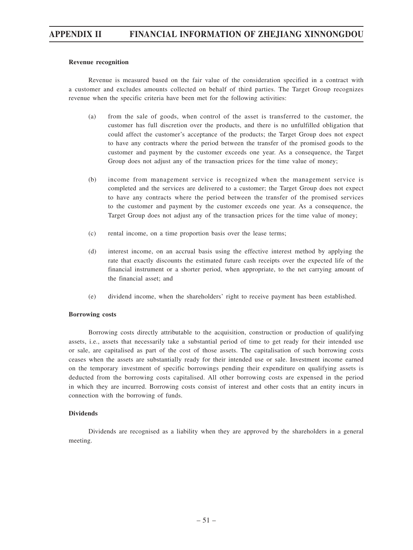#### **Revenue recognition**

Revenue is measured based on the fair value of the consideration specified in a contract with a customer and excludes amounts collected on behalf of third parties. The Target Group recognizes revenue when the specific criteria have been met for the following activities:

- (a) from the sale of goods, when control of the asset is transferred to the customer, the customer has full discretion over the products, and there is no unfulfilled obligation that could affect the customer's acceptance of the products; the Target Group does not expect to have any contracts where the period between the transfer of the promised goods to the customer and payment by the customer exceeds one year. As a consequence, the Target Group does not adjust any of the transaction prices for the time value of money;
- (b) income from management service is recognized when the management service is completed and the services are delivered to a customer; the Target Group does not expect to have any contracts where the period between the transfer of the promised services to the customer and payment by the customer exceeds one year. As a consequence, the Target Group does not adjust any of the transaction prices for the time value of money;
- (c) rental income, on a time proportion basis over the lease terms;
- (d) interest income, on an accrual basis using the effective interest method by applying the rate that exactly discounts the estimated future cash receipts over the expected life of the financial instrument or a shorter period, when appropriate, to the net carrying amount of the financial asset; and
- (e) dividend income, when the shareholders' right to receive payment has been established.

#### **Borrowing costs**

Borrowing costs directly attributable to the acquisition, construction or production of qualifying assets, i.e., assets that necessarily take a substantial period of time to get ready for their intended use or sale, are capitalised as part of the cost of those assets. The capitalisation of such borrowing costs ceases when the assets are substantially ready for their intended use or sale. Investment income earned on the temporary investment of specific borrowings pending their expenditure on qualifying assets is deducted from the borrowing costs capitalised. All other borrowing costs are expensed in the period in which they are incurred. Borrowing costs consist of interest and other costs that an entity incurs in connection with the borrowing of funds.

#### **Dividends**

Dividends are recognised as a liability when they are approved by the shareholders in a general meeting.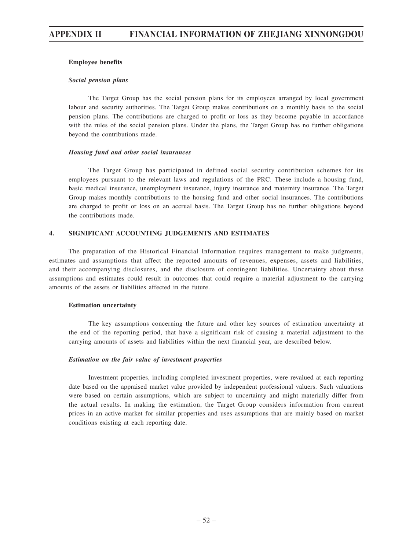#### **Employee benefits**

#### *Social pension plans*

The Target Group has the social pension plans for its employees arranged by local government labour and security authorities. The Target Group makes contributions on a monthly basis to the social pension plans. The contributions are charged to profit or loss as they become payable in accordance with the rules of the social pension plans. Under the plans, the Target Group has no further obligations beyond the contributions made.

#### *Housing fund and other social insurances*

The Target Group has participated in defined social security contribution schemes for its employees pursuant to the relevant laws and regulations of the PRC. These include a housing fund, basic medical insurance, unemployment insurance, injury insurance and maternity insurance. The Target Group makes monthly contributions to the housing fund and other social insurances. The contributions are charged to profit or loss on an accrual basis. The Target Group has no further obligations beyond the contributions made.

### **4. SIGNIFICANT ACCOUNTING JUDGEMENTS AND ESTIMATES**

The preparation of the Historical Financial Information requires management to make judgments, estimates and assumptions that affect the reported amounts of revenues, expenses, assets and liabilities, and their accompanying disclosures, and the disclosure of contingent liabilities. Uncertainty about these assumptions and estimates could result in outcomes that could require a material adjustment to the carrying amounts of the assets or liabilities affected in the future.

#### **Estimation uncertainty**

The key assumptions concerning the future and other key sources of estimation uncertainty at the end of the reporting period, that have a significant risk of causing a material adjustment to the carrying amounts of assets and liabilities within the next financial year, are described below.

#### *Estimation on the fair value of investment properties*

Investment properties, including completed investment properties, were revalued at each reporting date based on the appraised market value provided by independent professional valuers. Such valuations were based on certain assumptions, which are subject to uncertainty and might materially differ from the actual results. In making the estimation, the Target Group considers information from current prices in an active market for similar properties and uses assumptions that are mainly based on market conditions existing at each reporting date.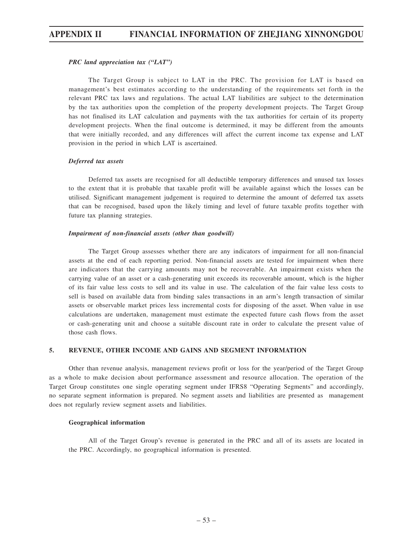#### *PRC land appreciation tax ("LAT")*

The Target Group is subject to LAT in the PRC. The provision for LAT is based on management's best estimates according to the understanding of the requirements set forth in the relevant PRC tax laws and regulations. The actual LAT liabilities are subject to the determination by the tax authorities upon the completion of the property development projects. The Target Group has not finalised its LAT calculation and payments with the tax authorities for certain of its property development projects. When the final outcome is determined, it may be different from the amounts that were initially recorded, and any differences will affect the current income tax expense and LAT provision in the period in which LAT is ascertained.

#### *Deferred tax assets*

Deferred tax assets are recognised for all deductible temporary differences and unused tax losses to the extent that it is probable that taxable profit will be available against which the losses can be utilised. Significant management judgement is required to determine the amount of deferred tax assets that can be recognised, based upon the likely timing and level of future taxable profits together with future tax planning strategies.

#### *Impairment of non-financial assets (other than goodwill)*

The Target Group assesses whether there are any indicators of impairment for all non-financial assets at the end of each reporting period. Non-financial assets are tested for impairment when there are indicators that the carrying amounts may not be recoverable. An impairment exists when the carrying value of an asset or a cash-generating unit exceeds its recoverable amount, which is the higher of its fair value less costs to sell and its value in use. The calculation of the fair value less costs to sell is based on available data from binding sales transactions in an arm's length transaction of similar assets or observable market prices less incremental costs for disposing of the asset. When value in use calculations are undertaken, management must estimate the expected future cash flows from the asset or cash-generating unit and choose a suitable discount rate in order to calculate the present value of those cash flows.

#### **5. REVENUE, OTHER INCOME AND GAINS AND SEGMENT INFORMATION**

Other than revenue analysis, management reviews profit or loss for the year/period of the Target Group as a whole to make decision about performance assessment and resource allocation. The operation of the Target Group constitutes one single operating segment under IFRS8 "Operating Segments" and accordingly, no separate segment information is prepared. No segment assets and liabilities are presented as management does not regularly review segment assets and liabilities.

#### **Geographical information**

All of the Target Group's revenue is generated in the PRC and all of its assets are located in the PRC. Accordingly, no geographical information is presented.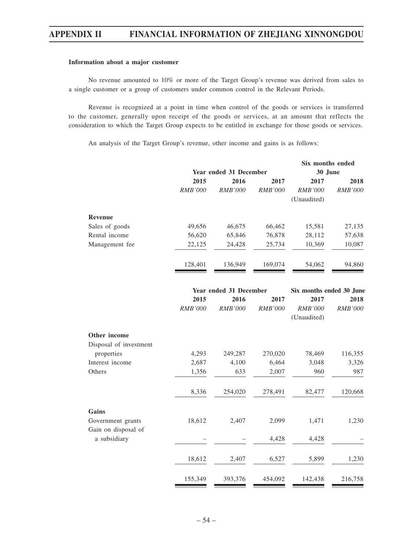#### **Information about a major customer**

No revenue amounted to 10% or more of the Target Group's revenue was derived from sales to a single customer or a group of customers under common control in the Relevant Periods.

Revenue is recognized at a point in time when control of the goods or services is transferred to the customer, generally upon receipt of the goods or services, at an amount that reflects the consideration to which the Target Group expects to be entitled in exchange for those goods or services.

An analysis of the Target Group's revenue, other income and gains is as follows:

|                        |         |                        |                | Six months ended         |                |  |
|------------------------|---------|------------------------|----------------|--------------------------|----------------|--|
|                        |         | Year ended 31 December |                | 30 June                  |                |  |
|                        | 2015    | 2016                   | 2017           | 2017                     | 2018           |  |
|                        | RMB'000 | <b>RMB'000</b>         | <b>RMB'000</b> | <b>RMB'000</b>           | RMB'000        |  |
|                        |         |                        |                | (Unaudited)              |                |  |
| <b>Revenue</b>         |         |                        |                |                          |                |  |
| Sales of goods         | 49,656  | 46,675                 | 66,462         | 15,581                   | 27,135         |  |
| Rental income          | 56,620  | 65,846                 | 76,878         | 28,112                   | 57,638         |  |
| Management fee         | 22,125  | 24,428                 | 25,734         | 10,369                   | 10,087         |  |
|                        | 128,401 | 136,949                | 169,074        | 54,062                   | 94,860         |  |
|                        |         | Year ended 31 December |                | Six months ended 30 June |                |  |
|                        | 2015    | 2016                   | 2017           | 2017                     | 2018           |  |
|                        | RMB'000 | RMB'000                | <b>RMB'000</b> | <b>RMB'000</b>           | <b>RMB'000</b> |  |
|                        |         |                        |                | (Unaudited)              |                |  |
| Other income           |         |                        |                |                          |                |  |
| Disposal of investment |         |                        |                |                          |                |  |
| properties             | 4,293   | 249,287                | 270,020        | 78,469                   | 116,355        |  |
| Interest income        | 2,687   | 4,100                  | 6,464          | 3,048                    | 3,326          |  |
| Others                 | 1,356   | 633                    | 2,007          | 960                      | 987            |  |
|                        | 8,336   | 254,020                | 278,491        | 82,477                   | 120,668        |  |
| Gains                  |         |                        |                |                          |                |  |
| Government grants      | 18,612  | 2,407                  | 2,099          | 1,471                    | 1,230          |  |
| Gain on disposal of    |         |                        |                |                          |                |  |
| a subsidiary           |         |                        | 4,428          | 4,428                    |                |  |
|                        | 18,612  | 2,407                  | 6,527          | 5,899                    | 1,230          |  |
|                        |         |                        |                |                          |                |  |
|                        | 155,349 | 393,376                | 454,092        | 142,438                  | 216,758        |  |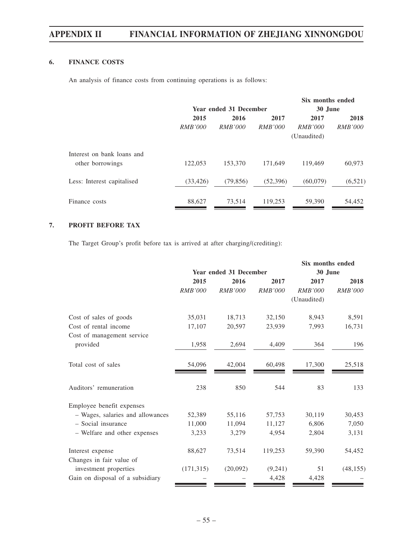## **6. FINANCE COSTS**

An analysis of finance costs from continuing operations is as follows:

|                            |                               |                |                | Six months ended |                |
|----------------------------|-------------------------------|----------------|----------------|------------------|----------------|
|                            | <b>Year ended 31 December</b> |                |                | 30 June          |                |
|                            | 2015                          | 2016           | 2017           | 2017             | 2018           |
|                            | <i>RMB'000</i>                | <i>RMB'000</i> | <i>RMB'000</i> | <i>RMB'000</i>   | <i>RMB'000</i> |
|                            |                               |                |                | (Unaudited)      |                |
| Interest on bank loans and |                               |                |                |                  |                |
| other borrowings           | 122,053                       | 153,370        | 171,649        | 119,469          | 60,973         |
| Less: Interest capitalised | (33, 426)                     | (79, 856)      | (52, 396)      | (60,079)         | (6,521)        |
| Finance costs              | 88,627                        | 73,514         | 119,253        | 59,390           | 54,452         |

## **7. PROFIT BEFORE TAX**

The Target Group's profit before tax is arrived at after charging/(crediting):

|                                  |                               |                |                | Six months ended |                |  |
|----------------------------------|-------------------------------|----------------|----------------|------------------|----------------|--|
|                                  | <b>Year ended 31 December</b> |                |                | 30 June          |                |  |
|                                  | 2015                          | 2016           | 2017           | 2017             | 2018           |  |
|                                  | RMB'000                       | <b>RMB'000</b> | <b>RMB'000</b> | <b>RMB'000</b>   | <b>RMB'000</b> |  |
|                                  |                               |                |                | (Unaudited)      |                |  |
| Cost of sales of goods           | 35,031                        | 18,713         | 32,150         | 8,943            | 8,591          |  |
| Cost of rental income            | 17,107                        | 20,597         | 23,939         | 7,993            | 16,731         |  |
| Cost of management service       |                               |                |                |                  |                |  |
| provided                         | 1,958                         | 2,694          | 4,409          | 364              | 196            |  |
|                                  |                               |                |                |                  |                |  |
| Total cost of sales              | 54,096                        | 42,004         | 60,498         | 17,300           | 25,518         |  |
| Auditors' remuneration           | 238                           | 850            | 544            | 83               | 133            |  |
|                                  |                               |                |                |                  |                |  |
| Employee benefit expenses        | 52,389                        | 55,116         | 57,753         | 30,119           |                |  |
| - Wages, salaries and allowances |                               |                |                |                  | 30,453         |  |
| - Social insurance               | 11,000                        | 11,094         | 11,127         | 6,806            | 7,050          |  |
| - Welfare and other expenses     | 3,233                         | 3,279          | 4,954          | 2,804            | 3,131          |  |
| Interest expense                 | 88,627                        | 73,514         | 119,253        | 59,390           | 54,452         |  |
| Changes in fair value of         |                               |                |                |                  |                |  |
| investment properties            | (171, 315)                    | (20,092)       | (9,241)        | 51               | (48, 155)      |  |
| Gain on disposal of a subsidiary |                               |                | 4,428          | 4,428            |                |  |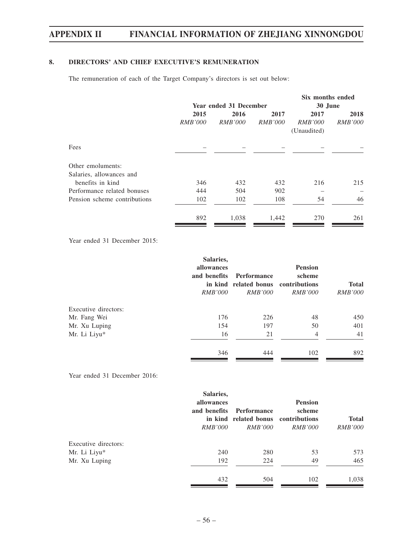## **8. DIRECTORS' AND CHIEF EXECUTIVE'S REMUNERATION**

The remuneration of each of the Target Company's directors is set out below:

|                              |                      |                        |                | Six months ended |                |
|------------------------------|----------------------|------------------------|----------------|------------------|----------------|
|                              |                      | Year ended 31 December |                | 30 June          |                |
|                              | 2015<br>2016<br>2017 |                        |                | 2017             | 2018           |
|                              | <i>RMB'000</i>       | <i>RMB'000</i>         | <i>RMB'000</i> | <i>RMB'000</i>   | <i>RMB'000</i> |
|                              |                      |                        |                | (Unaudited)      |                |
| Fees                         |                      |                        |                |                  |                |
| Other emoluments:            |                      |                        |                |                  |                |
| Salaries, allowances and     |                      |                        |                |                  |                |
| benefits in kind             | 346                  | 432                    | 432            | 216              | 215            |
| Performance related bonuses  | 444                  | 504                    | 902            |                  |                |
| Pension scheme contributions | 102                  | 102                    | 108            | 54               | 46             |
|                              | 892                  | 1,038                  | 1,442          | 270              | 261            |

Year ended 31 December 2015:

|                      | Salaries,<br>allowances<br>and benefits<br><i>RMB'000</i> | Performance<br>in kind related bonus contributions<br><i>RMB'000</i> | <b>Pension</b><br>scheme<br><i>RMB'000</i> | <b>Total</b><br><i>RMB'000</i> |
|----------------------|-----------------------------------------------------------|----------------------------------------------------------------------|--------------------------------------------|--------------------------------|
| Executive directors: |                                                           |                                                                      |                                            |                                |
| Mr. Fang Wei         | 176                                                       | 226                                                                  | 48                                         | 450                            |
| Mr. Xu Luping        | 154                                                       | 197                                                                  | 50                                         | 401                            |
| Mr. Li Liyu*         | 16                                                        | 21                                                                   | $\overline{4}$                             | 41                             |
|                      | 346                                                       | 444                                                                  | 102                                        | 892                            |

Year ended 31 December 2016:

|                      | Salaries,<br>allowances<br>and benefits<br><i>RMB'000</i> | Performance<br>in kind related bonus contributions<br><i>RMB'000</i> | <b>Pension</b><br>scheme<br><i>RMB'000</i> | <b>Total</b><br><i>RMB'000</i> |
|----------------------|-----------------------------------------------------------|----------------------------------------------------------------------|--------------------------------------------|--------------------------------|
| Executive directors: |                                                           |                                                                      |                                            |                                |
| Mr. Li Liyu*         | 240                                                       | 280                                                                  | 53                                         | 573                            |
| Mr. Xu Luping        | 192                                                       | 224                                                                  | 49                                         | 465                            |
|                      | 432                                                       | 504                                                                  | 102                                        | 1,038                          |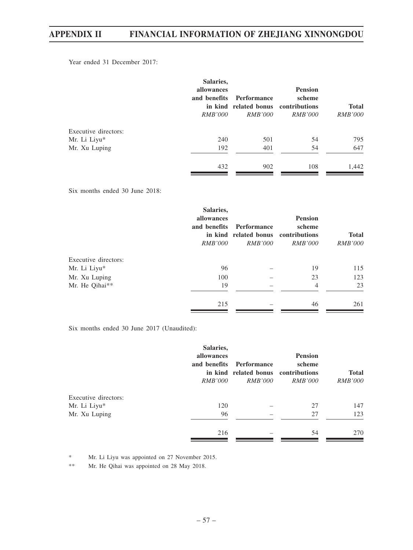Year ended 31 December 2017:

|                      | Salaries,<br>allowances<br>and benefits<br><i>RMB'000</i> | <b>Performance</b><br>in kind related bonus contributions<br><i>RMB'000</i> | <b>Pension</b><br>scheme<br><i>RMB'000</i> | <b>Total</b><br><i>RMB'000</i> |
|----------------------|-----------------------------------------------------------|-----------------------------------------------------------------------------|--------------------------------------------|--------------------------------|
| Executive directors: |                                                           |                                                                             |                                            |                                |
| Mr. Li Liyu*         | 240                                                       | 501                                                                         | 54                                         | 795                            |
| Mr. Xu Luping        | 192                                                       | 401                                                                         | 54                                         | 647                            |
|                      | 432                                                       | 902                                                                         | 108                                        | 1,442                          |

Six months ended 30 June 2018:

|                      | Salaries,<br>allowances<br>and benefits<br><i>RMB'000</i> | Performance<br>in kind related bonus contributions<br><i>RMB'000</i> | <b>Pension</b><br>scheme<br><i>RMB'000</i> | <b>Total</b><br><i>RMB'000</i> |
|----------------------|-----------------------------------------------------------|----------------------------------------------------------------------|--------------------------------------------|--------------------------------|
| Executive directors: |                                                           |                                                                      |                                            |                                |
| Mr. Li Liyu*         | 96                                                        |                                                                      | 19                                         | 115                            |
| Mr. Xu Luping        | 100                                                       |                                                                      | 23                                         | 123                            |
| Mr. He Qihai**       | 19                                                        |                                                                      | 4                                          | 23                             |
|                      | 215                                                       |                                                                      | 46                                         | 261                            |

Six months ended 30 June 2017 (Unaudited):

|                      | Salaries,<br>allowances<br>and benefits<br><i>RMB'000</i> | Performance<br>in kind related bonus contributions<br><i>RMB'000</i> | <b>Pension</b><br>scheme<br><i>RMB'000</i> | <b>Total</b><br><i>RMB'000</i> |
|----------------------|-----------------------------------------------------------|----------------------------------------------------------------------|--------------------------------------------|--------------------------------|
| Executive directors: |                                                           |                                                                      |                                            |                                |
| Mr. Li Liyu*         | 120                                                       |                                                                      | 27                                         | 147                            |
| Mr. Xu Luping        | 96                                                        |                                                                      | 27                                         | 123                            |
|                      | 216                                                       |                                                                      | 54                                         | 270                            |

\* Mr. Li Liyu was appointed on 27 November 2015.

\*\* Mr. He Qihai was appointed on 28 May 2018.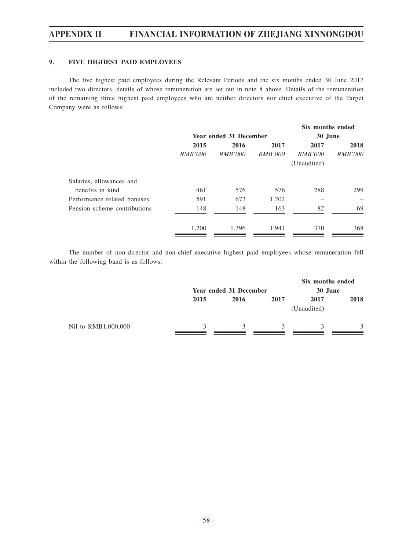## **9. FIVE HIGHEST PAID EMPLOYEES**

The five highest paid employees during the Relevant Periods and the six months ended 30 June 2017 included two directors, details of whose remuneration are set out in note 8 above. Details of the remuneration of the remaining three highest paid employees who are neither directors nor chief executive of the Target Company were as follows:

|                |                |                | Six months ended       |                |
|----------------|----------------|----------------|------------------------|----------------|
|                |                |                | 30 June                |                |
| 2015           | 2016           | 2017           | 2017                   | 2018           |
| <i>RMB'000</i> | <i>RMB'000</i> | <i>RMB'000</i> | <i>RMB'000</i>         | <i>RMB'000</i> |
|                |                |                | (Unaudited)            |                |
|                |                |                |                        |                |
| 461            | 576            | 576            | 288                    | 299            |
| 591            | 672            | 1,202          |                        |                |
| 148            | 148            | 163            | 82                     | 69             |
| 1,200          | 1,396          | 1,941          | 370                    | 368            |
|                |                |                | Year ended 31 December |                |

The number of non-director and non-chief executive highest paid employees whose remuneration fell within the following band is as follows:

|                     |              | Year ended 31 December |      |                     | Six months ended<br>30 June |
|---------------------|--------------|------------------------|------|---------------------|-----------------------------|
|                     | 2015         | 2016                   | 2017 | 2017<br>(Unaudited) | 2018                        |
| Nil to RMB1,000,000 | $\mathbf{R}$ |                        |      | 3                   | 3                           |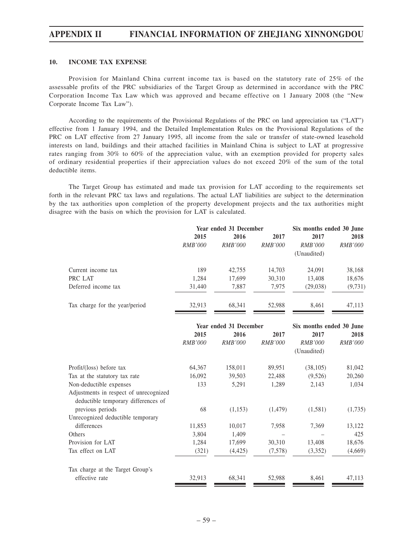#### **10. INCOME TAX EXPENSE**

Provision for Mainland China current income tax is based on the statutory rate of 25% of the assessable profits of the PRC subsidiaries of the Target Group as determined in accordance with the PRC Corporation Income Tax Law which was approved and became effective on 1 January 2008 (the "New Corporate Income Tax Law").

According to the requirements of the Provisional Regulations of the PRC on land appreciation tax ("LAT") effective from 1 January 1994, and the Detailed Implementation Rules on the Provisional Regulations of the PRC on LAT effective from 27 January 1995, all income from the sale or transfer of state-owned leasehold interests on land, buildings and their attached facilities in Mainland China is subject to LAT at progressive rates ranging from 30% to 60% of the appreciation value, with an exemption provided for property sales of ordinary residential properties if their appreciation values do not exceed 20% of the sum of the total deductible items.

The Target Group has estimated and made tax provision for LAT according to the requirements set forth in the relevant PRC tax laws and regulations. The actual LAT liabilities are subject to the determination by the tax authorities upon completion of the property development projects and the tax authorities might disagree with the basis on which the provision for LAT is calculated.

|                                | Year ended 31 December |                |                | Six months ended 30 June |                |  |
|--------------------------------|------------------------|----------------|----------------|--------------------------|----------------|--|
|                                | 2015                   | 2016           | 2017           | 2017                     | 2018           |  |
|                                | <i>RMB'000</i>         | <i>RMB'000</i> | <i>RMB'000</i> | <i>RMB'000</i>           | <i>RMB'000</i> |  |
|                                |                        |                |                | (Unaudited)              |                |  |
| Current income tax             | 189                    | 42,755         | 14.703         | 24,091                   | 38,168         |  |
| PRC LAT                        | 1.284                  | 17,699         | 30,310         | 13.408                   | 18,676         |  |
| Deferred income tax            | 31,440                 | 7,887          | 7.975          | (29,038)                 | (9, 731)       |  |
| Tax charge for the year/period | 32.913                 | 68.341         | 52.988         | 8.461                    | 47.113         |  |

|                                                                               | Year ended 31 December |                |                | Six months ended 30 June |                |
|-------------------------------------------------------------------------------|------------------------|----------------|----------------|--------------------------|----------------|
|                                                                               | 2015                   | 2016           | 2017           | 2017                     | 2018           |
|                                                                               | RMB'000                | <i>RMB'000</i> | <i>RMB'000</i> | <i>RMB'000</i>           | <i>RMB'000</i> |
|                                                                               |                        |                |                | (Unaudited)              |                |
| Profit/(loss) before tax                                                      | 64,367                 | 158,011        | 89,951         | (38, 105)                | 81,042         |
| Tax at the statutory tax rate                                                 | 16,092                 | 39,503         | 22,488         | (9,526)                  | 20,260         |
| Non-deductible expenses                                                       | 133                    | 5,291          | 1,289          | 2,143                    | 1,034          |
| Adjustments in respect of unrecognized<br>deductible temporary differences of |                        |                |                |                          |                |
| previous periods                                                              | 68                     | (1,153)        | (1, 479)       | (1,581)                  | (1,735)        |
| Unrecognized deductible temporary                                             |                        |                |                |                          |                |
| differences                                                                   | 11,853                 | 10,017         | 7,958          | 7,369                    | 13,122         |
| Others                                                                        | 3,804                  | 1,409          |                |                          | 425            |
| Provision for LAT                                                             | 1,284                  | 17,699         | 30,310         | 13,408                   | 18,676         |
| Tax effect on LAT                                                             | (321)                  | (4, 425)       | (7,578)        | (3,352)                  | (4,669)        |
| Tax charge at the Target Group's                                              |                        |                |                |                          |                |
| effective rate                                                                | 32,913                 | 68,341         | 52,988         | 8,461                    | 47,113         |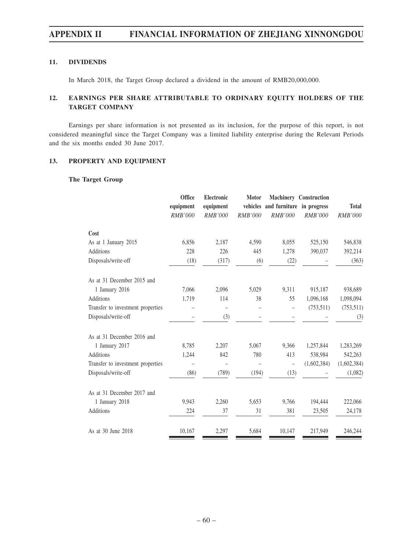## **11. DIVIDENDS**

In March 2018, the Target Group declared a dividend in the amount of RMB20,000,000.

## **12. EARNINGS PER SHARE ATTRIBUTABLE TO ORDINARY EQUITY HOLDERS OF THE TARGET COMPANY**

Earnings per share information is not presented as its inclusion, for the purpose of this report, is not considered meaningful since the Target Company was a limited liability enterprise during the Relevant Periods and the six months ended 30 June 2017.

### **13. PROPERTY AND EQUIPMENT**

## **The Target Group**

|                                   | Office<br>equipment<br><b>RMB'000</b> | Electronic<br>equipment<br><b>RMB'000</b> | Motor<br><b>RMB'000</b> | vehicles and furniture in progress<br><b>RMB'000</b> | <b>Machinery Construction</b><br>RMB'000 | <b>Total</b><br><b>RMB'000</b> |
|-----------------------------------|---------------------------------------|-------------------------------------------|-------------------------|------------------------------------------------------|------------------------------------------|--------------------------------|
| Cost                              |                                       |                                           |                         |                                                      |                                          |                                |
| As at 1 January 2015              | 6,856                                 | 2,187                                     | 4,590                   | 8,055                                                | 525,150                                  | 546,838                        |
| Additions                         | 228                                   | 226                                       | 445                     | 1,278                                                | 390,037                                  | 392,214                        |
| Disposals/write-off               | (18)                                  | (317)                                     | (6)                     | (22)                                                 |                                          | (363)                          |
| As at 31 December 2015 and        |                                       |                                           |                         |                                                      |                                          |                                |
| 1 January 2016                    | 7,066                                 | 2,096                                     | 5,029                   | 9,311                                                | 915,187                                  | 938,689                        |
| <b>Additions</b>                  | 1,719                                 | 114                                       | 38                      | 55                                                   | 1,096,168                                | 1,098,094                      |
| Transfer to investment properties |                                       | $\overline{ }$                            |                         |                                                      | (753, 511)                               | (753, 511)                     |
| Disposals/write-off               |                                       | (3)                                       |                         |                                                      |                                          | (3)                            |
| As at 31 December 2016 and        |                                       |                                           |                         |                                                      |                                          |                                |
| 1 January 2017                    | 8,785                                 | 2,207                                     | 5,067                   | 9.366                                                | 1,257,844                                | 1,283,269                      |
| <b>Additions</b>                  | 1,244                                 | 842                                       | 780                     | 413                                                  | 538,984                                  | 542,263                        |
| Transfer to investment properties | -                                     |                                           |                         | $\overline{\phantom{a}}$                             | (1,602,384)                              | (1,602,384)                    |
| Disposals/write-off               | (86)                                  | (789)                                     | (194)                   | (13)                                                 |                                          | (1,082)                        |
| As at 31 December 2017 and        |                                       |                                           |                         |                                                      |                                          |                                |
| 1 January 2018                    | 9,943                                 | 2,260                                     | 5,653                   | 9,766                                                | 194,444                                  | 222,066                        |
| <b>Additions</b>                  | 224                                   | 37                                        | 31                      | 381                                                  | 23,505                                   | 24,178                         |
| As at 30 June 2018                | 10,167                                | 2,297                                     | 5,684                   | 10,147                                               | 217,949                                  | 246,244                        |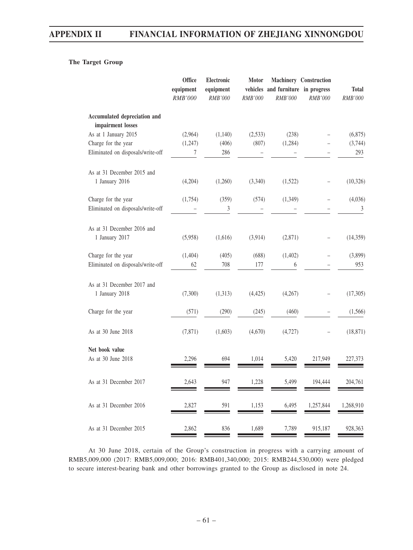## **The Target Group**

|                                                   | Office<br>equipment<br>RMB'000 | Electronic<br>equipment<br><b>RMB'000</b> | <b>Motor</b><br>RMB'000 | vehicles and furniture in progress<br><b>RMB'000</b> | Machinery Construction<br>RMB'000 | <b>Total</b><br>RMB'000 |
|---------------------------------------------------|--------------------------------|-------------------------------------------|-------------------------|------------------------------------------------------|-----------------------------------|-------------------------|
| Accumulated depreciation and<br>impairment losses |                                |                                           |                         |                                                      |                                   |                         |
| As at 1 January 2015                              | (2,964)                        | (1,140)                                   | (2,533)                 | (238)                                                |                                   | (6,875)                 |
| Charge for the year                               | (1,247)                        | (406)                                     | (807)                   | (1,284)                                              |                                   | (3,744)                 |
| Eliminated on disposals/write-off                 | 7                              | 286                                       |                         |                                                      |                                   | 293                     |
| As at 31 December 2015 and                        |                                |                                           |                         |                                                      |                                   |                         |
| 1 January 2016                                    | (4,204)                        | (1,260)                                   | (3,340)                 | (1,522)                                              |                                   | (10, 326)               |
| Charge for the year                               | (1,754)                        | (359)                                     | (574)                   | (1,349)                                              |                                   | (4,036)                 |
| Eliminated on disposals/write-off                 |                                | 3                                         |                         |                                                      |                                   | $\sqrt{3}$              |
| As at 31 December 2016 and                        |                                |                                           |                         |                                                      |                                   |                         |
| 1 January 2017                                    | (5,958)                        | (1,616)                                   | (3,914)                 | (2,871)                                              |                                   | (14, 359)               |
| Charge for the year                               | (1,404)                        | (405)                                     | (688)                   | (1, 402)                                             |                                   | (3,899)                 |
| Eliminated on disposals/write-off                 | 62                             | 708                                       | 177                     | 6                                                    |                                   | 953                     |
| As at 31 December 2017 and<br>1 January 2018      | (7,300)                        | (1,313)                                   | (4, 425)                | (4,267)                                              |                                   | (17,305)                |
| Charge for the year                               | (571)                          | (290)                                     | (245)                   | (460)                                                |                                   | (1, 566)                |
| As at 30 June 2018                                | (7, 871)                       | (1,603)                                   | (4,670)                 | (4, 727)                                             |                                   | (18, 871)               |
| Net book value<br>As at 30 June 2018              | 2,296                          | 694                                       | 1,014                   | 5,420                                                | 217,949                           | 227,373                 |
| As at 31 December 2017                            | 2,643                          | 947                                       | 1,228                   | 5,499                                                | 194,444                           | 204,761                 |
| As at 31 December 2016                            | 2,827                          | 591                                       | 1,153                   | 6,495                                                | 1,257,844                         | 1,268,910               |
| As at 31 December 2015                            | 2,862                          | 836                                       | 1,689                   | 7,789                                                | 915,187                           | 928,363                 |

At 30 June 2018, certain of the Group's construction in progress with a carrying amount of RMB5,009,000 (2017: RMB5,009,000; 2016: RMB401,340,000; 2015: RMB244,530,000) were pledged to secure interest-bearing bank and other borrowings granted to the Group as disclosed in note 24.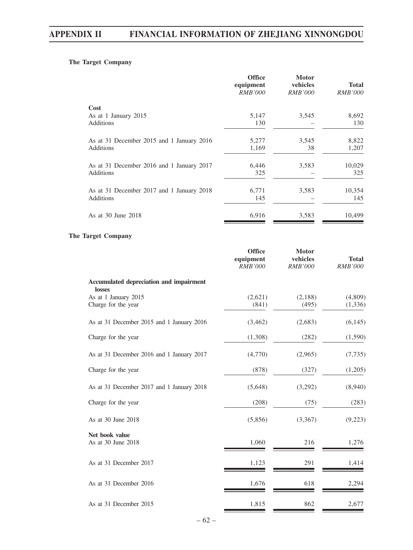## **The Target Company**

|                                           | <b>Office</b><br>equipment<br><i>RMB'000</i> | <b>Motor</b><br>vehicles<br><b>RMB'000</b> | Total<br><b>RMB'000</b> |
|-------------------------------------------|----------------------------------------------|--------------------------------------------|-------------------------|
| Cost                                      |                                              |                                            |                         |
| As at 1 January 2015<br>Additions         | 5,147<br>130                                 | 3,545                                      | 8,692<br>130            |
| As at 31 December 2015 and 1 January 2016 | 5,277                                        | 3,545                                      | 8,822                   |
| Additions                                 | 1,169                                        | 38                                         | 1,207                   |
| As at 31 December 2016 and 1 January 2017 | 6,446                                        | 3,583                                      | 10,029                  |
| Additions                                 | 325                                          |                                            | 325                     |
| As at 31 December 2017 and 1 January 2018 | 6,771                                        | 3,583                                      | 10,354                  |
| Additions                                 | 145                                          |                                            | 145                     |
| As at 30 June 2018                        | 6,916                                        | 3,583                                      | 10,499                  |

## **The Target Company**

|                                                   | <b>Office</b><br>equipment<br><b>RMB'000</b> | <b>Motor</b><br>vehicles<br><b>RMB'000</b> | <b>Total</b><br><b>RMB'000</b> |
|---------------------------------------------------|----------------------------------------------|--------------------------------------------|--------------------------------|
| Accumulated depreciation and impairment<br>losses |                                              |                                            |                                |
| As at 1 January 2015<br>Charge for the year       | (2,621)<br>(841)                             | (2,188)<br>(495)                           | (4,809)<br>(1, 336)            |
| As at 31 December 2015 and 1 January 2016         | (3,462)                                      | (2,683)                                    | (6,145)                        |
| Charge for the year                               | (1,308)                                      | (282)                                      | (1,590)                        |
| As at 31 December 2016 and 1 January 2017         | (4,770)                                      | (2,965)                                    | (7, 735)                       |
| Charge for the year                               | (878)                                        | (327)                                      | (1,205)                        |
| As at 31 December 2017 and 1 January 2018         | (5,648)                                      | (3,292)                                    | (8,940)                        |
| Charge for the year                               | (208)                                        | (75)                                       | (283)                          |
| As at 30 June 2018                                | (5,856)                                      | (3,367)                                    | (9,223)                        |
| Net book value<br>As at 30 June 2018              | 1,060                                        | 216                                        | 1,276                          |
| As at 31 December 2017                            | 1,123                                        | 291                                        | 1,414                          |
| As at 31 December 2016                            | 1,676                                        | 618                                        | 2,294                          |
| As at 31 December 2015                            | 1,815                                        | 862                                        | 2,677                          |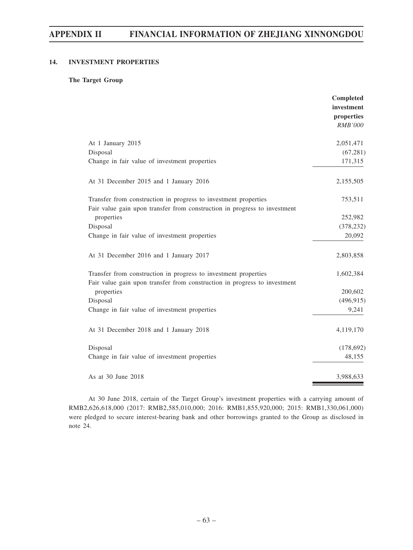## **14. INVESTMENT PROPERTIES**

#### **The Target Group**

|                                                                           | Completed<br>investment<br>properties<br><b>RMB'000</b> |
|---------------------------------------------------------------------------|---------------------------------------------------------|
| At 1 January 2015                                                         | 2,051,471                                               |
| Disposal                                                                  | (67, 281)                                               |
| Change in fair value of investment properties                             | 171,315                                                 |
| At 31 December 2015 and 1 January 2016                                    | 2,155,505                                               |
| Transfer from construction in progress to investment properties           | 753,511                                                 |
| Fair value gain upon transfer from construction in progress to investment |                                                         |
| properties                                                                | 252,982                                                 |
| Disposal                                                                  | (378, 232)                                              |
| Change in fair value of investment properties                             | 20,092                                                  |
| At 31 December 2016 and 1 January 2017                                    | 2,803,858                                               |
| Transfer from construction in progress to investment properties           | 1,602,384                                               |
| Fair value gain upon transfer from construction in progress to investment |                                                         |
| properties                                                                | 200,602                                                 |
| Disposal                                                                  | (496, 915)                                              |
| Change in fair value of investment properties                             | 9,241                                                   |
| At 31 December 2018 and 1 January 2018                                    | 4,119,170                                               |
| Disposal                                                                  | (178, 692)                                              |
| Change in fair value of investment properties                             | 48,155                                                  |
| As at 30 June 2018                                                        | 3,988,633                                               |

At 30 June 2018, certain of the Target Group's investment properties with a carrying amount of RMB2,626,618,000 (2017: RMB2,585,010,000; 2016: RMB1,855,920,000; 2015: RMB1,330,061,000) were pledged to secure interest-bearing bank and other borrowings granted to the Group as disclosed in note 24.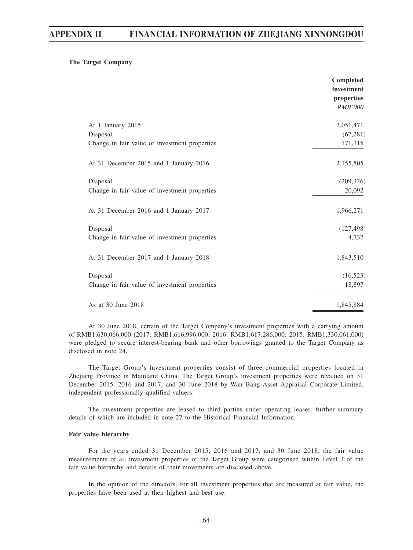#### **The Target Company**

|                                               | Completed<br>investment<br>properties<br><b>RMB'000</b> |
|-----------------------------------------------|---------------------------------------------------------|
| At 1 January 2015                             | 2,051,471                                               |
| Disposal                                      | (67, 281)                                               |
| Change in fair value of investment properties | 171,315                                                 |
| At 31 December 2015 and 1 January 2016        | 2,155,505                                               |
| Disposal                                      | (209, 326)                                              |
| Change in fair value of investment properties | 20,092                                                  |
| At 31 December 2016 and 1 January 2017        | 1,966,271                                               |
| Disposal                                      | (127, 498)                                              |
| Change in fair value of investment properties | 4,737                                                   |
| At 31 December 2017 and 1 January 2018        | 1,843,510                                               |
| Disposal                                      | (16, 523)                                               |
| Change in fair value of investment properties | 18,897                                                  |
| As at 30 June 2018                            | 1,845,884                                               |

At 30 June 2018, certain of the Target Company's investment properties with a carrying amount of RMB1,630,066,000 (2017: RMB1,616,996,000; 2016: RMB1,617,286,000; 2015: RMB1,330,061,000) were pledged to secure interest-bearing bank and other borrowings granted to the Target Company as disclosed in note 24.

The Target Group's investment properties consist of three commercial properties located in Zhejiang Province in Mainland China. The Target Group's investment properties were revalued on 31 December 2015, 2016 and 2017, and 30 June 2018 by Wan Bang Asset Appraisal Corporate Limited, independent professionally qualified valuers.

The investment properties are leased to third parties under operating leases, further summary details of which are included in note 27 to the Historical Financial Information.

#### **Fair value hierarchy**

For the years ended 31 December 2015, 2016 and 2017, and 30 June 2018, the fair value measurements of all investment properties of the Target Group were categorised within Level 3 of the fair value hierarchy and details of their movements are disclosed above.

In the opinion of the directors, for all investment properties that are measured at fair value, the properties have been used at their highest and best use.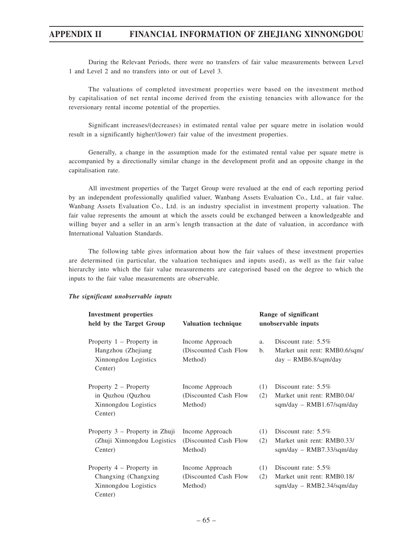During the Relevant Periods, there were no transfers of fair value measurements between Level 1 and Level 2 and no transfers into or out of Level 3.

The valuations of completed investment properties were based on the investment method by capitalisation of net rental income derived from the existing tenancies with allowance for the reversionary rental income potential of the properties.

Significant increases/(decreases) in estimated rental value per square metre in isolation would result in a significantly higher/(lower) fair value of the investment properties.

Generally, a change in the assumption made for the estimated rental value per square metre is accompanied by a directionally similar change in the development profit and an opposite change in the capitalisation rate.

All investment properties of the Target Group were revalued at the end of each reporting period by an independent professionally qualified valuer, Wanbang Assets Evaluation Co., Ltd., at fair value. Wanbang Assets Evaluation Co., Ltd. is an industry specialist in investment property valuation. The fair value represents the amount at which the assets could be exchanged between a knowledgeable and willing buyer and a seller in an arm's length transaction at the date of valuation, in accordance with International Valuation Standards.

The following table gives information about how the fair values of these investment properties are determined (in particular, the valuation techniques and inputs used), as well as the fair value hierarchy into which the fair value measurements are categorised based on the degree to which the inputs to the fair value measurements are observable.

| <b>Investment properties</b><br>held by the Target Group                              | <b>Valuation technique</b>                           |            | Range of significant<br>unobservable inputs                                              |
|---------------------------------------------------------------------------------------|------------------------------------------------------|------------|------------------------------------------------------------------------------------------|
| Property $1$ – Property in<br>Hangzhou (Zhejiang<br>Xinnongdou Logistics<br>Center)   | Income Approach<br>(Discounted Cash Flow)<br>Method) | a.<br>b.   | Discount rate: $5.5\%$<br>Market unit rent: RMB0.6/sqm/<br>$day - \text{RMB6.8/sqm/day}$ |
| Property 2 – Property<br>in Quzhou (Quzhou<br>Xinnongdou Logistics<br>Center)         | Income Approach<br>(Discounted Cash Flow)<br>Method) | (1)<br>(2) | Discount rate: $5.5\%$<br>Market unit rent: RMB0.04/<br>sqm/day - RMB1.67/sqm/day        |
| Property 3 – Property in Zhuji<br>(Zhuji Xinnongdou Logistics)<br>Center)             | Income Approach<br>(Discounted Cash Flow)<br>Method) | (1)<br>(2) | Discount rate: 5.5%<br>Market unit rent: RMB0.33/<br>sqm/day - RMB7.33/sqm/day           |
| Property $4$ – Property in<br>Changxing (Changxing<br>Xinnongdou Logistics<br>Center) | Income Approach<br>(Discounted Cash Flow)<br>Method) | (1)<br>(2) | Discount rate: $5.5\%$<br>Market unit rent: RMB0.18/<br>sqm/day - RMB2.34/sqm/day        |

#### *The significant unobservable inputs*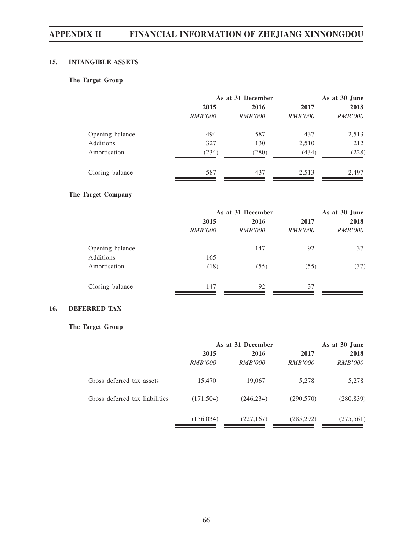## **15. INTANGIBLE ASSETS**

## **The Target Group**

|                 | As at 31 December |                |                | As at 30 June  |  |
|-----------------|-------------------|----------------|----------------|----------------|--|
|                 | 2015              | 2016           | 2017           | 2018           |  |
|                 | <i>RMB'000</i>    | <i>RMB'000</i> | <i>RMB'000</i> | <i>RMB'000</i> |  |
| Opening balance | 494               | 587            | 437            | 2,513          |  |
| Additions       | 327               | 130            | 2,510          | 212            |  |
| Amortisation    | (234)             | (280)          | (434)          | (228)          |  |
| Closing balance | 587               | 437            | 2,513          | 2,497          |  |

## **The Target Company**

|                 |                | As at 31 December |                |                |
|-----------------|----------------|-------------------|----------------|----------------|
|                 | 2015           | 2016              | 2017           | 2018           |
|                 | <i>RMB'000</i> | <i>RMB'000</i>    | <i>RMB'000</i> | <i>RMB'000</i> |
| Opening balance |                | 147               | 92             | 37             |
| Additions       | 165            |                   |                |                |
| Amortisation    | (18)           | (55)              | (55)           | (37)           |
| Closing balance | 147            | 92                | 37             |                |

## **16. DEFERRED TAX**

## **The Target Group**

|                                | As at 31 December |                |                | As at 30 June  |
|--------------------------------|-------------------|----------------|----------------|----------------|
|                                | 2015              | 2016           | 2017           | 2018           |
|                                | <i>RMB'000</i>    | <i>RMB'000</i> | <i>RMB'000</i> | <i>RMB'000</i> |
| Gross deferred tax assets      | 15,470            | 19,067         | 5,278          | 5,278          |
| Gross deferred tax liabilities | (171, 504)        | (246, 234)     | (290, 570)     | (280, 839)     |
|                                | (156, 034)        | (227, 167)     | (285, 292)     | (275, 561)     |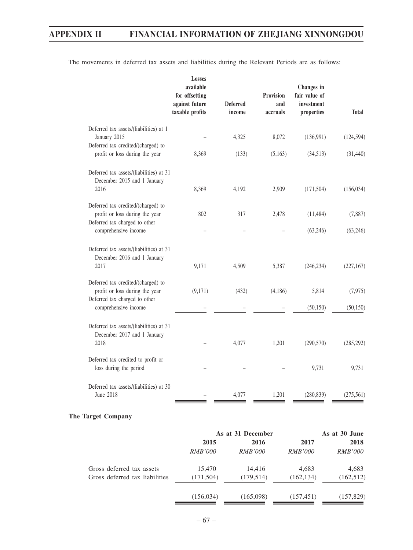|                                                                                                       | Losses<br>available<br>for offsetting<br>against future<br>taxable profits | <b>Deferred</b><br>income | Provision<br>and<br>accruals | Changes in<br>fair value of<br>investment<br>properties | <b>Total</b> |
|-------------------------------------------------------------------------------------------------------|----------------------------------------------------------------------------|---------------------------|------------------------------|---------------------------------------------------------|--------------|
| Deferred tax assets/(liabilities) at 1                                                                |                                                                            |                           |                              |                                                         |              |
| January 2015<br>Deferred tax credited/(charged) to                                                    |                                                                            | 4,325                     | 8,072                        | (136,991)                                               | (124, 594)   |
| profit or loss during the year                                                                        | 8,369                                                                      | (133)                     | (5,163)                      | (34,513)                                                | (31, 440)    |
| Deferred tax assets/(liabilities) at 31<br>December 2015 and 1 January                                |                                                                            |                           |                              |                                                         |              |
| 2016                                                                                                  | 8,369                                                                      | 4,192                     | 2,909                        | (171, 504)                                              | (156, 034)   |
| Deferred tax credited/(charged) to<br>profit or loss during the year<br>Deferred tax charged to other | 802                                                                        | 317                       | 2,478                        | (11, 484)                                               | (7,887)      |
| comprehensive income                                                                                  |                                                                            |                           |                              | (63,246)                                                | (63, 246)    |
| Deferred tax assets/(liabilities) at 31<br>December 2016 and 1 January<br>2017                        | 9,171                                                                      | 4,509                     | 5,387                        | (246, 234)                                              | (227, 167)   |
| Deferred tax credited/(charged) to<br>profit or loss during the year<br>Deferred tax charged to other | (9,171)                                                                    | (432)                     | (4,186)                      | 5,814                                                   | (7, 975)     |
| comprehensive income                                                                                  |                                                                            |                           |                              | (50, 150)                                               | (50, 150)    |
| Deferred tax assets/(liabilities) at 31<br>December 2017 and 1 January<br>2018                        |                                                                            | 4,077                     | 1,201                        | (290, 570)                                              | (285, 292)   |
| Deferred tax credited to profit or<br>loss during the period                                          |                                                                            |                           |                              | 9,731                                                   | 9,731        |
| Deferred tax assets/(liabilities) at 30<br>June 2018                                                  |                                                                            | 4,077                     | 1,201                        | (280, 839)                                              | (275, 561)   |

The movements in deferred tax assets and liabilities during the Relevant Periods are as follows:

## **The Target Company**

|                                | As at 31 December |                |                | As at 30 June  |  |
|--------------------------------|-------------------|----------------|----------------|----------------|--|
|                                | 2015              | 2016           | 2017           | 2018           |  |
|                                | <i>RMB'000</i>    | <i>RMB'000</i> | <i>RMB'000</i> | <i>RMB'000</i> |  |
| Gross deferred tax assets      | 15,470            | 14.416         | 4,683          | 4,683          |  |
| Gross deferred tax liabilities | (171, 504)        | (179, 514)     | (162, 134)     | (162, 512)     |  |
|                                | (156, 034)        | (165,098)      | (157, 451)     | (157, 829)     |  |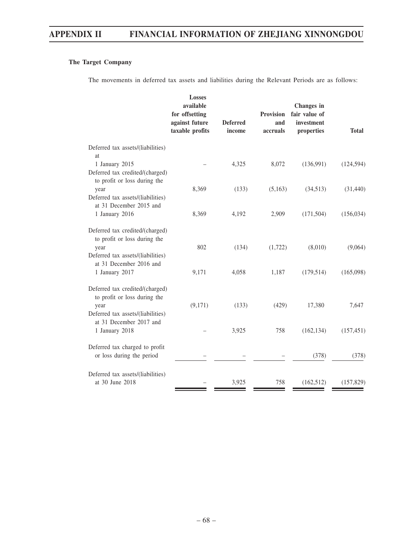## **The Target Company**

The movements in deferred tax assets and liabilities during the Relevant Periods are as follows:

|                                                                                                              | <b>Losses</b><br>available<br>for offsetting<br>against future<br>taxable profits | <b>Deferred</b><br>income | <b>Provision</b><br>and<br>accruals | Changes in<br>fair value of<br>investment<br>properties | <b>Total</b> |
|--------------------------------------------------------------------------------------------------------------|-----------------------------------------------------------------------------------|---------------------------|-------------------------------------|---------------------------------------------------------|--------------|
| Deferred tax assets/(liabilities)<br>at.                                                                     |                                                                                   |                           |                                     |                                                         |              |
| 1 January 2015<br>Deferred tax credited/(charged)<br>to profit or loss during the                            |                                                                                   | 4,325                     | 8,072                               | (136,991)                                               | (124, 594)   |
| year<br>Deferred tax assets/(liabilities)                                                                    | 8,369                                                                             | (133)                     | (5,163)                             | (34,513)                                                | (31, 440)    |
| at 31 December 2015 and<br>1 January 2016                                                                    | 8,369                                                                             | 4,192                     | 2,909                               | (171, 504)                                              | (156, 034)   |
| Deferred tax credited/(charged)<br>to profit or loss during the<br>year<br>Deferred tax assets/(liabilities) | 802                                                                               | (134)                     | (1,722)                             | (8,010)                                                 | (9,064)      |
| at 31 December 2016 and<br>1 January 2017                                                                    | 9,171                                                                             | 4,058                     | 1,187                               | (179, 514)                                              | (165,098)    |
| Deferred tax credited/(charged)<br>to profit or loss during the<br>year<br>Deferred tax assets/(liabilities) | (9,171)                                                                           | (133)                     | (429)                               | 17,380                                                  | 7,647        |
| at 31 December 2017 and<br>1 January 2018                                                                    |                                                                                   | 3,925                     | 758                                 | (162, 134)                                              | (157, 451)   |
| Deferred tax charged to profit<br>or loss during the period                                                  |                                                                                   |                           |                                     | (378)                                                   | (378)        |
| Deferred tax assets/(liabilities)<br>at 30 June 2018                                                         |                                                                                   | 3,925                     | 758                                 | (162, 512)                                              | (157, 829)   |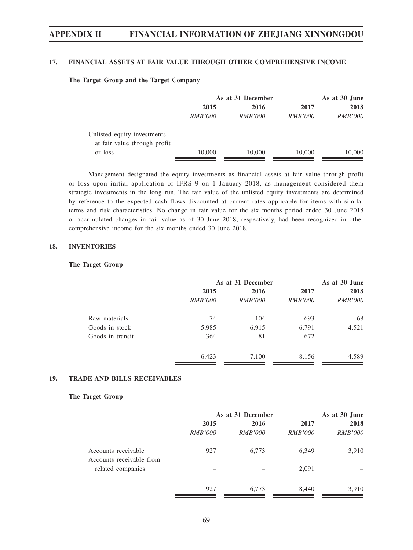### **17. FINANCIAL ASSETS AT FAIR VALUE THROUGH OTHER COMPREHENSIVE INCOME**

#### **The Target Group and the Target Company**

|                              | As at 31 December |                |                | As at 30 June  |  |
|------------------------------|-------------------|----------------|----------------|----------------|--|
|                              | 2015              | 2016           | 2017           | 2018           |  |
|                              | <i>RMB'000</i>    | <i>RMB'000</i> | <i>RMB'000</i> | <i>RMB'000</i> |  |
| Unlisted equity investments, |                   |                |                |                |  |
| at fair value through profit |                   |                |                |                |  |
| or loss                      | 10,000            | 10,000         | 10,000         | 10,000         |  |

Management designated the equity investments as financial assets at fair value through profit or loss upon initial application of IFRS 9 on 1 January 2018, as management considered them strategic investments in the long run. The fair value of the unlisted equity investments are determined by reference to the expected cash flows discounted at current rates applicable for items with similar terms and risk characteristics. No change in fair value for the six months period ended 30 June 2018 or accumulated changes in fair value as of 30 June 2018, respectively, had been recognized in other comprehensive income for the six months ended 30 June 2018.

## **18. INVENTORIES**

#### **The Target Group**

|                  |                | As at 31 December |                |                |
|------------------|----------------|-------------------|----------------|----------------|
|                  | 2015           | 2016              | 2017           | 2018           |
|                  | <i>RMB'000</i> | <i>RMB'000</i>    | <i>RMB'000</i> | <i>RMB'000</i> |
| Raw materials    | 74             | 104               | 693            | 68             |
| Goods in stock   | 5,985          | 6,915             | 6,791          | 4,521          |
| Goods in transit | 364            | 81                | 672            |                |
|                  | 6,423          | 7,100             | 8,156          | 4,589          |

## **19. TRADE AND BILLS RECEIVABLES**

#### **The Target Group**

|                                                 | As at 31 December      |                        |                        | As at 30 June          |
|-------------------------------------------------|------------------------|------------------------|------------------------|------------------------|
|                                                 | 2015<br><i>RMB'000</i> | 2016<br><i>RMB'000</i> | 2017<br><i>RMB'000</i> | 2018<br><b>RMB'000</b> |
| Accounts receivable<br>Accounts receivable from | 927                    | 6,773                  | 6,349                  | 3,910                  |
| related companies                               |                        |                        | 2,091                  |                        |
|                                                 | 927                    | 6,773                  | 8,440                  | 3,910                  |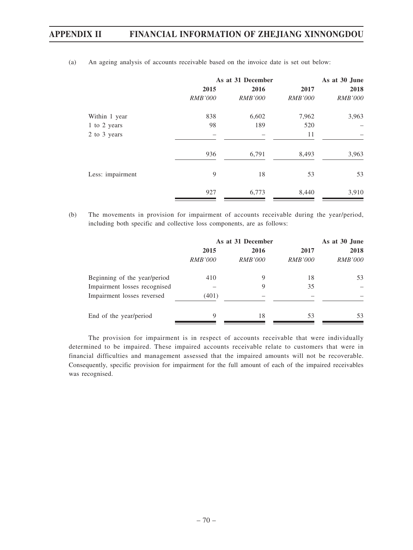|                  | As at 31 December |                |                | As at 30 June  |  |
|------------------|-------------------|----------------|----------------|----------------|--|
|                  | 2015              | 2016           | 2017           | 2018           |  |
|                  | <i>RMB'000</i>    | <i>RMB'000</i> | <i>RMB'000</i> | <i>RMB'000</i> |  |
| Within 1 year    | 838               | 6,602          | 7,962          | 3,963          |  |
| 1 to 2 years     | 98                | 189            | 520            |                |  |
| 2 to 3 years     |                   |                | 11             |                |  |
|                  | 936               | 6,791          | 8,493          | 3,963          |  |
| Less: impairment | 9                 | 18             | 53             | 53             |  |
|                  | 927               | 6,773          | 8,440          | 3,910          |  |

(a) An ageing analysis of accounts receivable based on the invoice date is set out below:

(b) The movements in provision for impairment of accounts receivable during the year/period, including both specific and collective loss components, are as follows:

|                              | As at 31 December |                |                | As at 30 June  |  |
|------------------------------|-------------------|----------------|----------------|----------------|--|
|                              | 2015<br>2016      |                | 2017           | 2018           |  |
|                              | <i>RMB'000</i>    | <i>RMB'000</i> | <i>RMB'000</i> | <i>RMB'000</i> |  |
| Beginning of the year/period | 410               | 9              | 18             | 53             |  |
| Impairment losses recognised |                   | 9              | 35             |                |  |
| Impairment losses reversed   | (401)             |                |                |                |  |
| End of the year/period       | 9                 | 18             | 53             | 53             |  |

The provision for impairment is in respect of accounts receivable that were individually determined to be impaired. These impaired accounts receivable relate to customers that were in financial difficulties and management assessed that the impaired amounts will not be recoverable. Consequently, specific provision for impairment for the full amount of each of the impaired receivables was recognised.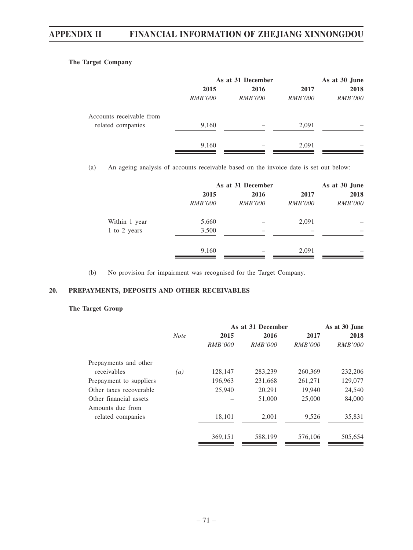## **The Target Company**

|                          | As at 31 December | As at 30 June  |                |                |
|--------------------------|-------------------|----------------|----------------|----------------|
|                          | 2015              | 2016           | 2017           | 2018           |
|                          | <i>RMB'000</i>    | <i>RMB'000</i> | <i>RMB'000</i> | <i>RMB'000</i> |
| Accounts receivable from |                   |                |                |                |
| related companies        | 9,160             |                | 2,091          |                |
|                          | 9,160             |                | 2,091          |                |

(a) An ageing analysis of accounts receivable based on the invoice date is set out below:

|               |                | As at 31 December |                |                |
|---------------|----------------|-------------------|----------------|----------------|
|               | 2015           | 2016              | 2017           | 2018           |
|               | <i>RMB'000</i> | <i>RMB'000</i>    | <i>RMB'000</i> | <i>RMB'000</i> |
| Within 1 year | 5,660          |                   | 2,091          |                |
| 1 to 2 years  | 3,500          |                   |                |                |
|               | 9,160          |                   | 2,091          |                |

(b) No provision for impairment was recognised for the Target Company.

## **20. PREPAYMENTS, DEPOSITS AND OTHER RECEIVABLES**

## **The Target Group**

|                         |             |                | As at 31 December | As at 30 June  |                |
|-------------------------|-------------|----------------|-------------------|----------------|----------------|
|                         | <b>Note</b> | 2015           | 2016              | 2017           | 2018           |
|                         |             | <i>RMB'000</i> | <i>RMB'000</i>    | <i>RMB'000</i> | <i>RMB'000</i> |
| Prepayments and other   |             |                |                   |                |                |
| receivables             | (a)         | 128,147        | 283,239           | 260,369        | 232,206        |
| Prepayment to suppliers |             | 196,963        | 231,668           | 261,271        | 129,077        |
| Other taxes recoverable |             | 25,940         | 20,291            | 19,940         | 24,540         |
| Other financial assets  |             |                | 51,000            | 25,000         | 84,000         |
| Amounts due from        |             |                |                   |                |                |
| related companies       |             | 18,101         | 2,001             | 9,526          | 35,831         |
|                         |             | 369,151        | 588,199           | 576,106        | 505,654        |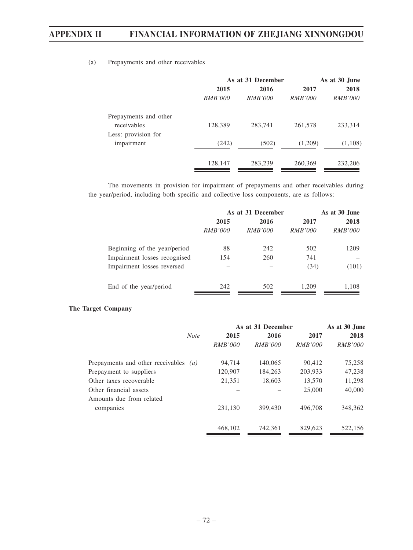## (a) Prepayments and other receivables

|                |                | As at 30 June     |                |  |
|----------------|----------------|-------------------|----------------|--|
| 2015           | 2016           | 2017              | 2018           |  |
| <i>RMB'000</i> | <i>RMB'000</i> | <i>RMB'000</i>    | <i>RMB'000</i> |  |
|                |                |                   |                |  |
| 128,389        | 283,741        | 261,578           | 233,314        |  |
|                |                |                   |                |  |
| (242)          | (502)          | (1,209)           | (1,108)        |  |
| 128,147        | 283,239        | 260,369           | 232,206        |  |
|                |                | As at 31 December |                |  |

The movements in provision for impairment of prepayments and other receivables during the year/period, including both specific and collective loss components, are as follows:

|                              | As at 31 December | As at 30 June  |                |                |
|------------------------------|-------------------|----------------|----------------|----------------|
|                              | 2015              | 2016           | 2017           | 2018           |
|                              | <i>RMB'000</i>    | <i>RMB'000</i> | <i>RMB'000</i> | <i>RMB'000</i> |
| Beginning of the year/period | 88                | 242            | 502            | 1209           |
| Impairment losses recognised | 154               | 260            | 741            |                |
| Impairment losses reversed   |                   |                | (34)           | (101)          |
| End of the year/period       | 242               | 502            | 1.209          | 1,108          |

## **The Target Company**

|                                         |                | As at 31 December |                | As at 30 June  |  |
|-----------------------------------------|----------------|-------------------|----------------|----------------|--|
| <b>Note</b>                             | 2015           | 2016              | 2017           | 2018           |  |
|                                         | <i>RMB'000</i> | <i>RMB'000</i>    | <i>RMB'000</i> | <i>RMB'000</i> |  |
| Prepayments and other receivables $(a)$ | 94,714         | 140,065           | 90,412         | 75,258         |  |
| Prepayment to suppliers                 | 120,907        | 184,263           | 203,933        | 47,238         |  |
| Other taxes recoverable                 | 21,351         | 18,603            | 13,570         | 11,298         |  |
| Other financial assets                  |                |                   | 25,000         | 40,000         |  |
| Amounts due from related                |                |                   |                |                |  |
| companies                               | 231,130        | 399,430           | 496,708        | 348,362        |  |
|                                         | 468,102        | 742.361           | 829,623        | 522,156        |  |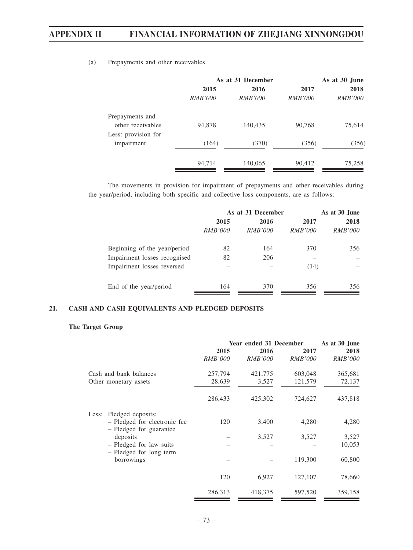|                     |                | As at 31 December |                | As at 30 June  |  |
|---------------------|----------------|-------------------|----------------|----------------|--|
|                     | 2015           | 2016              | 2017           | 2018           |  |
|                     | <i>RMB'000</i> | <i>RMB'000</i>    | <i>RMB'000</i> | <i>RMB'000</i> |  |
| Prepayments and     |                |                   |                |                |  |
| other receivables   | 94,878         | 140,435           | 90,768         | 75,614         |  |
| Less: provision for |                |                   |                |                |  |
| impairment          | (164)          | (370)             | (356)          | (356)          |  |
|                     |                |                   |                |                |  |
|                     | 94,714         | 140,065           | 90,412         | 75,258         |  |

## (a) Prepayments and other receivables

The movements in provision for impairment of prepayments and other receivables during the year/period, including both specific and collective loss components, are as follows:

|                              | As at 31 December |                |                | As at 30 June  |  |
|------------------------------|-------------------|----------------|----------------|----------------|--|
|                              | 2015              | 2016           | 2017           | 2018           |  |
|                              | <i>RMB'000</i>    | <i>RMB'000</i> | <i>RMB'000</i> | <i>RMB'000</i> |  |
| Beginning of the year/period | 82                | 164            | 370            | 356            |  |
| Impairment losses recognised | 82                | 206            |                |                |  |
| Impairment losses reversed   |                   |                | (14)           |                |  |
| End of the year/period       | 164               | 370            | 356            | 356            |  |

## **21. CASH AND CASH EQUIVALENTS AND PLEDGED DEPOSITS**

## **The Target Group**

|                                                         | Year ended 31 December |                |                | As at 30 June  |  |
|---------------------------------------------------------|------------------------|----------------|----------------|----------------|--|
|                                                         | 2015                   | 2016           | 2017           | 2018           |  |
|                                                         | <b>RMB'000</b>         | <b>RMB'000</b> | <i>RMB'000</i> | <b>RMB'000</b> |  |
| Cash and bank balances                                  | 257,794                | 421,775        | 603,048        | 365,681        |  |
| Other monetary assets                                   | 28,639                 | 3,527          | 121,579        | 72,137         |  |
|                                                         | 286,433                | 425,302        | 724,627        | 437,818        |  |
| Pledged deposits:<br>Less:                              |                        |                |                |                |  |
| - Pledged for electronic fee<br>- Pledged for guarantee | 120                    | 3,400          | 4,280          | 4,280          |  |
| deposits                                                |                        | 3,527          | 3,527          | 3,527          |  |
| - Pledged for law suits                                 |                        |                |                | 10,053         |  |
| - Pledged for long term<br>borrowings                   |                        |                | 119,300        | 60,800         |  |
|                                                         | 120                    | 6,927          | 127,107        | 78,660         |  |
|                                                         | 286,313                | 418,375        | 597,520        | 359,158        |  |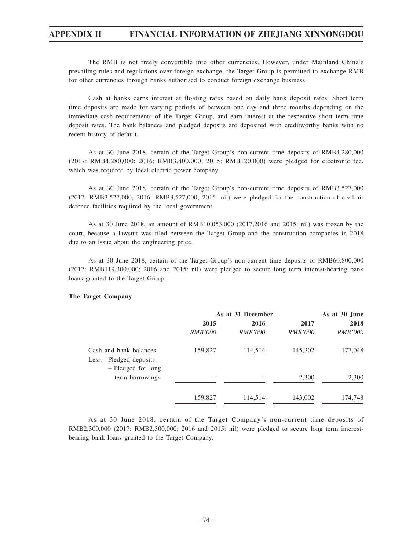The RMB is not freely convertible into other currencies. However, under Mainland China's prevailing rules and regulations over foreign exchange, the Target Group is permitted to exchange RMB for other currencies through banks authorised to conduct foreign exchange business.

Cash at banks earns interest at floating rates based on daily bank deposit rates. Short term time deposits are made for varying periods of between one day and three months depending on the immediate cash requirements of the Target Group, and earn interest at the respective short term time deposit rates. The bank balances and pledged deposits are deposited with creditworthy banks with no recent history of default.

As at 30 June 2018, certain of the Target Group's non-current time deposits of RMB4,280,000 (2017: RMB4,280,000; 2016: RMB3,400,000; 2015: RMB120,000) were pledged for electronic fee, which was required by local electric power company.

As at 30 June 2018, certain of the Target Group's non-current time deposits of RMB3,527,000 (2017: RMB3,527,000; 2016: RMB3,527,000; 2015: nil) were pledged for the construction of civil-air defence facilities required by the local government.

As at 30 June 2018, an amount of RMB10,053,000 (2017,2016 and 2015: nil) was frozen by the court, because a lawsuit was filed between the Target Group and the construction companies in 2018 due to an issue about the engineering price.

As at 30 June 2018, certain of the Target Group's non-current time deposits of RMB60,800,000 (2017: RMB119,300,000; 2016 and 2015: nil) were pledged to secure long term interest-bearing bank loans granted to the Target Group.

#### **The Target Company**

|                                                                         | As at 31 December |                |                | As at 30 June  |
|-------------------------------------------------------------------------|-------------------|----------------|----------------|----------------|
|                                                                         | 2015              | 2016           | 2017           | 2018           |
|                                                                         | <i>RMB'000</i>    | <i>RMB'000</i> | <i>RMB'000</i> | <i>RMB'000</i> |
| Cash and bank balances<br>Less: Pledged deposits:<br>- Pledged for long | 159,827           | 114,514        | 145,302        | 177,048        |
| term borrowings                                                         |                   |                | 2,300          | 2,300          |
|                                                                         | 159,827           | 114,514        | 143,002        | 174,748        |

As at 30 June 2018, certain of the Target Company's non-current time deposits of RMB2,300,000 (2017: RMB2,300,000; 2016 and 2015: nil) were pledged to secure long term interestbearing bank loans granted to the Target Company.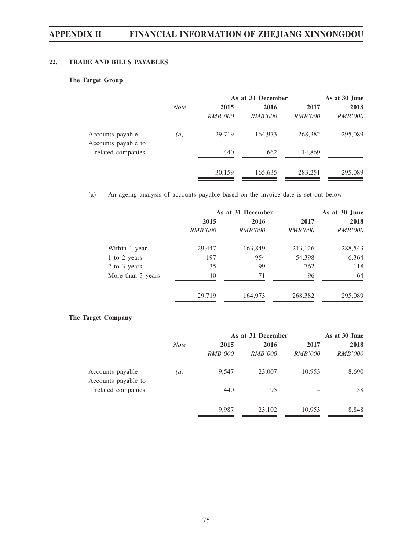## **22. TRADE AND BILLS PAYABLES**

## **The Target Group**

|                                         |                  | As at 31 December |                |                | As at 30 June  |  |
|-----------------------------------------|------------------|-------------------|----------------|----------------|----------------|--|
|                                         | <b>Note</b>      | 2015              | 2016           | 2017           | 2018           |  |
|                                         |                  | <i>RMB'000</i>    | <i>RMB'000</i> | <i>RMB'000</i> | <i>RMB'000</i> |  |
| Accounts payable<br>Accounts payable to | $\left(a\right)$ | 29,719            | 164,973        | 268,382        | 295,089        |  |
| related companies                       |                  | 440               | 662            | 14,869         |                |  |
|                                         |                  | 30,159            | 165,635        | 283,251        | 295,089        |  |

(a) An ageing analysis of accounts payable based on the invoice date is set out below:

|                   | As at 31 December |                |                | As at 30 June  |
|-------------------|-------------------|----------------|----------------|----------------|
|                   | 2015<br>2016      |                | 2017           | 2018           |
|                   | <i>RMB'000</i>    | <i>RMB'000</i> | <i>RMB'000</i> | <i>RMB'000</i> |
| Within 1 year     | 29,447            | 163,849        | 213,126        | 288,543        |
| 1 to 2 years      | 197               | 954            | 54,398         | 6,364          |
| 2 to 3 years      | 35                | 99             | 762            | 118            |
| More than 3 years | 40                | 71             | 96             | 64             |
|                   | 29,719            | 164,973        | 268,382        | 295,089        |

## **The Target Company**

|                                         |             | As at 31 December | As at 30 June  |                |                |
|-----------------------------------------|-------------|-------------------|----------------|----------------|----------------|
|                                         | <b>Note</b> | 2015              | 2016           | 2017           | 2018           |
|                                         |             | <i>RMB'000</i>    | <i>RMB'000</i> | <i>RMB'000</i> | <i>RMB'000</i> |
| Accounts payable<br>Accounts payable to | (a)         | 9,547             | 23,007         | 10,953         | 8,690          |
| related companies                       |             | 440               | 95             |                | 158            |
|                                         |             | 9,987             | 23,102         | 10,953         | 8,848          |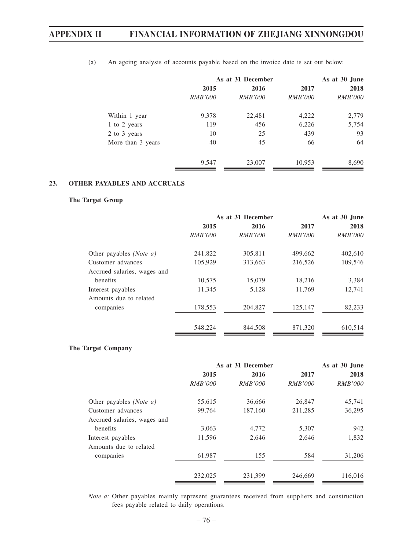|                   |                | As at 31 December | As at 30 June  |                |  |
|-------------------|----------------|-------------------|----------------|----------------|--|
|                   | 2015           | 2016              | 2017           | 2018           |  |
|                   | <i>RMB'000</i> | <i>RMB'000</i>    | <i>RMB'000</i> | <i>RMB'000</i> |  |
| Within 1 year     | 9,378          | 22,481            | 4,222          | 2,779          |  |
| 1 to 2 years      | 119            | 456               | 6,226          | 5,754          |  |
| 2 to 3 years      | 10             | 25                | 439            | 93             |  |
| More than 3 years | 40             | 45                | 66             | 64             |  |
|                   | 9,547          | 23,007            | 10,953         | 8,690          |  |

(a) An ageing analysis of accounts payable based on the invoice date is set out below:

## **23. OTHER PAYABLES AND ACCRUALS**

### **The Target Group**

|                                  |                | As at 31 December |                |                |
|----------------------------------|----------------|-------------------|----------------|----------------|
|                                  | 2015           | 2016              | 2017           | 2018           |
|                                  | <i>RMB'000</i> | <i>RMB'000</i>    | <i>RMB'000</i> | <i>RMB'000</i> |
| Other payables ( <i>Note a</i> ) | 241,822        | 305,811           | 499,662        | 402,610        |
| Customer advances                | 105,929        | 313,663           | 216,526        | 109,546        |
| Accrued salaries, wages and      |                |                   |                |                |
| benefits                         | 10,575         | 15,079            | 18,216         | 3,384          |
| Interest payables                | 11,345         | 5,128             | 11,769         | 12,741         |
| Amounts due to related           |                |                   |                |                |
| companies                        | 178,553        | 204,827           | 125,147        | 82,233         |
|                                  | 548,224        | 844,508           | 871,320        | 610,514        |

## **The Target Company**

|                             | As at 31 December |                |                | As at 30 June  |
|-----------------------------|-------------------|----------------|----------------|----------------|
|                             | 2015              | 2016           | 2017           | 2018           |
|                             | <i>RMB'000</i>    | <i>RMB'000</i> | <i>RMB'000</i> | <i>RMB'000</i> |
| Other payables (Note a)     | 55,615            | 36,666         | 26,847         | 45,741         |
| Customer advances           | 99,764            | 187,160        | 211,285        | 36,295         |
| Accrued salaries, wages and |                   |                |                |                |
| benefits                    | 3,063             | 4,772          | 5,307          | 942            |
| Interest payables           | 11,596            | 2,646          | 2,646          | 1,832          |
| Amounts due to related      |                   |                |                |                |
| companies                   | 61,987            | 155            | 584            | 31,206         |
|                             | 232,025           | 231,399        | 246,669        | 116,016        |

*Note a:* Other payables mainly represent guarantees received from suppliers and construction fees payable related to daily operations.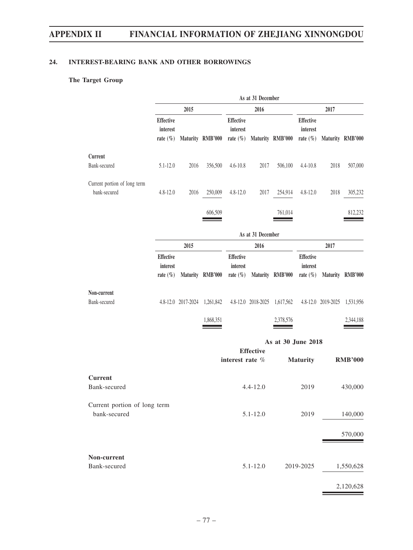## **24. INTEREST-BEARING BANK AND OTHER BORROWINGS**

## **The Target Group**

|                                              |                                              |      |                              |                                              | As at 31 December |                              |                                              |      |                              |
|----------------------------------------------|----------------------------------------------|------|------------------------------|----------------------------------------------|-------------------|------------------------------|----------------------------------------------|------|------------------------------|
|                                              |                                              | 2015 |                              |                                              | 2016              |                              |                                              | 2017 |                              |
|                                              | <b>Effective</b><br>interest<br>rate $(\% )$ |      | Maturity RMB'000             | <b>Effective</b><br>interest                 |                   | rate (%) Maturity RMB'000    | Effective<br>interest<br>rate $(\% )$        |      | Maturity RMB'000             |
| Current                                      |                                              |      |                              |                                              |                   |                              |                                              |      |                              |
| Bank-secured                                 | $5.1 - 12.0$                                 | 2016 | 356,500                      | $4.6 - 10.8$                                 | 2017              | 506,100                      | 4.4-10.8                                     | 2018 | 507,000                      |
| Current portion of long term<br>bank-secured | $4.8 - 12.0$                                 | 2016 | 250,009                      | $4.8 - 12.0$                                 | 2017              | 254,914                      | $4.8 - 12.0$                                 | 2018 | 305,232                      |
|                                              |                                              |      | 606,509                      |                                              |                   | 761,014                      |                                              |      | 812,232                      |
|                                              |                                              |      |                              |                                              | As at 31 December |                              |                                              |      |                              |
|                                              |                                              | 2015 |                              |                                              | 2016              |                              |                                              | 2017 |                              |
|                                              | <b>Effective</b><br>interest<br>rate $(\% )$ |      | Maturity RMB'000             | <b>Effective</b><br>interest<br>rate $(\% )$ |                   | Maturity RMB'000             | <b>Effective</b><br>interest<br>rate $(\% )$ |      | Maturity RMB'000             |
| Non-current<br>Bank-secured                  |                                              |      | 4.8-12.0 2017-2024 1,261,842 |                                              |                   | 4.8-12.0 2018-2025 1,617,562 |                                              |      | 4.8-12.0 2019-2025 1,531,956 |
|                                              |                                              |      | 1,868,351                    |                                              |                   | 2,378,576                    |                                              |      | 2,344,188                    |
|                                              |                                              |      |                              |                                              |                   | As at 30 June 2018           |                                              |      |                              |
|                                              |                                              |      |                              | interest rate %                              | <b>Effective</b>  |                              | <b>Maturity</b>                              |      | <b>RMB'000</b>               |
| <b>Current</b><br>Bank-secured               |                                              |      |                              |                                              | $4.4 - 12.0$      |                              | 2019                                         |      | 430,000                      |
| Current portion of long term<br>bank-secured |                                              |      |                              |                                              | $5.1 - 12.0$      |                              | 2019                                         |      | 140,000                      |
|                                              |                                              |      |                              |                                              |                   |                              |                                              |      | 570,000                      |
| Non-current<br>Bank-secured                  |                                              |      |                              |                                              | $5.1 - 12.0$      |                              | 2019-2025                                    |      | 1,550,628                    |
|                                              |                                              |      |                              |                                              |                   |                              |                                              |      | 2,120,628                    |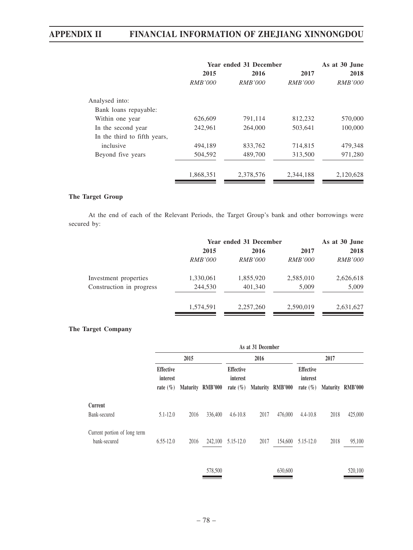|                              | Year ended 31 December | As at 30 June  |                |                |
|------------------------------|------------------------|----------------|----------------|----------------|
|                              | 2015                   | 2016           | 2017           | 2018           |
|                              | <i>RMB'000</i>         | <i>RMB'000</i> | <i>RMB'000</i> | <i>RMB'000</i> |
| Analysed into:               |                        |                |                |                |
| Bank loans repayable:        |                        |                |                |                |
| Within one year              | 626,609                | 791,114        | 812,232        | 570,000        |
| In the second year           | 242,961                | 264,000        | 503,641        | 100,000        |
| In the third to fifth years, |                        |                |                |                |
| inclusive                    | 494.189                | 833,762        | 714,815        | 479,348        |
| Beyond five years            | 504,592                | 489,700        | 313,500        | 971,280        |
|                              | 1,868,351              | 2,378,576      | 2,344,188      | 2,120,628      |

### **The Target Group**

At the end of each of the Relevant Periods, the Target Group's bank and other borrowings were secured by:

|                          | Year ended 31 December |                |                | As at 30 June  |  |
|--------------------------|------------------------|----------------|----------------|----------------|--|
|                          | 2015                   | 2016           | 2017           | 2018           |  |
|                          | <i>RMB'000</i>         | <i>RMB'000</i> | <i>RMB'000</i> | <i>RMB'000</i> |  |
| Investment properties    | 1,330,061              | 1,855,920      | 2,585,010      | 2,626,618      |  |
| Construction in progress | 244,530                | 401,340        | 5,009          | 5,009          |  |
|                          | 1,574,591              | 2,257,260      | 2,590,019      | 2,631,627      |  |

## **The Target Company**

|                                       | 2015 |         |                                              | 2016 |         | 2017                                         |      |                   |
|---------------------------------------|------|---------|----------------------------------------------|------|---------|----------------------------------------------|------|-------------------|
| Effective<br>interest<br>rate $(\% )$ |      |         | <b>Effective</b><br>interest<br>rate $(\% )$ |      |         | <b>Effective</b><br>interest<br>rate $(\% )$ |      | Maturity RMB'000  |
|                                       |      |         |                                              |      |         |                                              |      |                   |
| $5.1 - 12.0$                          | 2016 | 336,400 | $4.6 - 10.8$                                 | 2017 | 476,000 | $4.4 - 10.8$                                 | 2018 | 425,000           |
| $6.55 - 12.0$                         | 2016 | 242,100 | 5.15-12.0                                    | 2017 | 154,600 | 5.15-12.0                                    | 2018 | 95,100            |
|                                       |      |         | Maturity RMB'000                             |      |         | Maturity RMB'000                             |      | As at 31 December |

578,500 630,600 520,100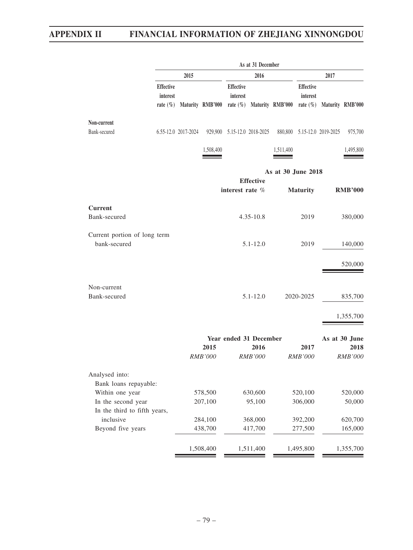|                              | As at 31 December                            |                     |                  |                              |                  |                                          |                              |                             |                  |
|------------------------------|----------------------------------------------|---------------------|------------------|------------------------------|------------------|------------------------------------------|------------------------------|-----------------------------|------------------|
|                              |                                              | 2015                |                  |                              | 2016             |                                          |                              | 2017                        |                  |
|                              | <b>Effective</b><br>interest<br>rate $(\% )$ |                     | Maturity RMB'000 | <b>Effective</b><br>interest |                  | rate $(\%)$ Maturity RMB'000 rate $(\%)$ | <b>Effective</b><br>interest |                             | Maturity RMB'000 |
| Non-current                  |                                              |                     |                  |                              |                  |                                          |                              |                             |                  |
| Bank-secured                 |                                              | 6.55-12.0 2017-2024 |                  | 929,900 5.15-12.0 2018-2025  |                  |                                          |                              | 880,800 5.15-12.0 2019-2025 | 975,700          |
|                              |                                              |                     | 1,508,400        |                              |                  | 1,511,400                                |                              |                             | 1,495,800        |
|                              |                                              |                     |                  |                              |                  | As at 30 June 2018                       |                              |                             |                  |
|                              |                                              |                     |                  |                              | <b>Effective</b> |                                          |                              |                             |                  |
|                              |                                              |                     |                  | interest rate %              |                  |                                          | <b>Maturity</b>              |                             | <b>RMB'000</b>   |
| <b>Current</b>               |                                              |                     |                  |                              |                  |                                          |                              |                             |                  |
| Bank-secured                 |                                              |                     |                  |                              | $4.35 - 10.8$    |                                          | 2019                         |                             | 380,000          |
|                              |                                              |                     |                  |                              |                  |                                          |                              |                             |                  |
| Current portion of long term |                                              |                     |                  |                              |                  |                                          |                              |                             |                  |
| bank-secured                 |                                              |                     |                  |                              | $5.1 - 12.0$     |                                          | 2019                         |                             | 140,000          |
|                              |                                              |                     |                  |                              |                  |                                          |                              |                             | 520,000          |
|                              |                                              |                     |                  |                              |                  |                                          |                              |                             |                  |
| Non-current                  |                                              |                     |                  |                              |                  |                                          |                              |                             |                  |
| Bank-secured                 |                                              |                     |                  |                              | $5.1 - 12.0$     |                                          | 2020-2025                    |                             | 835,700          |
|                              |                                              |                     |                  |                              |                  |                                          |                              |                             |                  |
|                              |                                              |                     |                  |                              |                  |                                          |                              |                             | 1,355,700        |
|                              |                                              |                     |                  | Year ended 31 December       |                  |                                          |                              |                             | As at 30 June    |
|                              |                                              |                     | 2015             |                              | 2016             |                                          | 2017                         |                             | 2018             |
|                              |                                              |                     | <b>RMB'000</b>   |                              | <b>RMB'000</b>   |                                          | <b>RMB'000</b>               |                             | <b>RMB'000</b>   |
| Analysed into:               |                                              |                     |                  |                              |                  |                                          |                              |                             |                  |
| Bank loans repayable:        |                                              |                     |                  |                              |                  |                                          |                              |                             |                  |
| Within one year              |                                              |                     | 578,500          |                              | 630,600          |                                          | 520,100                      |                             | 520,000          |
| In the second year           |                                              |                     | 207,100          |                              | 95,100           |                                          | 306,000                      |                             | 50,000           |
| In the third to fifth years, |                                              |                     |                  |                              |                  |                                          |                              |                             |                  |
| inclusive                    |                                              |                     | 284,100          |                              | 368,000          |                                          | 392,200                      |                             | 620,700          |
| Beyond five years            |                                              |                     | 438,700          |                              | 417,700          |                                          | 277,500                      |                             | 165,000          |
|                              |                                              |                     | 1,508,400        |                              | 1,511,400        |                                          | 1,495,800                    |                             | 1,355,700        |
|                              |                                              |                     |                  |                              |                  |                                          |                              |                             |                  |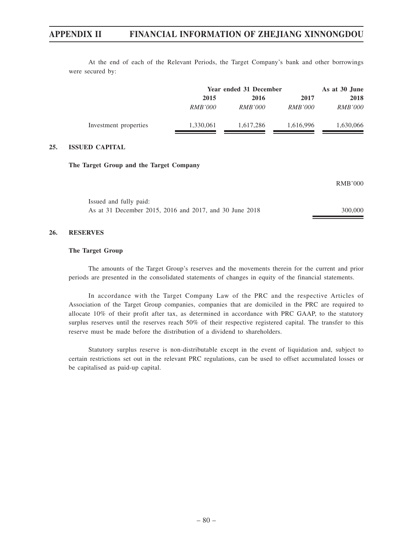At the end of each of the Relevant Periods, the Target Company's bank and other borrowings were secured by:

|                       |                | Year ended 31 December |                |                |
|-----------------------|----------------|------------------------|----------------|----------------|
|                       | 2015           | 2016                   | 2017           | 2018           |
|                       | <i>RMB'000</i> | <i>RMB'000</i>         | <i>RMB'000</i> | <i>RMB'000</i> |
| Investment properties | 1,330,061      | 1.617.286              | 1,616,996      | 1,630,066      |

### **25. ISSUED CAPITAL**

#### **The Target Group and the Target Company**

|                                                         | RMB'000 |
|---------------------------------------------------------|---------|
| Issued and fully paid:                                  |         |
| As at 31 December 2015, 2016 and 2017, and 30 June 2018 | 300,000 |

#### **26. RESERVES**

#### **The Target Group**

The amounts of the Target Group's reserves and the movements therein for the current and prior periods are presented in the consolidated statements of changes in equity of the financial statements.

In accordance with the Target Company Law of the PRC and the respective Articles of Association of the Target Group companies, companies that are domiciled in the PRC are required to allocate 10% of their profit after tax, as determined in accordance with PRC GAAP, to the statutory surplus reserves until the reserves reach 50% of their respective registered capital. The transfer to this reserve must be made before the distribution of a dividend to shareholders.

Statutory surplus reserve is non-distributable except in the event of liquidation and, subject to certain restrictions set out in the relevant PRC regulations, can be used to offset accumulated losses or be capitalised as paid-up capital.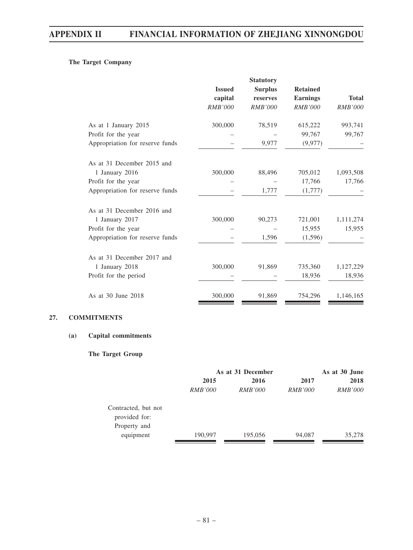## **The Target Company**

|                | <b>Statutory</b> |                  |                    |
|----------------|------------------|------------------|--------------------|
| <b>Issued</b>  | <b>Surplus</b>   | <b>Retained</b>  |                    |
| capital        | reserves         | <b>Earnings</b>  | <b>Total</b>       |
| <b>RMB'000</b> | <i>RMB'000</i>   | <b>RMB'000</b>   | <b>RMB'000</b>     |
| 300,000        | 78,519           | 615,222          | 993,741            |
|                |                  | 99,767           | 99,767             |
|                | 9,977            | (9,977)          |                    |
|                |                  |                  |                    |
| 300,000        |                  |                  | 1,093,508          |
|                |                  | 17,766           | 17,766             |
|                | 1,777            | (1,777)          |                    |
|                |                  |                  |                    |
| 300,000        | 90,273           | 721,001          | 1,111,274          |
|                |                  | 15,955           | 15,955             |
|                | 1,596            | (1,596)          |                    |
|                |                  |                  |                    |
|                |                  |                  | 1,127,229          |
|                |                  | 18,936           | 18,936             |
| 300,000        | 91,869           | 754,296          | 1,146,165          |
|                | 300,000          | 88,496<br>91,869 | 705,012<br>735,360 |

## **27. COMMITMENTS**

## **(a) Capital commitments**

## **The Target Group**

|                               | As at 31 December |                |                | As at 30 June  |  |
|-------------------------------|-------------------|----------------|----------------|----------------|--|
|                               | 2015              | 2016           |                | 2018           |  |
|                               | <i>RMB'000</i>    | <i>RMB'000</i> | <i>RMB'000</i> | <i>RMB'000</i> |  |
| Contracted, but not           |                   |                |                |                |  |
| provided for:<br>Property and |                   |                |                |                |  |
| equipment                     | 190,997           | 195,056        | 94,087         | 35,278         |  |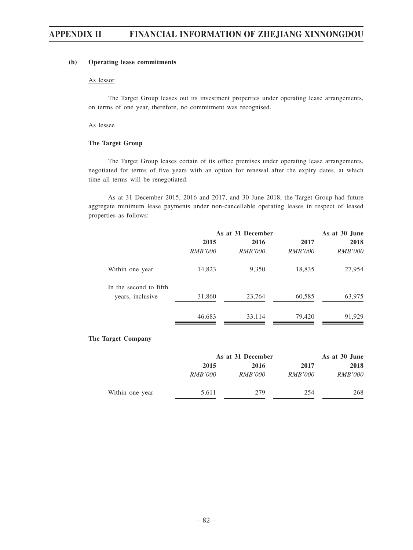### **(b) Operating lease commitments**

#### As lessor

The Target Group leases out its investment properties under operating lease arrangements, on terms of one year, therefore, no commitment was recognised.

#### As lessee

#### **The Target Group**

The Target Group leases certain of its office premises under operating lease arrangements, negotiated for terms of five years with an option for renewal after the expiry dates, at which time all terms will be renegotiated.

As at 31 December 2015, 2016 and 2017, and 30 June 2018, the Target Group had future aggregate minimum lease payments under non-cancellable operating leases in respect of leased properties as follows:

|                        | As at 31 December |                |                | As at 30 June  |
|------------------------|-------------------|----------------|----------------|----------------|
|                        | 2015              | 2016           | 2017           | 2018           |
|                        | <i>RMB'000</i>    | <i>RMB'000</i> | <i>RMB'000</i> | <i>RMB'000</i> |
| Within one year        | 14,823            | 9,350          | 18,835         | 27,954         |
| In the second to fifth |                   |                |                |                |
| years, inclusive       | 31,860            | 23,764         | 60,585         | 63,975         |
|                        | 46,683            | 33,114         | 79,420         | 91,929         |

## **The Target Company**

|                 | As at 31 December |                | As at 30 June  |                |
|-----------------|-------------------|----------------|----------------|----------------|
|                 | 2015              | 2016           | 2017           | 2018           |
|                 | <i>RMB'000</i>    | <i>RMB'000</i> | <i>RMB'000</i> | <i>RMB'000</i> |
| Within one year | 5,611             | 279            | 254            | 268            |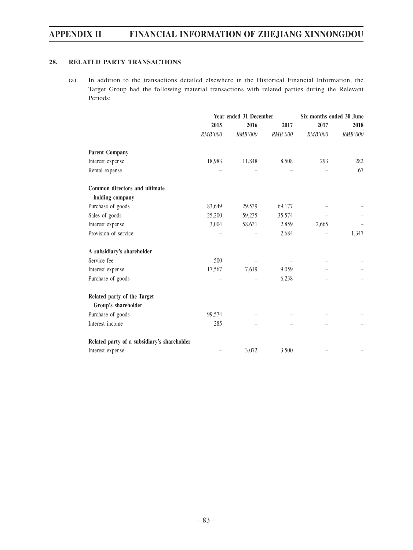## **28. RELATED PARTY TRANSACTIONS**

(a) In addition to the transactions detailed elsewhere in the Historical Financial Information, the Target Group had the following material transactions with related parties during the Relevant Periods:

|                                             | Year ended 31 December |                |                | Six months ended 30 June |                |  |
|---------------------------------------------|------------------------|----------------|----------------|--------------------------|----------------|--|
|                                             | 2015                   | 2016           | 2017           | 2017                     | 2018           |  |
|                                             | RMB'000                | <b>RMB'000</b> | <b>RMB'000</b> | <b>RMB'000</b>           | <b>RMB'000</b> |  |
| <b>Parent Company</b>                       |                        |                |                |                          |                |  |
| Interest expense                            | 18,983                 | 11,848         | 8,508          | 293                      | 282            |  |
| Rental expense                              |                        |                |                |                          | 67             |  |
| Common directors and ultimate               |                        |                |                |                          |                |  |
| holding company                             |                        |                |                |                          |                |  |
| Purchase of goods                           | 83,649                 | 29,539         | 69,177         |                          |                |  |
| Sales of goods                              | 25,200                 | 59,235         | 35,574         |                          |                |  |
| Interest expense                            | 3,004                  | 58,631         | 2,859          | 2,665                    |                |  |
| Provision of service                        |                        |                | 2,684          |                          | 1,347          |  |
| A subsidiary's shareholder                  |                        |                |                |                          |                |  |
| Service fee                                 | 500                    |                |                |                          |                |  |
| Interest expense                            | 17,567                 | 7,619          | 9,059          |                          |                |  |
| Purchase of goods                           |                        |                | 6,238          |                          |                |  |
| Related party of the Target                 |                        |                |                |                          |                |  |
| Group's shareholder                         |                        |                |                |                          |                |  |
| Purchase of goods                           | 99,574                 |                |                |                          |                |  |
| Interest income                             | 285                    |                |                |                          |                |  |
| Related party of a subsidiary's shareholder |                        |                |                |                          |                |  |
| Interest expense                            |                        | 3,072          | 3,500          |                          |                |  |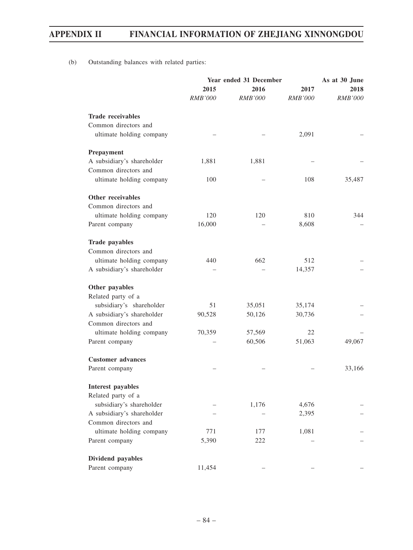(b) Outstanding balances with related parties:

|                            | Year ended 31 December |                |                | As at 30 June  |  |
|----------------------------|------------------------|----------------|----------------|----------------|--|
|                            | 2015                   | 2016           | 2017           | 2018           |  |
|                            | <b>RMB'000</b>         | <b>RMB'000</b> | <b>RMB'000</b> | <b>RMB'000</b> |  |
| <b>Trade receivables</b>   |                        |                |                |                |  |
| Common directors and       |                        |                |                |                |  |
| ultimate holding company   |                        |                | 2,091          |                |  |
| Prepayment                 |                        |                |                |                |  |
| A subsidiary's shareholder | 1,881                  | 1,881          |                |                |  |
| Common directors and       |                        |                |                |                |  |
| ultimate holding company   | 100                    |                | 108            | 35,487         |  |
| Other receivables          |                        |                |                |                |  |
| Common directors and       |                        |                |                |                |  |
| ultimate holding company   | 120                    | 120            | 810            | 344            |  |
| Parent company             | 16,000                 |                | 8,608          |                |  |
| <b>Trade payables</b>      |                        |                |                |                |  |
| Common directors and       |                        |                |                |                |  |
| ultimate holding company   | 440                    | 662            | 512            |                |  |
| A subsidiary's shareholder |                        |                | 14,357         |                |  |
| Other payables             |                        |                |                |                |  |
| Related party of a         |                        |                |                |                |  |
| subsidiary's shareholder   | 51                     | 35,051         | 35,174         |                |  |
| A subsidiary's shareholder | 90,528                 | 50,126         | 30,736         |                |  |
| Common directors and       |                        |                |                |                |  |
| ultimate holding company   | 70,359                 | 57,569         | 22             |                |  |
| Parent company             |                        | 60,506         | 51,063         | 49,067         |  |
| <b>Customer</b> advances   |                        |                |                |                |  |
| Parent company             |                        |                |                | 33,166         |  |
| <b>Interest payables</b>   |                        |                |                |                |  |
| Related party of a         |                        |                |                |                |  |
| subsidiary's shareholder   |                        | 1,176          | 4,676          |                |  |
| A subsidiary's shareholder |                        |                | 2,395          |                |  |
| Common directors and       |                        |                |                |                |  |
| ultimate holding company   | 771                    | 177            | 1,081          |                |  |
| Parent company             | 5,390                  | 222            |                |                |  |
| Dividend payables          |                        |                |                |                |  |
| Parent company             | 11,454                 |                |                |                |  |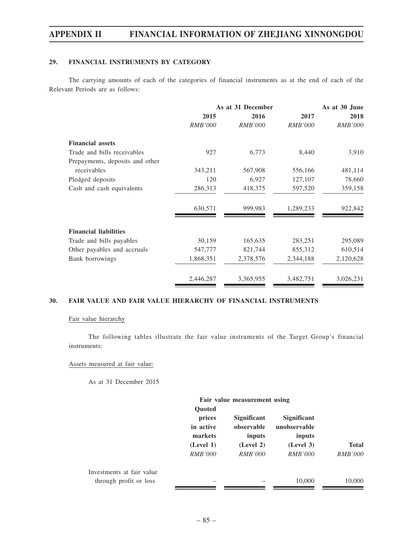## **29. FINANCIAL INSTRUMENTS BY CATEGORY**

The carrying amounts of each of the categories of financial instruments as at the end of each of the Relevant Periods are as follows:

|                                 |                | As at 31 December | As at 30 June  |                |
|---------------------------------|----------------|-------------------|----------------|----------------|
|                                 | 2015           | 2016              | 2017           | 2018           |
|                                 | <b>RMB'000</b> | <i>RMB'000</i>    | <i>RMB'000</i> | <i>RMB'000</i> |
| <b>Financial assets</b>         |                |                   |                |                |
| Trade and bills receivables     | 927            | 6,773             | 8,440          | 3,910          |
| Prepayments, deposits and other |                |                   |                |                |
| receivables                     | 343,211        | 567,908           | 556,166        | 481,114        |
| Pledged deposits                | 120            | 6,927             | 127,107        | 78,660         |
| Cash and cash equivalents       | 286,313        | 418,375           | 597,520        | 359,158        |
|                                 | 630,571        | 999,983           | 1,289,233      | 922,842        |
| <b>Financial liabilities</b>    |                |                   |                |                |
| Trade and bills payables        | 30,159         | 165,635           | 283,251        | 295,089        |
| Other payables and accruals     | 547,777        | 821,744           | 855,312        | 610,514        |
| Bank borrowings                 | 1,868,351      | 2,378,576         | 2,344,188      | 2,120,628      |
|                                 | 2,446,287      | 3,365,955         | 3,482,751      | 3,026,231      |

## **30. FAIR VALUE AND FAIR VALUE HIERARCHY OF FINANCIAL INSTRUMENTS**

#### Fair value hierarchy

The following tables illustrate the fair value instruments of the Target Group's financial instruments:

## Assets measured at fair value:

As at 31 December 2015

| prices<br>in active<br>markets | <b>Significant</b><br>observable<br>inputs | <b>Significant</b><br>unobservable<br>inputs |                              |
|--------------------------------|--------------------------------------------|----------------------------------------------|------------------------------|
| (Level 1)                      | (Level 2)                                  | (Level 3)                                    | <b>Total</b>                 |
| <i>RMB'000</i>                 | <i>RMB'000</i>                             | <i>RMB'000</i>                               | <i>RMB'000</i>               |
|                                |                                            |                                              |                              |
|                                |                                            | 10,000                                       | 10,000                       |
|                                | <b>Quoted</b>                              |                                              | Fair value measurement using |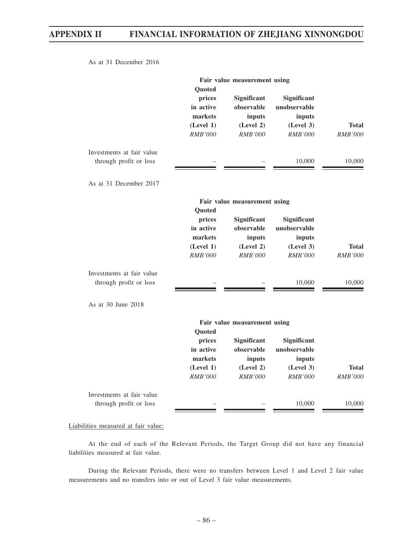As at 31 December 2016

|                                                     | Fair value measurement using<br>Quoted                                  |                                                                    |                                                                      |                                |
|-----------------------------------------------------|-------------------------------------------------------------------------|--------------------------------------------------------------------|----------------------------------------------------------------------|--------------------------------|
|                                                     | prices<br>in active<br>markets<br>(Level 1)<br>RMB'000                  | Significant<br>observable<br>inputs<br>(Level 2)<br>RMB'000        | Significant<br>unobservable<br>inputs<br>(Level 3)<br><b>RMB'000</b> | <b>Total</b><br><b>RMB'000</b> |
| Investments at fair value<br>through profit or loss |                                                                         |                                                                    | 10,000                                                               | 10,000                         |
| As at 31 December 2017                              |                                                                         |                                                                    |                                                                      |                                |
|                                                     |                                                                         | Fair value measurement using                                       |                                                                      |                                |
|                                                     | Quoted<br>prices<br>in active<br>markets<br>(Level 1)<br><b>RMB'000</b> | Significant<br>observable<br>inputs<br>(Level 2)<br><b>RMB'000</b> | Significant<br>unobservable<br>inputs<br>(Level 3)<br><b>RMB'000</b> | <b>Total</b><br><b>RMB'000</b> |
| Investments at fair value<br>through profit or loss |                                                                         |                                                                    | 10,000                                                               | 10,000                         |
| As at 30 June 2018                                  |                                                                         |                                                                    |                                                                      |                                |
|                                                     | Quoted                                                                  | Fair value measurement using                                       |                                                                      |                                |
|                                                     | prices<br>in active<br>markets                                          | Significant<br>observable<br>inputs                                | Significant<br>unobservable<br>inputs                                |                                |
|                                                     | (Level 1)<br><b>RMB'000</b>                                             | (Level 2)<br><b>RMB'000</b>                                        | (Level 3)<br><b>RMB'000</b>                                          | <b>Total</b><br><b>RMB'000</b> |
| Investments at fair value<br>through profit or loss |                                                                         |                                                                    | 10,000                                                               | 10,000                         |

Liabilities measured at fair value:

At the end of each of the Relevant Periods, the Target Group did not have any financial liabilities measured at fair value.

During the Relevant Periods, there were no transfers between Level 1 and Level 2 fair value measurements and no transfers into or out of Level 3 fair value measurements.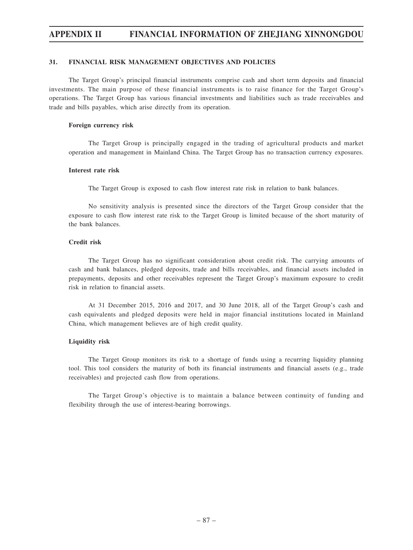## **31. FINANCIAL RISK MANAGEMENT OBJECTIVES AND POLICIES**

The Target Group's principal financial instruments comprise cash and short term deposits and financial investments. The main purpose of these financial instruments is to raise finance for the Target Group's operations. The Target Group has various financial investments and liabilities such as trade receivables and trade and bills payables, which arise directly from its operation.

### **Foreign currency risk**

The Target Group is principally engaged in the trading of agricultural products and market operation and management in Mainland China. The Target Group has no transaction currency exposures.

### **Interest rate risk**

The Target Group is exposed to cash flow interest rate risk in relation to bank balances.

No sensitivity analysis is presented since the directors of the Target Group consider that the exposure to cash flow interest rate risk to the Target Group is limited because of the short maturity of the bank balances.

## **Credit risk**

The Target Group has no significant consideration about credit risk. The carrying amounts of cash and bank balances, pledged deposits, trade and bills receivables, and financial assets included in prepayments, deposits and other receivables represent the Target Group's maximum exposure to credit risk in relation to financial assets.

At 31 December 2015, 2016 and 2017, and 30 June 2018, all of the Target Group's cash and cash equivalents and pledged deposits were held in major financial institutions located in Mainland China, which management believes are of high credit quality.

## **Liquidity risk**

The Target Group monitors its risk to a shortage of funds using a recurring liquidity planning tool. This tool considers the maturity of both its financial instruments and financial assets (e.g., trade receivables) and projected cash flow from operations.

The Target Group's objective is to maintain a balance between continuity of funding and flexibility through the use of interest-bearing borrowings.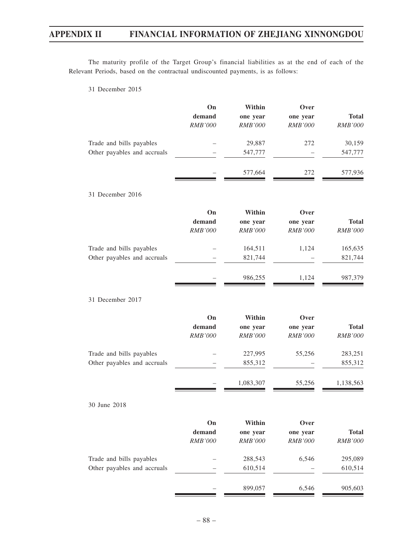The maturity profile of the Target Group's financial liabilities as at the end of each of the Relevant Periods, based on the contractual undiscounted payments, is as follows:

31 December 2015

|                             | On             | Within         | Over           |                |
|-----------------------------|----------------|----------------|----------------|----------------|
|                             | demand         | one year       | one year       | <b>Total</b>   |
|                             | RMB'000        | <b>RMB'000</b> | <b>RMB'000</b> | RMB'000        |
| Trade and bills payables    |                | 29,887         | 272            | 30,159         |
| Other payables and accruals |                | 547,777        |                | 547,777        |
|                             |                | 577,664        | 272            | 577,936        |
| 31 December 2016            |                |                |                |                |
|                             | On             | Within         | Over           |                |
|                             | demand         | one year       | one year       | <b>Total</b>   |
|                             | <b>RMB'000</b> | <b>RMB'000</b> | <b>RMB'000</b> | <b>RMB'000</b> |
| Trade and bills payables    |                | 164,511        | 1,124          | 165,635        |
| Other payables and accruals |                | 821,744        |                | 821,744        |
|                             |                | 986,255        | 1,124          | 987,379        |
| 31 December 2017            |                |                |                |                |
|                             | On             | Within         | Over           |                |
|                             | demand         | one year       | one year       | <b>Total</b>   |
|                             | RMB'000        | <b>RMB'000</b> | <b>RMB'000</b> | <b>RMB'000</b> |
| Trade and bills payables    |                | 227,995        | 55,256         | 283,251        |
| Other payables and accruals |                | 855,312        |                | 855,312        |
|                             |                | 1,083,307      | 55,256         | 1,138,563      |
| 30 June 2018                |                |                |                |                |
|                             | On             | Within         | Over           |                |
|                             | demand         | one year       | one year       | <b>Total</b>   |
|                             | $RMB'000$      | RMB'000        | RMB'000        | RMB'000        |
| Trade and bills payables    |                | 288,543        | 6,546          | 295,089        |
| Other payables and accruals |                | 610,514        |                | 610,514        |
|                             |                | 899,057        | 6,546          | 905,603        |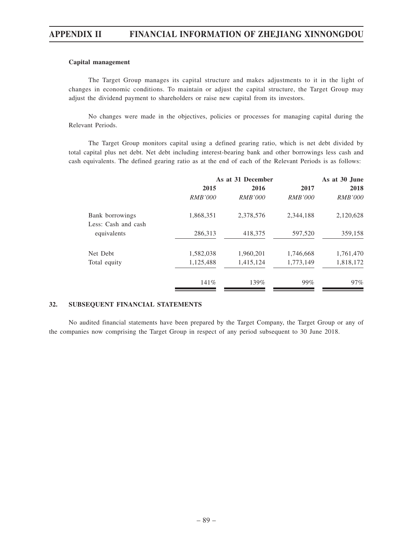#### **Capital management**

The Target Group manages its capital structure and makes adjustments to it in the light of changes in economic conditions. To maintain or adjust the capital structure, the Target Group may adjust the dividend payment to shareholders or raise new capital from its investors.

No changes were made in the objectives, policies or processes for managing capital during the Relevant Periods.

The Target Group monitors capital using a defined gearing ratio, which is net debt divided by total capital plus net debt. Net debt including interest-bearing bank and other borrowings less cash and cash equivalents. The defined gearing ratio as at the end of each of the Relevant Periods is as follows:

| As at 31 December |                |                | As at 30 June  |
|-------------------|----------------|----------------|----------------|
| 2015              | 2016           | 2017           | 2018           |
| <i>RMB'000</i>    | <i>RMB'000</i> | <i>RMB'000</i> | <i>RMB'000</i> |
| 1,868,351         | 2,378,576      | 2,344,188      | 2,120,628      |
|                   |                |                |                |
| 286,313           | 418,375        | 597,520        | 359,158        |
| 1,582,038         | 1,960,201      | 1,746,668      | 1,761,470      |
| 1,125,488         | 1,415,124      | 1,773,149      | 1,818,172      |
| 141%              | $139\%$        | 99%            | $97\%$         |
|                   |                |                |                |

## **32. SUBSEQUENT FINANCIAL STATEMENTS**

No audited financial statements have been prepared by the Target Company, the Target Group or any of the companies now comprising the Target Group in respect of any period subsequent to 30 June 2018.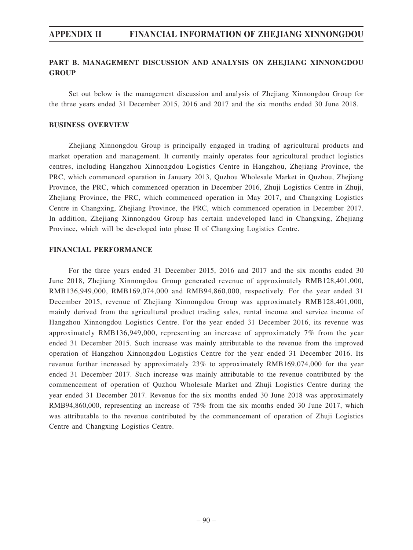## **PART B. MANAGEMENT DISCUSSION AND ANALYSIS ON ZHEJIANG XINNONGDOU GROUP**

Set out below is the management discussion and analysis of Zhejiang Xinnongdou Group for the three years ended 31 December 2015, 2016 and 2017 and the six months ended 30 June 2018.

## **BUSINESS OVERVIEW**

Zhejiang Xinnongdou Group is principally engaged in trading of agricultural products and market operation and management. It currently mainly operates four agricultural product logistics centres, including Hangzhou Xinnongdou Logistics Centre in Hangzhou, Zhejiang Province, the PRC, which commenced operation in January 2013, Quzhou Wholesale Market in Quzhou, Zhejiang Province, the PRC, which commenced operation in December 2016, Zhuji Logistics Centre in Zhuji, Zhejiang Province, the PRC, which commenced operation in May 2017, and Changxing Logistics Centre in Changxing, Zhejiang Province, the PRC, which commenced operation in December 2017. In addition, Zhejiang Xinnongdou Group has certain undeveloped land in Changxing, Zhejiang Province, which will be developed into phase II of Changxing Logistics Centre.

## **FINANCIAL PERFORMANCE**

For the three years ended 31 December 2015, 2016 and 2017 and the six months ended 30 June 2018, Zhejiang Xinnongdou Group generated revenue of approximately RMB128,401,000, RMB136,949,000, RMB169,074,000 and RMB94,860,000, respectively. For the year ended 31 December 2015, revenue of Zhejiang Xinnongdou Group was approximately RMB128,401,000, mainly derived from the agricultural product trading sales, rental income and service income of Hangzhou Xinnongdou Logistics Centre. For the year ended 31 December 2016, its revenue was approximately RMB136,949,000, representing an increase of approximately 7% from the year ended 31 December 2015. Such increase was mainly attributable to the revenue from the improved operation of Hangzhou Xinnongdou Logistics Centre for the year ended 31 December 2016. Its revenue further increased by approximately 23% to approximately RMB169,074,000 for the year ended 31 December 2017. Such increase was mainly attributable to the revenue contributed by the commencement of operation of Quzhou Wholesale Market and Zhuji Logistics Centre during the year ended 31 December 2017. Revenue for the six months ended 30 June 2018 was approximately RMB94,860,000, representing an increase of 75% from the six months ended 30 June 2017, which was attributable to the revenue contributed by the commencement of operation of Zhuji Logistics Centre and Changxing Logistics Centre.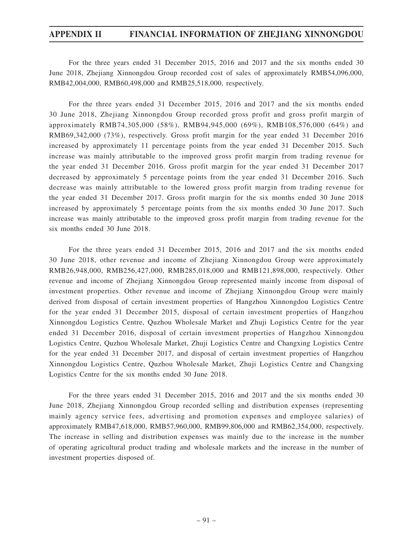For the three years ended 31 December 2015, 2016 and 2017 and the six months ended 30 June 2018, Zhejiang Xinnongdou Group recorded cost of sales of approximately RMB54,096,000, RMB42,004,000, RMB60,498,000 and RMB25,518,000, respectively.

For the three years ended 31 December 2015, 2016 and 2017 and the six months ended 30 June 2018, Zhejiang Xinnongdou Group recorded gross profit and gross profit margin of approximately RMB74,305,000 (58%), RMB94,945,000 (69%), RMB108,576,000 (64%) and RMB69,342,000 (73%), respectively. Gross profit margin for the year ended 31 December 2016 increased by approximately 11 percentage points from the year ended 31 December 2015. Such increase was mainly attributable to the improved gross profit margin from trading revenue for the year ended 31 December 2016. Gross profit margin for the year ended 31 December 2017 decreased by approximately 5 percentage points from the year ended 31 December 2016. Such decrease was mainly attributable to the lowered gross profit margin from trading revenue for the year ended 31 December 2017. Gross profit margin for the six months ended 30 June 2018 increased by approximately 5 percentage points from the six months ended 30 June 2017. Such increase was mainly attributable to the improved gross profit margin from trading revenue for the six months ended 30 June 2018.

For the three years ended 31 December 2015, 2016 and 2017 and the six months ended 30 June 2018, other revenue and income of Zhejiang Xinnongdou Group were approximately RMB26,948,000, RMB256,427,000, RMB285,018,000 and RMB121,898,000, respectively. Other revenue and income of Zhejiang Xinnongdou Group represented mainly income from disposal of investment properties. Other revenue and income of Zhejiang Xinnongdou Group were mainly derived from disposal of certain investment properties of Hangzhou Xinnongdou Logistics Centre for the year ended 31 December 2015, disposal of certain investment properties of Hangzhou Xinnongdou Logistics Centre, Quzhou Wholesale Market and Zhuji Logistics Centre for the year ended 31 December 2016, disposal of certain investment properties of Hangzhou Xinnongdou Logistics Centre, Quzhou Wholesale Market, Zhuji Logistics Centre and Changxing Logistics Centre for the year ended 31 December 2017, and disposal of certain investment properties of Hangzhou Xinnongdou Logistics Centre, Quzhou Wholesale Market, Zhuji Logistics Centre and Changxing Logistics Centre for the six months ended 30 June 2018.

For the three years ended 31 December 2015, 2016 and 2017 and the six months ended 30 June 2018, Zhejiang Xinnongdou Group recorded selling and distribution expenses (representing mainly agency service fees, advertising and promotion expenses and employee salaries) of approximately RMB47,618,000, RMB57,960,000, RMB99,806,000 and RMB62,354,000, respectively. The increase in selling and distribution expenses was mainly due to the increase in the number of operating agricultural product trading and wholesale markets and the increase in the number of investment properties disposed of.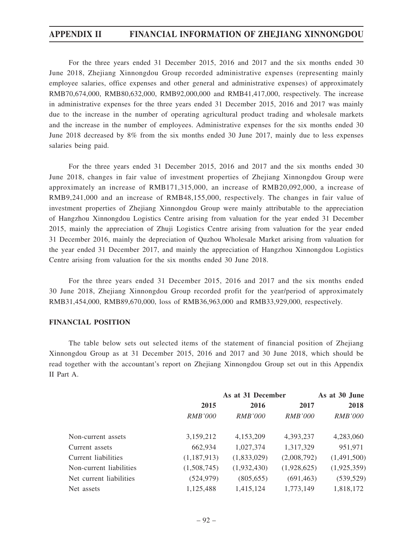For the three years ended 31 December 2015, 2016 and 2017 and the six months ended 30 June 2018, Zhejiang Xinnongdou Group recorded administrative expenses (representing mainly employee salaries, office expenses and other general and administrative expenses) of approximately RMB70,674,000, RMB80,632,000, RMB92,000,000 and RMB41,417,000, respectively. The increase in administrative expenses for the three years ended 31 December 2015, 2016 and 2017 was mainly due to the increase in the number of operating agricultural product trading and wholesale markets and the increase in the number of employees. Administrative expenses for the six months ended 30 June 2018 decreased by 8% from the six months ended 30 June 2017, mainly due to less expenses salaries being paid.

For the three years ended 31 December 2015, 2016 and 2017 and the six months ended 30 June 2018, changes in fair value of investment properties of Zhejiang Xinnongdou Group were approximately an increase of RMB171,315,000, an increase of RMB20,092,000, a increase of RMB9,241,000 and an increase of RMB48,155,000, respectively. The changes in fair value of investment properties of Zhejiang Xinnongdou Group were mainly attributable to the appreciation of Hangzhou Xinnongdou Logistics Centre arising from valuation for the year ended 31 December 2015, mainly the appreciation of Zhuji Logistics Centre arising from valuation for the year ended 31 December 2016, mainly the depreciation of Quzhou Wholesale Market arising from valuation for the year ended 31 December 2017, and mainly the appreciation of Hangzhou Xinnongdou Logistics Centre arising from valuation for the six months ended 30 June 2018.

For the three years ended 31 December 2015, 2016 and 2017 and the six months ended 30 June 2018, Zhejiang Xinnongdou Group recorded profit for the year/period of approximately RMB31,454,000, RMB89,670,000, loss of RMB36,963,000 and RMB33,929,000, respectively.

### **FINANCIAL POSITION**

The table below sets out selected items of the statement of financial position of Zhejiang Xinnongdou Group as at 31 December 2015, 2016 and 2017 and 30 June 2018, which should be read together with the accountant's report on Zhejiang Xinnongdou Group set out in this Appendix II Part A.

|                         | As at 31 December |                |                | As at 30 June  |
|-------------------------|-------------------|----------------|----------------|----------------|
|                         | 2015              | 2016           | 2017           | 2018           |
|                         | <i>RMB'000</i>    | <i>RMB'000</i> | <i>RMB'000</i> | <i>RMB'000</i> |
| Non-current assets      | 3,159,212         | 4,153,209      | 4,393,237      | 4,283,060      |
| Current assets          | 662,934           | 1,027,374      | 1,317,329      | 951,971        |
| Current liabilities     | (1,187,913)       | (1,833,029)    | (2,008,792)    | (1,491,500)    |
| Non-current liabilities | (1,508,745)       | (1,932,430)    | (1,928,625)    | (1,925,359)    |
| Net current liabilities | (524, 979)        | (805, 655)     | (691, 463)     | (539, 529)     |
| Net assets              | 1,125,488         | 1,415,124      | 1,773,149      | 1,818,172      |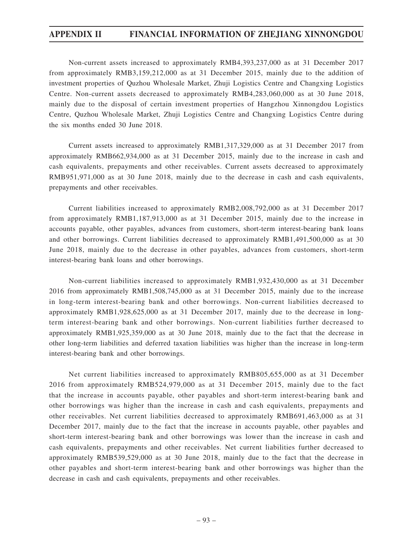Non-current assets increased to approximately RMB4,393,237,000 as at 31 December 2017 from approximately RMB3,159,212,000 as at 31 December 2015, mainly due to the addition of investment properties of Quzhou Wholesale Market, Zhuji Logistics Centre and Changxing Logistics Centre. Non-current assets decreased to approximately RMB4,283,060,000 as at 30 June 2018, mainly due to the disposal of certain investment properties of Hangzhou Xinnongdou Logistics Centre, Quzhou Wholesale Market, Zhuji Logistics Centre and Changxing Logistics Centre during the six months ended 30 June 2018.

Current assets increased to approximately RMB1,317,329,000 as at 31 December 2017 from approximately RMB662,934,000 as at 31 December 2015, mainly due to the increase in cash and cash equivalents, prepayments and other receivables. Current assets decreased to approximately RMB951,971,000 as at 30 June 2018, mainly due to the decrease in cash and cash equivalents, prepayments and other receivables.

Current liabilities increased to approximately RMB2,008,792,000 as at 31 December 2017 from approximately RMB1,187,913,000 as at 31 December 2015, mainly due to the increase in accounts payable, other payables, advances from customers, short-term interest-bearing bank loans and other borrowings. Current liabilities decreased to approximately RMB1,491,500,000 as at 30 June 2018, mainly due to the decrease in other payables, advances from customers, short-term interest-bearing bank loans and other borrowings.

Non-current liabilities increased to approximately RMB1,932,430,000 as at 31 December 2016 from approximately RMB1,508,745,000 as at 31 December 2015, mainly due to the increase in long-term interest-bearing bank and other borrowings. Non-current liabilities decreased to approximately RMB1,928,625,000 as at 31 December 2017, mainly due to the decrease in longterm interest-bearing bank and other borrowings. Non-current liabilities further decreased to approximately RMB1,925,359,000 as at 30 June 2018, mainly due to the fact that the decrease in other long-term liabilities and deferred taxation liabilities was higher than the increase in long-term interest-bearing bank and other borrowings.

Net current liabilities increased to approximately RMB805,655,000 as at 31 December 2016 from approximately RMB524,979,000 as at 31 December 2015, mainly due to the fact that the increase in accounts payable, other payables and short-term interest-bearing bank and other borrowings was higher than the increase in cash and cash equivalents, prepayments and other receivables. Net current liabilities decreased to approximately RMB691,463,000 as at 31 December 2017, mainly due to the fact that the increase in accounts payable, other payables and short-term interest-bearing bank and other borrowings was lower than the increase in cash and cash equivalents, prepayments and other receivables. Net current liabilities further decreased to approximately RMB539,529,000 as at 30 June 2018, mainly due to the fact that the decrease in other payables and short-term interest-bearing bank and other borrowings was higher than the decrease in cash and cash equivalents, prepayments and other receivables.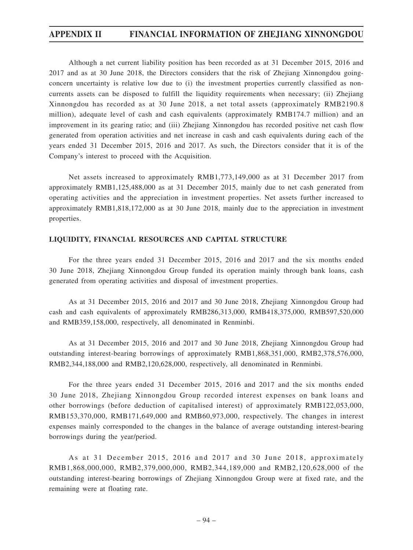Although a net current liability position has been recorded as at 31 December 2015, 2016 and 2017 and as at 30 June 2018, the Directors considers that the risk of Zhejiang Xinnongdou goingconcern uncertainty is relative low due to (i) the investment properties currently classified as noncurrents assets can be disposed to fulfill the liquidity requirements when necessary; (ii) Zhejiang Xinnongdou has recorded as at 30 June 2018, a net total assets (approximately RMB2190.8 million), adequate level of cash and cash equivalents (approximately RMB174.7 million) and an improvement in its gearing ratio; and (iii) Zhejiang Xinnongdou has recorded positive net cash flow generated from operation activities and net increase in cash and cash equivalents during each of the years ended 31 December 2015, 2016 and 2017. As such, the Directors consider that it is of the Company's interest to proceed with the Acquisition.

Net assets increased to approximately RMB1,773,149,000 as at 31 December 2017 from approximately RMB1,125,488,000 as at 31 December 2015, mainly due to net cash generated from operating activities and the appreciation in investment properties. Net assets further increased to approximately RMB1,818,172,000 as at 30 June 2018, mainly due to the appreciation in investment properties.

## **LIQUIDITY, FINANCIAL RESOURCES AND CAPITAL STRUCTURE**

For the three years ended 31 December 2015, 2016 and 2017 and the six months ended 30 June 2018, Zhejiang Xinnongdou Group funded its operation mainly through bank loans, cash generated from operating activities and disposal of investment properties.

As at 31 December 2015, 2016 and 2017 and 30 June 2018, Zhejiang Xinnongdou Group had cash and cash equivalents of approximately RMB286,313,000, RMB418,375,000, RMB597,520,000 and RMB359,158,000, respectively, all denominated in Renminbi.

As at 31 December 2015, 2016 and 2017 and 30 June 2018, Zhejiang Xinnongdou Group had outstanding interest-bearing borrowings of approximately RMB1,868,351,000, RMB2,378,576,000, RMB2,344,188,000 and RMB2,120,628,000, respectively, all denominated in Renminbi.

For the three years ended 31 December 2015, 2016 and 2017 and the six months ended 30 June 2018, Zhejiang Xinnongdou Group recorded interest expenses on bank loans and other borrowings (before deduction of capitalised interest) of approximately RMB122,053,000, RMB153,370,000, RMB171,649,000 and RMB60,973,000, respectively. The changes in interest expenses mainly corresponded to the changes in the balance of average outstanding interest-bearing borrowings during the year/period.

As at 31 December 2015, 2016 and 2017 and 30 June 2018, approximately RMB1,868,000,000, RMB2,379,000,000, RMB2,344,189,000 and RMB2,120,628,000 of the outstanding interest-bearing borrowings of Zhejiang Xinnongdou Group were at fixed rate, and the remaining were at floating rate.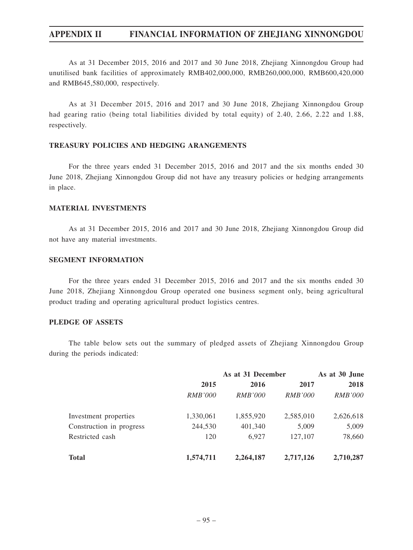As at 31 December 2015, 2016 and 2017 and 30 June 2018, Zhejiang Xinnongdou Group had unutilised bank facilities of approximately RMB402,000,000, RMB260,000,000, RMB600,420,000 and RMB645,580,000, respectively.

As at 31 December 2015, 2016 and 2017 and 30 June 2018, Zhejiang Xinnongdou Group had gearing ratio (being total liabilities divided by total equity) of 2.40, 2.66, 2.22 and 1.88, respectively.

## **TREASURY POLICIES AND HEDGING ARANGEMENTS**

For the three years ended 31 December 2015, 2016 and 2017 and the six months ended 30 June 2018, Zhejiang Xinnongdou Group did not have any treasury policies or hedging arrangements in place.

## **MATERIAL INVESTMENTS**

As at 31 December 2015, 2016 and 2017 and 30 June 2018, Zhejiang Xinnongdou Group did not have any material investments.

## **SEGMENT INFORMATION**

For the three years ended 31 December 2015, 2016 and 2017 and the six months ended 30 June 2018, Zhejiang Xinnongdou Group operated one business segment only, being agricultural product trading and operating agricultural product logistics centres.

## **PLEDGE OF ASSETS**

The table below sets out the summary of pledged assets of Zhejiang Xinnongdou Group during the periods indicated:

|                          | As at 31 December |                |                | As at 30 June  |  |
|--------------------------|-------------------|----------------|----------------|----------------|--|
|                          | 2015              | 2016           | 2017           | 2018           |  |
|                          | <i>RMB'000</i>    | <i>RMB'000</i> | <i>RMB'000</i> | <i>RMB'000</i> |  |
| Investment properties    | 1,330,061         | 1,855,920      | 2,585,010      | 2,626,618      |  |
| Construction in progress | 244,530           | 401,340        | 5,009          | 5,009          |  |
| Restricted cash          | 120               | 6.927          | 127,107        | 78,660         |  |
| <b>Total</b>             | 1,574,711         | 2,264,187      | 2,717,126      | 2,710,287      |  |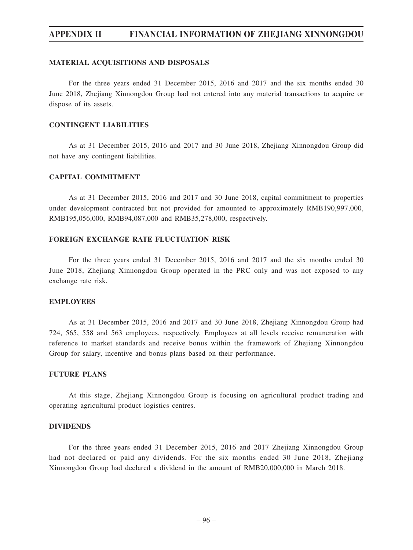## **MATERIAL ACQUISITIONS AND DISPOSALS**

For the three years ended 31 December 2015, 2016 and 2017 and the six months ended 30 June 2018, Zhejiang Xinnongdou Group had not entered into any material transactions to acquire or dispose of its assets.

## **CONTINGENT LIABILITIES**

As at 31 December 2015, 2016 and 2017 and 30 June 2018, Zhejiang Xinnongdou Group did not have any contingent liabilities.

## **CAPITAL COMMITMENT**

As at 31 December 2015, 2016 and 2017 and 30 June 2018, capital commitment to properties under development contracted but not provided for amounted to approximately RMB190,997,000, RMB195,056,000, RMB94,087,000 and RMB35,278,000, respectively.

## **FOREIGN EXCHANGE RATE FLUCTUATION RISK**

For the three years ended 31 December 2015, 2016 and 2017 and the six months ended 30 June 2018, Zhejiang Xinnongdou Group operated in the PRC only and was not exposed to any exchange rate risk.

## **EMPLOYEES**

As at 31 December 2015, 2016 and 2017 and 30 June 2018, Zhejiang Xinnongdou Group had 724, 565, 558 and 563 employees, respectively. Employees at all levels receive remuneration with reference to market standards and receive bonus within the framework of Zhejiang Xinnongdou Group for salary, incentive and bonus plans based on their performance.

## **FUTURE PLANS**

At this stage, Zhejiang Xinnongdou Group is focusing on agricultural product trading and operating agricultural product logistics centres.

#### **DIVIDENDS**

For the three years ended 31 December 2015, 2016 and 2017 Zhejiang Xinnongdou Group had not declared or paid any dividends. For the six months ended 30 June 2018, Zhejiang Xinnongdou Group had declared a dividend in the amount of RMB20,000,000 in March 2018.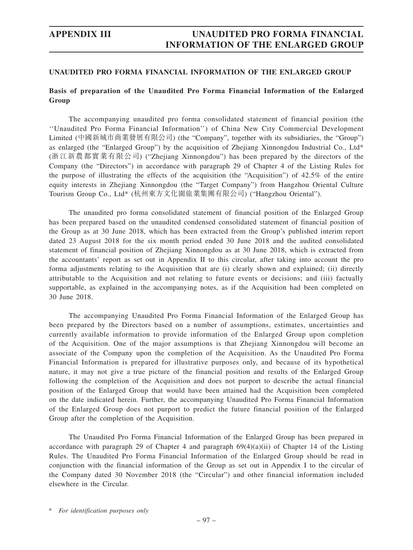## **Basis of preparation of the Unaudited Pro Forma Financial Information of the Enlarged Group**

The accompanying unaudited pro forma consolidated statement of financial position (the ''Unaudited Pro Forma Financial Information'') of China New City Commercial Development Limited (中國新城市商業發展有限公司) (the "Company", together with its subsidiaries, the "Group") as enlarged (the "Enlarged Group") by the acquisition of Zhejiang Xinnongdou Industrial Co., Ltd\* (浙江新農都實業有限公司) ("Zhejiang Xinnongdou") has been prepared by the directors of the Company (the "Directors") in accordance with paragraph 29 of Chapter 4 of the Listing Rules for the purpose of illustrating the effects of the acquisition (the "Acquisition") of 42.5% of the entire equity interests in Zhejiang Xinnongdou (the "Target Company") from Hangzhou Oriental Culture Tourism Group Co., Ltd\* (杭州東方文化園旅業集團有限公司) ("Hangzhou Oriental").

The unaudited pro forma consolidated statement of financial position of the Enlarged Group has been prepared based on the unaudited condensed consolidated statement of financial position of the Group as at 30 June 2018, which has been extracted from the Group's published interim report dated 23 August 2018 for the six month period ended 30 June 2018 and the audited consolidated statement of financial position of Zhejiang Xinnongdou as at 30 June 2018, which is extracted from the accountants' report as set out in Appendix II to this circular, after taking into account the pro forma adjustments relating to the Acquisition that are (i) clearly shown and explained; (ii) directly attributable to the Acquisition and not relating to future events or decisions; and (iii) factually supportable, as explained in the accompanying notes, as if the Acquisition had been completed on 30 June 2018.

The accompanying Unaudited Pro Forma Financial Information of the Enlarged Group has been prepared by the Directors based on a number of assumptions, estimates, uncertainties and currently available information to provide information of the Enlarged Group upon completion of the Acquisition. One of the major assumptions is that Zhejiang Xinnongdou will become an associate of the Company upon the completion of the Acquisition. As the Unaudited Pro Forma Financial Information is prepared for illustrative purposes only, and because of its hypothetical nature, it may not give a true picture of the financial position and results of the Enlarged Group following the completion of the Acquisition and does not purport to describe the actual financial position of the Enlarged Group that would have been attained had the Acquisition been completed on the date indicated herein. Further, the accompanying Unaudited Pro Forma Financial Information of the Enlarged Group does not purport to predict the future financial position of the Enlarged Group after the completion of the Acquisition.

The Unaudited Pro Forma Financial Information of the Enlarged Group has been prepared in accordance with paragraph 29 of Chapter 4 and paragraph  $69(4)(a)(ii)$  of Chapter 14 of the Listing Rules. The Unaudited Pro Forma Financial Information of the Enlarged Group should be read in conjunction with the financial information of the Group as set out in Appendix I to the circular of the Company dated 30 November 2018 (the "Circular") and other financial information included elsewhere in the Circular.

\* *For identification purposes only*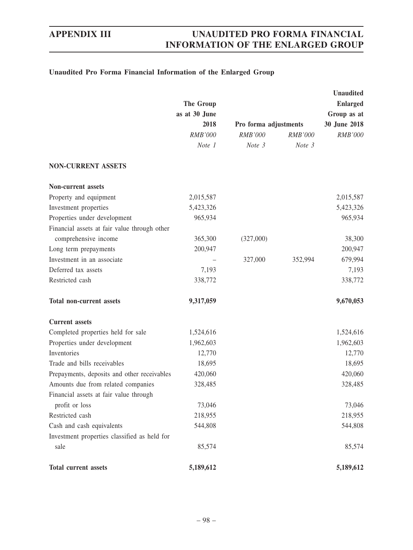## **Unaudited Pro Forma Financial Information of the Enlarged Group**

|                                              |                                                         |                       |                          | <b>Unaudited</b> |  |
|----------------------------------------------|---------------------------------------------------------|-----------------------|--------------------------|------------------|--|
|                                              | The Group<br>as at 30 June<br>2018<br>RMB'000<br>Note 1 |                       |                          | <b>Enlarged</b>  |  |
|                                              |                                                         |                       |                          | Group as at      |  |
|                                              |                                                         | Pro forma adjustments |                          | 30 June 2018     |  |
|                                              |                                                         | RMB'000<br>Note 3     | <b>RMB'000</b><br>Note 3 | RMB'000          |  |
|                                              |                                                         |                       |                          |                  |  |
| <b>NON-CURRENT ASSETS</b>                    |                                                         |                       |                          |                  |  |
| Non-current assets                           |                                                         |                       |                          |                  |  |
| Property and equipment                       | 2,015,587                                               |                       |                          | 2,015,587        |  |
| Investment properties                        | 5,423,326                                               |                       |                          | 5,423,326        |  |
| Properties under development                 | 965,934                                                 |                       |                          | 965,934          |  |
| Financial assets at fair value through other |                                                         |                       |                          |                  |  |
| comprehensive income                         | 365,300                                                 | (327,000)             |                          | 38,300           |  |
| Long term prepayments                        | 200,947                                                 |                       |                          | 200,947          |  |
| Investment in an associate                   |                                                         | 327,000               | 352,994                  | 679,994          |  |
| Deferred tax assets                          | 7,193                                                   |                       |                          | 7,193            |  |
| Restricted cash                              | 338,772                                                 |                       |                          | 338,772          |  |
| <b>Total non-current assets</b>              | 9,317,059                                               |                       |                          | 9,670,053        |  |
| <b>Current</b> assets                        |                                                         |                       |                          |                  |  |
| Completed properties held for sale           | 1,524,616                                               |                       |                          | 1,524,616        |  |
| Properties under development                 | 1,962,603                                               |                       |                          | 1,962,603        |  |
| Inventories                                  | 12,770                                                  |                       |                          | 12,770           |  |
| Trade and bills receivables                  | 18,695                                                  |                       |                          | 18,695           |  |
| Prepayments, deposits and other receivables  | 420,060                                                 |                       |                          | 420,060          |  |
| Amounts due from related companies           | 328,485                                                 |                       |                          | 328,485          |  |
| Financial assets at fair value through       |                                                         |                       |                          |                  |  |
| profit or loss                               | 73,046                                                  |                       |                          | 73,046           |  |
| Restricted cash                              | 218,955                                                 |                       |                          | 218,955          |  |
| Cash and cash equivalents                    | 544,808                                                 |                       |                          | 544,808          |  |
| Investment properties classified as held for |                                                         |                       |                          |                  |  |
| sale                                         | 85,574                                                  |                       |                          | 85,574           |  |
| <b>Total current assets</b>                  | 5,189,612                                               |                       |                          | 5,189,612        |  |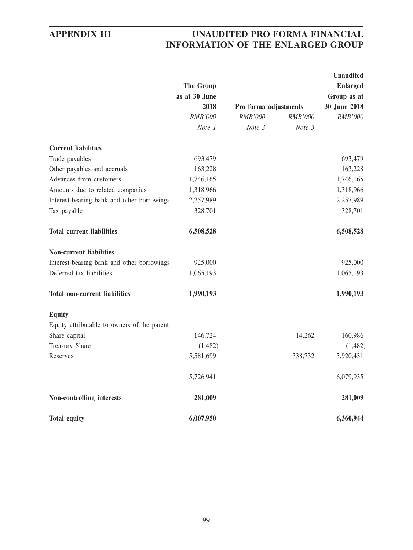|                                             |                                    |                       |         | <b>Unaudited</b> |
|---------------------------------------------|------------------------------------|-----------------------|---------|------------------|
|                                             | The Group<br>as at 30 June<br>2018 |                       |         | <b>Enlarged</b>  |
|                                             |                                    |                       |         | Group as at      |
|                                             |                                    | Pro forma adjustments |         | 30 June 2018     |
|                                             | RMB'000                            | <b>RMB'000</b>        | RMB'000 | RMB'000          |
|                                             | Note 1                             | Note 3                | Note 3  |                  |
| <b>Current liabilities</b>                  |                                    |                       |         |                  |
| Trade payables                              | 693,479                            |                       |         | 693,479          |
| Other payables and accruals                 | 163,228                            |                       |         | 163,228          |
| Advances from customers                     | 1,746,165                          |                       |         | 1,746,165        |
| Amounts due to related companies            | 1,318,966                          |                       |         | 1,318,966        |
| Interest-bearing bank and other borrowings  | 2,257,989                          |                       |         | 2,257,989        |
| Tax payable                                 | 328,701                            |                       |         | 328,701          |
| <b>Total current liabilities</b>            | 6,508,528                          |                       |         | 6,508,528        |
| <b>Non-current liabilities</b>              |                                    |                       |         |                  |
| Interest-bearing bank and other borrowings  | 925,000                            |                       |         | 925,000          |
| Deferred tax liabilities                    | 1,065,193                          |                       |         | 1,065,193        |
| <b>Total non-current liabilities</b>        | 1,990,193                          |                       |         | 1,990,193        |
| <b>Equity</b>                               |                                    |                       |         |                  |
| Equity attributable to owners of the parent |                                    |                       |         |                  |
| Share capital                               | 146,724                            |                       | 14,262  | 160,986          |
| <b>Treasury Share</b>                       | (1,482)                            |                       |         | (1, 482)         |
| Reserves                                    | 5,581,699                          |                       | 338,732 | 5,920,431        |
|                                             | 5,726,941                          |                       |         | 6,079,935        |
| Non-controlling interests                   | 281,009                            |                       |         | 281,009          |
| <b>Total equity</b>                         | 6,007,950                          |                       |         | 6,360,944        |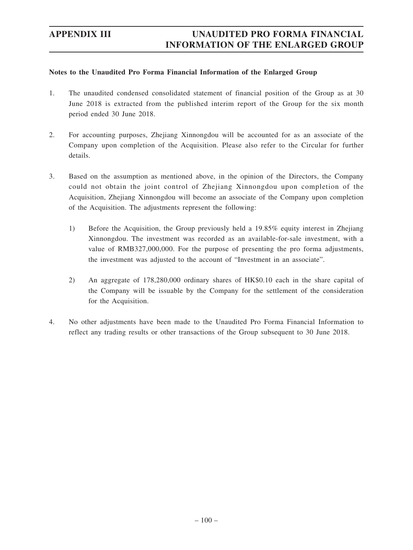## **Notes to the Unaudited Pro Forma Financial Information of the Enlarged Group**

- 1. The unaudited condensed consolidated statement of financial position of the Group as at 30 June 2018 is extracted from the published interim report of the Group for the six month period ended 30 June 2018.
- 2. For accounting purposes, Zhejiang Xinnongdou will be accounted for as an associate of the Company upon completion of the Acquisition. Please also refer to the Circular for further details.
- 3. Based on the assumption as mentioned above, in the opinion of the Directors, the Company could not obtain the joint control of Zhejiang Xinnongdou upon completion of the Acquisition, Zhejiang Xinnongdou will become an associate of the Company upon completion of the Acquisition. The adjustments represent the following:
	- 1) Before the Acquisition, the Group previously held a 19.85% equity interest in Zhejiang Xinnongdou. The investment was recorded as an available-for-sale investment, with a value of RMB327,000,000. For the purpose of presenting the pro forma adjustments, the investment was adjusted to the account of "Investment in an associate".
	- 2) An aggregate of 178,280,000 ordinary shares of HK\$0.10 each in the share capital of the Company will be issuable by the Company for the settlement of the consideration for the Acquisition.
- 4. No other adjustments have been made to the Unaudited Pro Forma Financial Information to reflect any trading results or other transactions of the Group subsequent to 30 June 2018.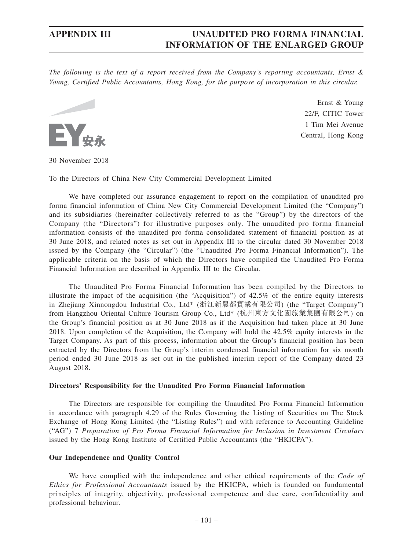*The following is the text of a report received from the Company's reporting accountants, Ernst & Young, Certified Public Accountants, Hong Kong, for the purpose of incorporation in this circular.*



Ernst & Young 22/F, CITIC Tower 1 Tim Mei Avenue Central, Hong Kong

30 November 2018

To the Directors of China New City Commercial Development Limited

We have completed our assurance engagement to report on the compilation of unaudited pro forma financial information of China New City Commercial Development Limited (the "Company") and its subsidiaries (hereinafter collectively referred to as the "Group") by the directors of the Company (the "Directors") for illustrative purposes only. The unaudited pro forma financial information consists of the unaudited pro forma consolidated statement of financial position as at 30 June 2018, and related notes as set out in Appendix III to the circular dated 30 November 2018 issued by the Company (the "Circular") (the "Unaudited Pro Forma Financial Information"). The applicable criteria on the basis of which the Directors have compiled the Unaudited Pro Forma Financial Information are described in Appendix III to the Circular.

The Unaudited Pro Forma Financial Information has been compiled by the Directors to illustrate the impact of the acquisition (the "Acquisition") of 42.5% of the entire equity interests in Zhejiang Xinnongdou Industrial Co., Ltd\* (浙江新農都實業有限公司) (the "Target Company") from Hangzhou Oriental Culture Tourism Group Co., Ltd\* (杭州東方文化園旅業集團有限公司) on the Group's financial position as at 30 June 2018 as if the Acquisition had taken place at 30 June 2018. Upon completion of the Acquisition, the Company will hold the 42.5% equity interests in the Target Company. As part of this process, information about the Group's financial position has been extracted by the Directors from the Group's interim condensed financial information for six month period ended 30 June 2018 as set out in the published interim report of the Company dated 23 August 2018.

## **Directors' Responsibility for the Unaudited Pro Forma Financial Information**

The Directors are responsible for compiling the Unaudited Pro Forma Financial Information in accordance with paragraph 4.29 of the Rules Governing the Listing of Securities on The Stock Exchange of Hong Kong Limited (the "Listing Rules") and with reference to Accounting Guideline ("AG") 7 *Preparation of Pro Forma Financial Information for Inclusion in Investment Circulars* issued by the Hong Kong Institute of Certified Public Accountants (the "HKICPA").

## **Our Independence and Quality Control**

We have complied with the independence and other ethical requirements of the *Code of Ethics for Professional Accountants* issued by the HKICPA, which is founded on fundamental principles of integrity, objectivity, professional competence and due care, confidentiality and professional behaviour.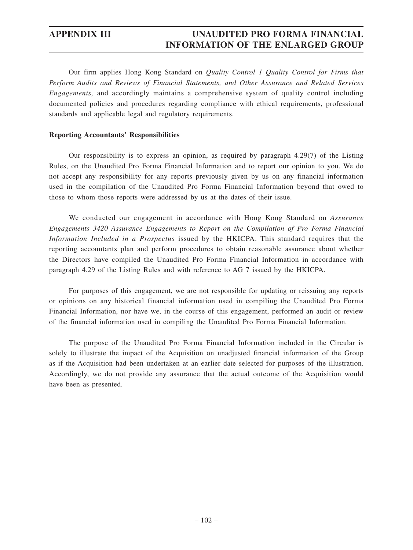Our firm applies Hong Kong Standard on *Quality Control 1 Quality Control for Firms that Perform Audits and Reviews of Financial Statements, and Other Assurance and Related Services Engagements,* and accordingly maintains a comprehensive system of quality control including documented policies and procedures regarding compliance with ethical requirements, professional standards and applicable legal and regulatory requirements.

## **Reporting Accountants' Responsibilities**

Our responsibility is to express an opinion, as required by paragraph 4.29(7) of the Listing Rules, on the Unaudited Pro Forma Financial Information and to report our opinion to you. We do not accept any responsibility for any reports previously given by us on any financial information used in the compilation of the Unaudited Pro Forma Financial Information beyond that owed to those to whom those reports were addressed by us at the dates of their issue.

We conducted our engagement in accordance with Hong Kong Standard on *Assurance Engagements 3420 Assurance Engagements to Report on the Compilation of Pro Forma Financial Information Included in a Prospectus* issued by the HKICPA. This standard requires that the reporting accountants plan and perform procedures to obtain reasonable assurance about whether the Directors have compiled the Unaudited Pro Forma Financial Information in accordance with paragraph 4.29 of the Listing Rules and with reference to AG 7 issued by the HKICPA.

For purposes of this engagement, we are not responsible for updating or reissuing any reports or opinions on any historical financial information used in compiling the Unaudited Pro Forma Financial Information, nor have we, in the course of this engagement, performed an audit or review of the financial information used in compiling the Unaudited Pro Forma Financial Information.

The purpose of the Unaudited Pro Forma Financial Information included in the Circular is solely to illustrate the impact of the Acquisition on unadjusted financial information of the Group as if the Acquisition had been undertaken at an earlier date selected for purposes of the illustration. Accordingly, we do not provide any assurance that the actual outcome of the Acquisition would have been as presented.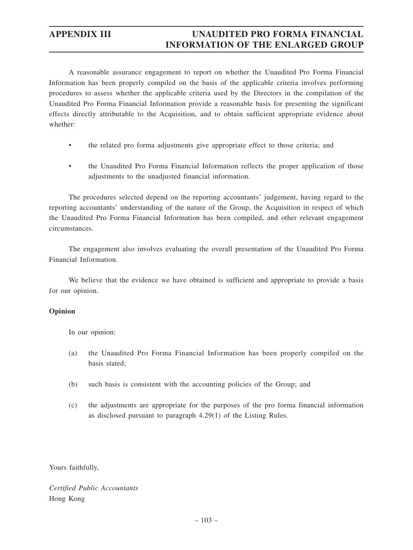A reasonable assurance engagement to report on whether the Unaudited Pro Forma Financial Information has been properly compiled on the basis of the applicable criteria involves performing procedures to assess whether the applicable criteria used by the Directors in the compilation of the Unaudited Pro Forma Financial Information provide a reasonable basis for presenting the significant effects directly attributable to the Acquisition, and to obtain sufficient appropriate evidence about whether:

- the related pro forma adjustments give appropriate effect to those criteria; and
- the Unaudited Pro Forma Financial Information reflects the proper application of those adjustments to the unadjusted financial information.

The procedures selected depend on the reporting accountants' judgement, having regard to the reporting accountants' understanding of the nature of the Group, the Acquisition in respect of which the Unaudited Pro Forma Financial Information has been compiled, and other relevant engagement circumstances.

The engagement also involves evaluating the overall presentation of the Unaudited Pro Forma Financial Information.

We believe that the evidence we have obtained is sufficient and appropriate to provide a basis for our opinion.

## **Opinion**

In our opinion:

- (a) the Unaudited Pro Forma Financial Information has been properly compiled on the basis stated;
- (b) such basis is consistent with the accounting policies of the Group; and
- (c) the adjustments are appropriate for the purposes of the pro forma financial information as disclosed pursuant to paragraph 4.29(1) of the Listing Rules.

Yours faithfully,

*Certified Public Accountants* Hong Kong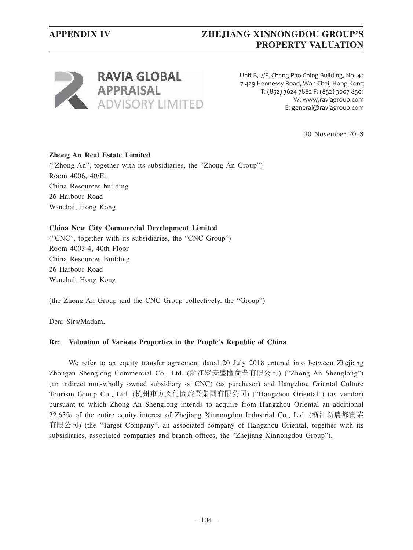# **APPENDIX IV ZHEJIANG XINNONGDOU GROUP'S PROPERTY VALUATION**



Unit B, 7/F, Chang Pao Ching Building, No. 42 7-429 Hennessy Road, Wan Chai, Hong Kong T: (852) 3624 7882 F: (852) 3007 8501 W: www.raviagroup.com E: general@raviagroup.com

30 November 2018

## **Zhong An Real Estate Limited**

("Zhong An", together with its subsidiaries, the "Zhong An Group") Room 4006, 40/F., China Resources building 26 Harbour Road Wanchai, Hong Kong

## **China New City Commercial Development Limited**

("CNC", together with its subsidiaries, the "CNC Group") Room 4003-4, 40th Floor China Resources Building 26 Harbour Road Wanchai, Hong Kong

(the Zhong An Group and the CNC Group collectively, the "Group")

Dear Sirs/Madam,

## **Re: Valuation of Various Properties in the People's Republic of China**

We refer to an equity transfer agreement dated 20 July 2018 entered into between Zhejiang Zhongan Shenglong Commercial Co., Ltd. (浙江眾安盛隆商業有限公司) ("Zhong An Shenglong") (an indirect non-wholly owned subsidiary of CNC) (as purchaser) and Hangzhou Oriental Culture Tourism Group Co., Ltd. (杭州東方文化園旅業集團有限公司) ("Hangzhou Oriental") (as vendor) pursuant to which Zhong An Shenglong intends to acquire from Hangzhou Oriental an additional 22.65% of the entire equity interest of Zhejiang Xinnongdou Industrial Co., Ltd. (浙江新農都實業 有限公司) (the "Target Company", an associated company of Hangzhou Oriental, together with its subsidiaries, associated companies and branch offices, the "Zhejiang Xinnongdou Group").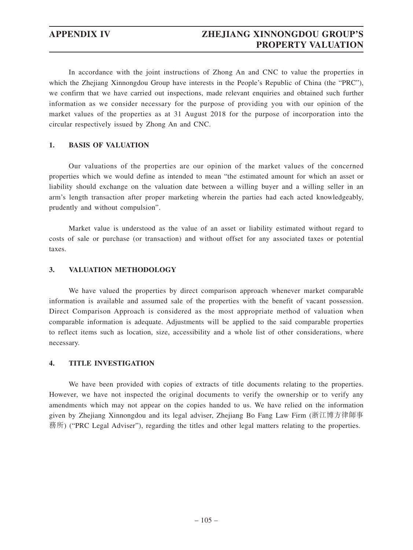In accordance with the joint instructions of Zhong An and CNC to value the properties in which the Zhejiang Xinnongdou Group have interests in the People's Republic of China (the "PRC"), we confirm that we have carried out inspections, made relevant enquiries and obtained such further information as we consider necessary for the purpose of providing you with our opinion of the market values of the properties as at 31 August 2018 for the purpose of incorporation into the circular respectively issued by Zhong An and CNC.

## **1. BASIS OF VALUATION**

Our valuations of the properties are our opinion of the market values of the concerned properties which we would define as intended to mean "the estimated amount for which an asset or liability should exchange on the valuation date between a willing buyer and a willing seller in an arm's length transaction after proper marketing wherein the parties had each acted knowledgeably, prudently and without compulsion".

Market value is understood as the value of an asset or liability estimated without regard to costs of sale or purchase (or transaction) and without offset for any associated taxes or potential taxes.

## **3. VALUATION METHODOLOGY**

We have valued the properties by direct comparison approach whenever market comparable information is available and assumed sale of the properties with the benefit of vacant possession. Direct Comparison Approach is considered as the most appropriate method of valuation when comparable information is adequate. Adjustments will be applied to the said comparable properties to reflect items such as location, size, accessibility and a whole list of other considerations, where necessary.

## **4. TITLE INVESTIGATION**

We have been provided with copies of extracts of title documents relating to the properties. However, we have not inspected the original documents to verify the ownership or to verify any amendments which may not appear on the copies handed to us. We have relied on the information given by Zhejiang Xinnongdou and its legal adviser, Zhejiang Bo Fang Law Firm (浙江博方律師事 務所) ("PRC Legal Adviser"), regarding the titles and other legal matters relating to the properties.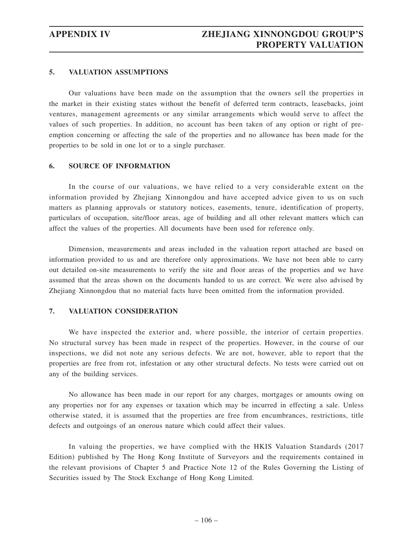## **5. VALUATION ASSUMPTIONS**

Our valuations have been made on the assumption that the owners sell the properties in the market in their existing states without the benefit of deferred term contracts, leasebacks, joint ventures, management agreements or any similar arrangements which would serve to affect the values of such properties. In addition, no account has been taken of any option or right of preemption concerning or affecting the sale of the properties and no allowance has been made for the properties to be sold in one lot or to a single purchaser.

## **6. SOURCE OF INFORMATION**

In the course of our valuations, we have relied to a very considerable extent on the information provided by Zhejiang Xinnongdou and have accepted advice given to us on such matters as planning approvals or statutory notices, easements, tenure, identification of property, particulars of occupation, site/floor areas, age of building and all other relevant matters which can affect the values of the properties. All documents have been used for reference only.

Dimension, measurements and areas included in the valuation report attached are based on information provided to us and are therefore only approximations. We have not been able to carry out detailed on-site measurements to verify the site and floor areas of the properties and we have assumed that the areas shown on the documents handed to us are correct. We were also advised by Zhejiang Xinnongdou that no material facts have been omitted from the information provided.

## **7. VALUATION CONSIDERATION**

We have inspected the exterior and, where possible, the interior of certain properties. No structural survey has been made in respect of the properties. However, in the course of our inspections, we did not note any serious defects. We are not, however, able to report that the properties are free from rot, infestation or any other structural defects. No tests were carried out on any of the building services.

No allowance has been made in our report for any charges, mortgages or amounts owing on any properties nor for any expenses or taxation which may be incurred in effecting a sale. Unless otherwise stated, it is assumed that the properties are free from encumbrances, restrictions, title defects and outgoings of an onerous nature which could affect their values.

In valuing the properties, we have complied with the HKIS Valuation Standards (2017 Edition) published by The Hong Kong Institute of Surveyors and the requirements contained in the relevant provisions of Chapter 5 and Practice Note 12 of the Rules Governing the Listing of Securities issued by The Stock Exchange of Hong Kong Limited.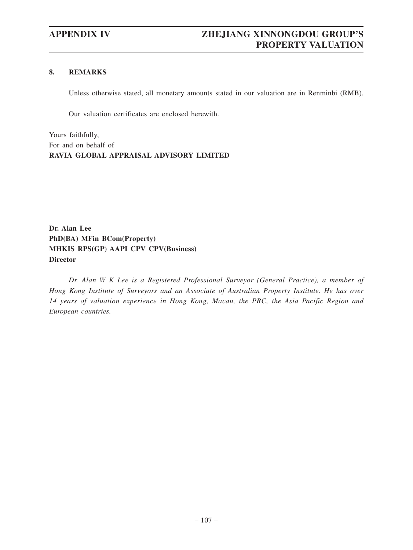### **8. REMARKS**

Unless otherwise stated, all monetary amounts stated in our valuation are in Renminbi (RMB).

Our valuation certificates are enclosed herewith.

Yours faithfully, For and on behalf of **RAVIA GLOBAL APPRAISAL ADVISORY LIMITED**

**Dr. Alan Lee PhD(BA) MFin BCom(Property) MHKIS RPS(GP) AAPI CPV CPV(Business) Director**

*Dr. Alan W K Lee is a Registered Professional Surveyor (General Practice), a member of Hong Kong Institute of Surveyors and an Associate of Australian Property Institute. He has over 14 years of valuation experience in Hong Kong, Macau, the PRC, the Asia Pacific Region and European countries.*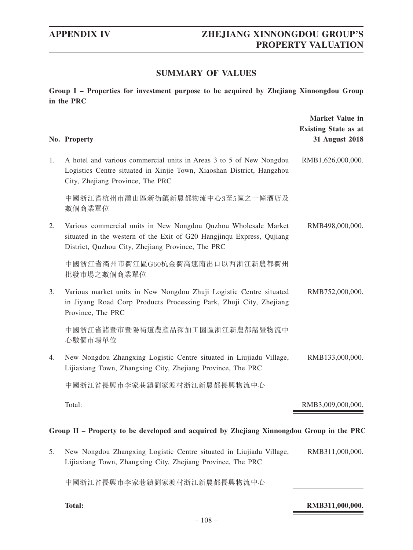# **SUMMARY OF VALUES**

**Group I – Properties for investment purpose to be acquired by Zhejiang Xinnongdou Group in the PRC**

|                                                                                          | No. Property                                                                                                                                                                                  | <b>Market Value in</b><br><b>Existing State as at</b><br>31 August 2018 |  |  |
|------------------------------------------------------------------------------------------|-----------------------------------------------------------------------------------------------------------------------------------------------------------------------------------------------|-------------------------------------------------------------------------|--|--|
| 1.                                                                                       | A hotel and various commercial units in Areas 3 to 5 of New Nongdou<br>Logistics Centre situated in Xinjie Town, Xiaoshan District, Hangzhou<br>City, Zhejiang Province, The PRC              | RMB1,626,000,000.                                                       |  |  |
|                                                                                          | 中國浙江省杭州市蕭山區新街鎮新農都物流中心3至5區之一幢酒店及<br>數個商業單位                                                                                                                                                     |                                                                         |  |  |
| 2.                                                                                       | Various commercial units in New Nongdou Quzhou Wholesale Market<br>situated in the western of the Exit of G20 Hangjinqu Express, Qujiang<br>District, Quzhou City, Zhejiang Province, The PRC | RMB498,000,000.                                                         |  |  |
|                                                                                          | 中國浙江省衢州市衢江區G60杭金衢高速南出口以西浙江新農都衢州<br>批發市場之數個商業單位                                                                                                                                                |                                                                         |  |  |
| 3.                                                                                       | Various market units in New Nongdou Zhuji Logistic Centre situated<br>in Jiyang Road Corp Products Processing Park, Zhuji City, Zhejiang<br>Province, The PRC                                 | RMB752,000,000.                                                         |  |  |
|                                                                                          | 中國浙江省諸暨市暨陽街道農產品深加工園區浙江新農都諸暨物流中<br>心數個市場單位                                                                                                                                                     |                                                                         |  |  |
| 4.                                                                                       | New Nongdou Zhangxing Logistic Centre situated in Liujiadu Village,<br>Lijiaxiang Town, Zhangxing City, Zhejiang Province, The PRC                                                            | RMB133,000,000.                                                         |  |  |
|                                                                                          | 中國浙江省長興市李家巷鎮劉家渡村浙江新農都長興物流中心                                                                                                                                                                   |                                                                         |  |  |
|                                                                                          | Total:                                                                                                                                                                                        | RMB3,009,000,000.                                                       |  |  |
| Group II – Property to be developed and acquired by Zhejiang Xinnongdou Group in the PRC |                                                                                                                                                                                               |                                                                         |  |  |
| 5.                                                                                       | New Nongdou Zhangxing Logistic Centre situated in Liujiadu Village,<br>Lijiaxiang Town, Zhangxing City, Zhejiang Province, The PRC                                                            | RMB311,000,000.                                                         |  |  |
|                                                                                          | 中國浙江省長興市李家巷鎮劉家渡村浙江新農都長興物流中心                                                                                                                                                                   |                                                                         |  |  |
|                                                                                          | <b>Total:</b>                                                                                                                                                                                 | RMB311,000,000.                                                         |  |  |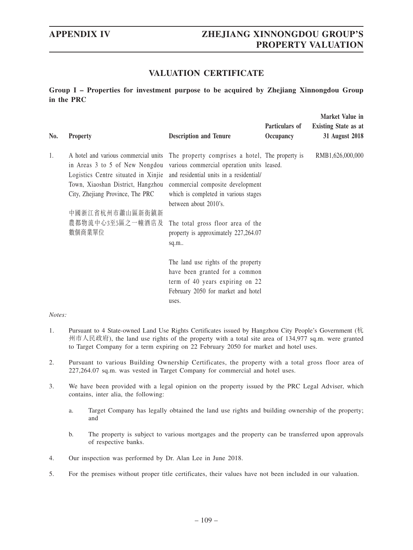**Market Value in** 

# **VALUATION CERTIFICATE**

**Group I – Properties for investment purpose to be acquired by Zhejiang Xinnongdou Group in the PRC**

| No. | <b>Property</b>                                                                                                                                                                                                                                                                                                                                                  | <b>Description and Tenure</b>                                                                                                          | Particulars of<br>Occupancy | <b>NIATKEL VAILLE III</b><br><b>Existing State as at</b><br>31 August 2018 |
|-----|------------------------------------------------------------------------------------------------------------------------------------------------------------------------------------------------------------------------------------------------------------------------------------------------------------------------------------------------------------------|----------------------------------------------------------------------------------------------------------------------------------------|-----------------------------|----------------------------------------------------------------------------|
| 1.  | A hotel and various commercial units The property comprises a hotel, The property is<br>in Areas 3 to 5 of New Nongdou various commercial operation units leased.<br>Logistics Centre situated in Xinjie and residential units in a residential/<br>Town, Xiaoshan District, Hangzhou<br>City, Zhejiang Province, The PRC<br>中國浙江省杭州市蕭山區新街鎮新<br>農都物流中心3至5區之一幢酒店及 | commercial composite development<br>which is completed in various stages<br>between about 2010's.<br>The total gross floor area of the |                             | RMB1,626,000,000                                                           |
|     | 數個商業單位                                                                                                                                                                                                                                                                                                                                                           | property is approximately 227,264.07<br>sq.m.                                                                                          |                             |                                                                            |
|     |                                                                                                                                                                                                                                                                                                                                                                  | The land use rights of the property                                                                                                    |                             |                                                                            |
|     |                                                                                                                                                                                                                                                                                                                                                                  | have been granted for a common                                                                                                         |                             |                                                                            |
|     |                                                                                                                                                                                                                                                                                                                                                                  | term of 40 years expiring on 22                                                                                                        |                             |                                                                            |
|     |                                                                                                                                                                                                                                                                                                                                                                  | February 2050 for market and hotel                                                                                                     |                             |                                                                            |
|     |                                                                                                                                                                                                                                                                                                                                                                  | uses.                                                                                                                                  |                             |                                                                            |

- 1. Pursuant to 4 State-owned Land Use Rights Certificates issued by Hangzhou City People's Government (杭 州市人民政府), the land use rights of the property with a total site area of 134,977 sq.m. were granted to Target Company for a term expiring on 22 February 2050 for market and hotel uses.
- 2. Pursuant to various Building Ownership Certificates, the property with a total gross floor area of 227,264.07 sq.m. was vested in Target Company for commercial and hotel uses.
- 3. We have been provided with a legal opinion on the property issued by the PRC Legal Adviser, which contains, inter alia, the following:
	- a. Target Company has legally obtained the land use rights and building ownership of the property; and
	- b. The property is subject to various mortgages and the property can be transferred upon approvals of respective banks.
- 4. Our inspection was performed by Dr. Alan Lee in June 2018.
- 5. For the premises without proper title certificates, their values have not been included in our valuation.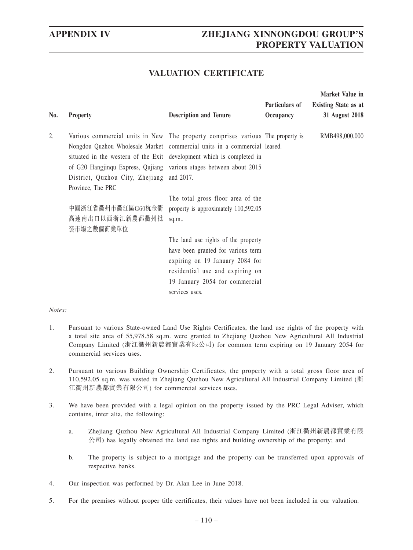# **VALUATION CERTIFICATE**

| No. | <b>Property</b>                                                                                                                                                                                                                                                                                                                                                              | <b>Description and Tenure</b>                                                                                                                                                                       | Particulars of<br>Occupancy | Market Value in<br><b>Existing State as at</b><br>31 August 2018 |
|-----|------------------------------------------------------------------------------------------------------------------------------------------------------------------------------------------------------------------------------------------------------------------------------------------------------------------------------------------------------------------------------|-----------------------------------------------------------------------------------------------------------------------------------------------------------------------------------------------------|-----------------------------|------------------------------------------------------------------|
| 2.  | Various commercial units in New The property comprises various The property is<br>Nongdou Quzhou Wholesale Market commercial units in a commercial leased.<br>situated in the western of the Exit development which is completed in<br>of G20 Hangjinqu Express, Qujiang various stages between about 2015<br>District, Quzhou City, Zhejiang and 2017.<br>Province, The PRC |                                                                                                                                                                                                     |                             | RMB498,000,000                                                   |
|     | 中國浙江省衢州市衢江區G60杭金衢<br>高速南出口以西浙江新農都衢州批<br>發市場之數個商業單位                                                                                                                                                                                                                                                                                                                           | The total gross floor area of the<br>property is approximately 110,592.05<br>sq.m                                                                                                                   |                             |                                                                  |
|     |                                                                                                                                                                                                                                                                                                                                                                              | The land use rights of the property<br>have been granted for various term<br>expiring on 19 January 2084 for<br>residential use and expiring on<br>19 January 2054 for commercial<br>services uses. |                             |                                                                  |

- 1. Pursuant to various State-owned Land Use Rights Certificates, the land use rights of the property with a total site area of 55,978.58 sq.m. were granted to Zhejiang Quzhou New Agricultural All Industrial Company Limited (浙江衢州新農都實業有限公司) for common term expiring on 19 January 2054 for commercial services uses.
- 2. Pursuant to various Building Ownership Certificates, the property with a total gross floor area of 110,592.05 sq.m. was vested in Zhejiang Quzhou New Agricultural All Industrial Company Limited (浙 江衢州新農都實業有限公司) for commercial services uses.
- 3. We have been provided with a legal opinion on the property issued by the PRC Legal Adviser, which contains, inter alia, the following:
	- a. Zhejiang Quzhou New Agricultural All Industrial Company Limited (浙江衢州新農都實業有限 公司) has legally obtained the land use rights and building ownership of the property; and
	- b. The property is subject to a mortgage and the property can be transferred upon approvals of respective banks.
- 4. Our inspection was performed by Dr. Alan Lee in June 2018.
- 5. For the premises without proper title certificates, their values have not been included in our valuation.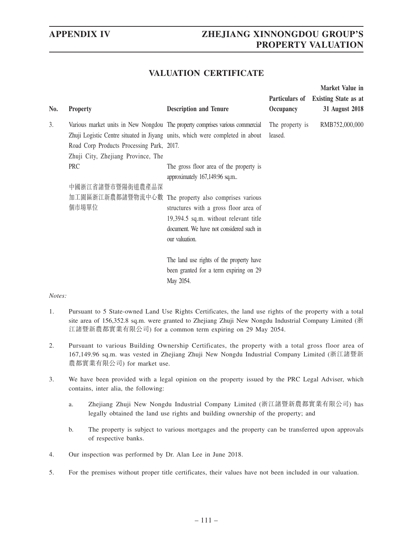**Market Value in** 

# **VALUATION CERTIFICATE**

| No. | <b>Property</b>                                                                 | <b>Description and Tenure</b>                                                                                                                                                                        | Occupancy                  | Particulars of Existing State as at<br>31 August 2018 |
|-----|---------------------------------------------------------------------------------|------------------------------------------------------------------------------------------------------------------------------------------------------------------------------------------------------|----------------------------|-------------------------------------------------------|
| 3.  | Road Corp Products Processing Park, 2017.<br>Zhuji City, Zhejiang Province, The | Various market units in New Nongdou The property comprises various commercial<br>Zhuji Logistic Centre situated in Jiyang units, which were completed in about                                       | The property is<br>leased. | RMB752,000,000                                        |
|     | <b>PRC</b><br>中國浙江省諸暨市暨陽街道農產品深                                                  | The gross floor area of the property is<br>approximately 167,149.96 sq.m                                                                                                                             |                            |                                                       |
|     | 個市場單位                                                                           | 加工園區浙江新農都諸暨物流中心數 The property also comprises various<br>structures with a gross floor area of<br>19,394.5 sq.m. without relevant title<br>document. We have not considered such in<br>our valuation. |                            |                                                       |
|     |                                                                                 | The land use rights of the property have<br>been granted for a term expiring on 29<br>May 2054.                                                                                                      |                            |                                                       |

- 1. Pursuant to 5 State-owned Land Use Rights Certificates, the land use rights of the property with a total site area of 156,352.8 sq.m. were granted to Zhejiang Zhuji New Nongdu Industrial Company Limited (浙 江諸暨新農都實業有限公司) for a common term expiring on 29 May 2054.
- 2. Pursuant to various Building Ownership Certificates, the property with a total gross floor area of 167,149.96 sq.m. was vested in Zhejiang Zhuji New Nongdu Industrial Company Limited (浙江諸暨新 農都實業有限公司) for market use.
- 3. We have been provided with a legal opinion on the property issued by the PRC Legal Adviser, which contains, inter alia, the following:
	- a. Zhejiang Zhuji New Nongdu Industrial Company Limited (浙江諸暨新農都實業有限公司) has legally obtained the land use rights and building ownership of the property; and
	- b. The property is subject to various mortgages and the property can be transferred upon approvals of respective banks.
- 4. Our inspection was performed by Dr. Alan Lee in June 2018.
- 5. For the premises without proper title certificates, their values have not been included in our valuation.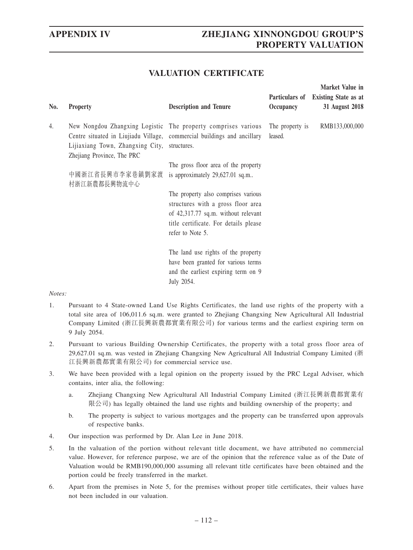**Market Value in** 

# **VALUATION CERTIFICATE**

| No. | <b>Property</b>                                                                                                                                       | <b>Description and Tenure</b>                                                                                                                                                 | Occupancy                  | Particulars of Existing State as at<br>31 August 2018 |
|-----|-------------------------------------------------------------------------------------------------------------------------------------------------------|-------------------------------------------------------------------------------------------------------------------------------------------------------------------------------|----------------------------|-------------------------------------------------------|
| 4.  | Centre situated in Liujiadu Village, commercial buildings and ancillary<br>Lijiaxiang Town, Zhangxing City, structures.<br>Zhejiang Province, The PRC | New Nongdou Zhangxing Logistic The property comprises various                                                                                                                 | The property is<br>leased. | RMB133,000,000                                        |
|     | 中國浙江省長興市李家巷鎮劉家渡<br>村浙江新農都長興物流中心                                                                                                                       | The gross floor area of the property<br>is approximately 29,627.01 sq.m                                                                                                       |                            |                                                       |
|     |                                                                                                                                                       | The property also comprises various<br>structures with a gross floor area<br>of 42,317.77 sq.m. without relevant<br>title certificate. For details please<br>refer to Note 5. |                            |                                                       |
|     |                                                                                                                                                       | The land use rights of the property<br>have been granted for various terms<br>and the earliest expiring term on 9<br>July 2054.                                               |                            |                                                       |

- 1. Pursuant to 4 State-owned Land Use Rights Certificates, the land use rights of the property with a total site area of 106,011.6 sq.m. were granted to Zhejiang Changxing New Agricultural All Industrial Company Limited (浙江長興新農都實業有限公司) for various terms and the earliest expiring term on 9 July 2054.
- 2. Pursuant to various Building Ownership Certificates, the property with a total gross floor area of 29,627.01 sq.m. was vested in Zhejiang Changxing New Agricultural All Industrial Company Limited (浙 江長興新農都實業有限公司) for commercial service use.
- 3. We have been provided with a legal opinion on the property issued by the PRC Legal Adviser, which contains, inter alia, the following:
	- a. Zhejiang Changxing New Agricultural All Industrial Company Limited (浙江長興新農都實業有 限公司) has legally obtained the land use rights and building ownership of the property; and
	- b. The property is subject to various mortgages and the property can be transferred upon approvals of respective banks.
- 4. Our inspection was performed by Dr. Alan Lee in June 2018.
- 5. In the valuation of the portion without relevant title document, we have attributed no commercial value. However, for reference purpose, we are of the opinion that the reference value as of the Date of Valuation would be RMB190,000,000 assuming all relevant title certificates have been obtained and the portion could be freely transferred in the market.
- 6. Apart from the premises in Note 5, for the premises without proper title certificates, their values have not been included in our valuation.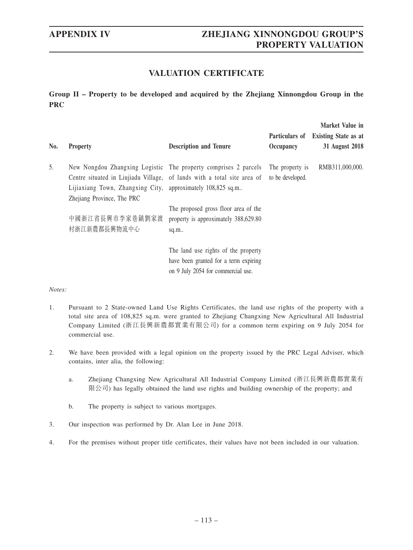# **VALUATION CERTIFICATE**

**Group II – Property to be developed and acquired by the Zhejiang Xinnongdou Group in the PRC**

| No. | <b>Property</b>                                                                           | <b>Description and Tenure</b>                                                                                                              | Particulars of<br>Occupancy         | Market Value in<br><b>Existing State as at</b><br>31 August 2018 |
|-----|-------------------------------------------------------------------------------------------|--------------------------------------------------------------------------------------------------------------------------------------------|-------------------------------------|------------------------------------------------------------------|
| 5.  | Lijiaxiang Town, Zhangxing City, approximately 108,825 sq.m<br>Zhejiang Province, The PRC | New Nongdou Zhangxing Logistic The property comprises 2 parcels<br>Centre situated in Liujiadu Village, of lands with a total site area of | The property is<br>to be developed. | RMB311,000,000.                                                  |
|     | 中國浙江省長興市李家巷鎮劉家渡<br>村浙江新農都長興物流中心                                                           | The proposed gross floor area of the<br>property is approximately 388,629.80<br>sq.m.                                                      |                                     |                                                                  |
|     |                                                                                           | The land use rights of the property<br>have been granted for a term expiring<br>on 9 July 2054 for commercial use.                         |                                     |                                                                  |

- 1. Pursuant to 2 State-owned Land Use Rights Certificates, the land use rights of the property with a total site area of 108,825 sq.m. were granted to Zhejiang Changxing New Agricultural All Industrial Company Limited (浙江長興新農都實業有限公司) for a common term expiring on 9 July 2054 for commercial use.
- 2. We have been provided with a legal opinion on the property issued by the PRC Legal Adviser, which contains, inter alia, the following:
	- a. Zhejiang Changxing New Agricultural All Industrial Company Limited (浙江長興新農都實業有 限公司) has legally obtained the land use rights and building ownership of the property; and
	- b. The property is subject to various mortgages.
- 3. Our inspection was performed by Dr. Alan Lee in June 2018.
- 4. For the premises without proper title certificates, their values have not been included in our valuation.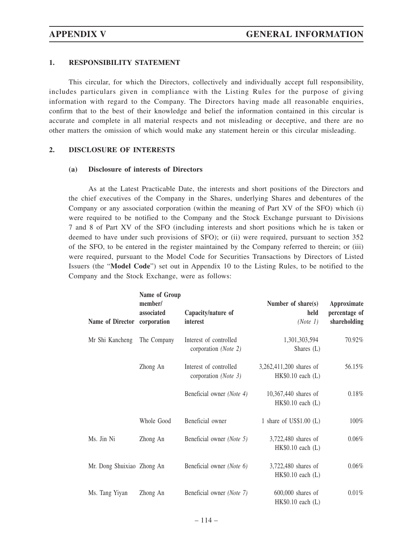## **1. RESPONSIBILITY STATEMENT**

This circular, for which the Directors, collectively and individually accept full responsibility, includes particulars given in compliance with the Listing Rules for the purpose of giving information with regard to the Company. The Directors having made all reasonable enquiries, confirm that to the best of their knowledge and belief the information contained in this circular is accurate and complete in all material respects and not misleading or deceptive, and there are no other matters the omission of which would make any statement herein or this circular misleading.

### **2. DISCLOSURE OF INTERESTS**

#### **(a) Disclosure of interests of Directors**

As at the Latest Practicable Date, the interests and short positions of the Directors and the chief executives of the Company in the Shares, underlying Shares and debentures of the Company or any associated corporation (within the meaning of Part XV of the SFO) which (i) were required to be notified to the Company and the Stock Exchange pursuant to Divisions 7 and 8 of Part XV of the SFO (including interests and short positions which he is taken or deemed to have under such provisions of SFO); or (ii) were required, pursuant to section 352 of the SFO, to be entered in the register maintained by the Company referred to therein; or (iii) were required, pursuant to the Model Code for Securities Transactions by Directors of Listed Issuers (the "**Model Code**") set out in Appendix 10 to the Listing Rules, to be notified to the Company and the Stock Exchange, were as follows:

| Name of Director corporation | Name of Group<br>member/<br>associated | Capacity/nature of<br>interest                 | Number of share(s)<br>held<br>(Note 1)          | Approximate<br>percentage of<br>shareholding |
|------------------------------|----------------------------------------|------------------------------------------------|-------------------------------------------------|----------------------------------------------|
| Mr Shi Kancheng              | The Company                            | Interest of controlled<br>corporation (Note 2) | 1,301,303,594<br>Shares (L)                     | 70.92%                                       |
|                              | Zhong An                               | Interest of controlled<br>corporation (Note 3) | 3,262,411,200 shares of<br>$HK$0.10$ each $(L)$ | 56.15%                                       |
|                              |                                        | Beneficial owner (Note 4)                      | 10,367,440 shares of<br>$HK$0.10$ each $(L)$    | 0.18%                                        |
|                              | Whole Good                             | Beneficial owner                               | 1 share of $US$1.00$ (L)                        | 100%                                         |
| Ms. Jin Ni                   | Zhong An                               | Beneficial owner (Note 5)                      | 3,722,480 shares of<br>$HK$0.10$ each $(L)$     | $0.06\%$                                     |
| Mr. Dong Shuixiao Zhong An   |                                        | Beneficial owner (Note 6)                      | 3,722,480 shares of<br>$HK$0.10$ each $(L)$     | 0.06%                                        |
| Ms. Tang Yiyan               | Zhong An                               | Beneficial owner (Note 7)                      | $600,000$ shares of<br>$HK\$0.10$ each $(L)$    | 0.01%                                        |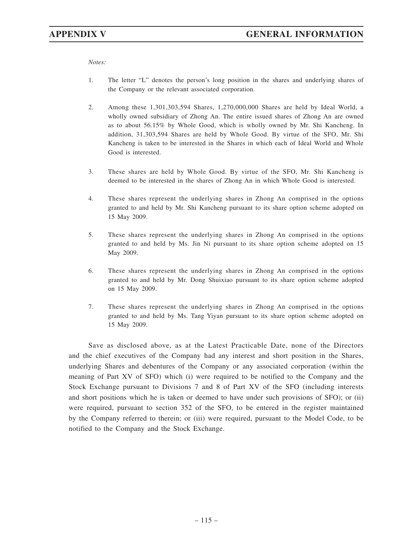*Notes:*

- 1. The letter "L" denotes the person's long position in the shares and underlying shares of the Company or the relevant associated corporation.
- 2. Among these 1,301,303,594 Shares, 1,270,000,000 Shares are held by Ideal World, a wholly owned subsidiary of Zhong An. The entire issued shares of Zhong An are owned as to about 56.15% by Whole Good, which is wholly owned by Mr. Shi Kancheng. In addition, 31,303,594 Shares are held by Whole Good. By virtue of the SFO, Mr. Shi Kancheng is taken to be interested in the Shares in which each of Ideal World and Whole Good is interested.
- 3. These shares are held by Whole Good. By virtue of the SFO, Mr. Shi Kancheng is deemed to be interested in the shares of Zhong An in which Whole Good is interested.
- 4. These shares represent the underlying shares in Zhong An comprised in the options granted to and held by Mr. Shi Kancheng pursuant to its share option scheme adopted on 15 May 2009.
- 5. These shares represent the underlying shares in Zhong An comprised in the options granted to and held by Ms. Jin Ni pursuant to its share option scheme adopted on 15 May 2009.
- 6. These shares represent the underlying shares in Zhong An comprised in the options granted to and held by Mr. Dong Shuixiao pursuant to its share option scheme adopted on 15 May 2009.
- 7. These shares represent the underlying shares in Zhong An comprised in the options granted to and held by Ms. Tang Yiyan pursuant to its share option scheme adopted on 15 May 2009.

Save as disclosed above, as at the Latest Practicable Date, none of the Directors and the chief executives of the Company had any interest and short position in the Shares, underlying Shares and debentures of the Company or any associated corporation (within the meaning of Part XV of SFO) which (i) were required to be notified to the Company and the Stock Exchange pursuant to Divisions 7 and 8 of Part XV of the SFO (including interests and short positions which he is taken or deemed to have under such provisions of SFO); or (ii) were required, pursuant to section 352 of the SFO, to be entered in the register maintained by the Company referred to therein; or (iii) were required, pursuant to the Model Code, to be notified to the Company and the Stock Exchange.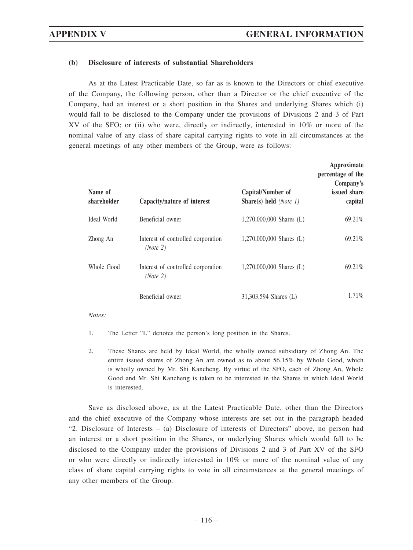## **(b) Disclosure of interests of substantial Shareholders**

As at the Latest Practicable Date, so far as is known to the Directors or chief executive of the Company, the following person, other than a Director or the chief executive of the Company, had an interest or a short position in the Shares and underlying Shares which (i) would fall to be disclosed to the Company under the provisions of Divisions 2 and 3 of Part XV of the SFO; or (ii) who were, directly or indirectly, interested in 10% or more of the nominal value of any class of share capital carrying rights to vote in all circumstances at the general meetings of any other members of the Group, were as follows:

| Name of<br>shareholder | Capacity/nature of interest                    | Capital/Number of<br>Share(s) held $(Note 1)$ | Approximate<br>percentage of the<br>Company's<br>issued share<br>capital |
|------------------------|------------------------------------------------|-----------------------------------------------|--------------------------------------------------------------------------|
| Ideal World            | Beneficial owner                               | $1,270,000,000$ Shares (L)                    | 69.21%                                                                   |
| Zhong An               | Interest of controlled corporation<br>(Note 2) | $1,270,000,000$ Shares (L)                    | 69.21%                                                                   |
| Whole Good             | Interest of controlled corporation<br>(Note 2) | $1,270,000,000$ Shares (L)                    | 69.21%                                                                   |
|                        | Beneficial owner                               | 31,303,594 Shares (L)                         | $1.71\%$                                                                 |

*Notes:*

- 1. The Letter "L" denotes the person's long position in the Shares.
- 2. These Shares are held by Ideal World, the wholly owned subsidiary of Zhong An. The entire issued shares of Zhong An are owned as to about 56.15% by Whole Good, which is wholly owned by Mr. Shi Kancheng. By virtue of the SFO, each of Zhong An, Whole Good and Mr. Shi Kancheng is taken to be interested in the Shares in which Ideal World is interested.

Save as disclosed above, as at the Latest Practicable Date, other than the Directors and the chief executive of the Company whose interests are set out in the paragraph headed "2. Disclosure of Interests – (a) Disclosure of interests of Directors" above, no person had an interest or a short position in the Shares, or underlying Shares which would fall to be disclosed to the Company under the provisions of Divisions 2 and 3 of Part XV of the SFO or who were directly or indirectly interested in 10% or more of the nominal value of any class of share capital carrying rights to vote in all circumstances at the general meetings of any other members of the Group.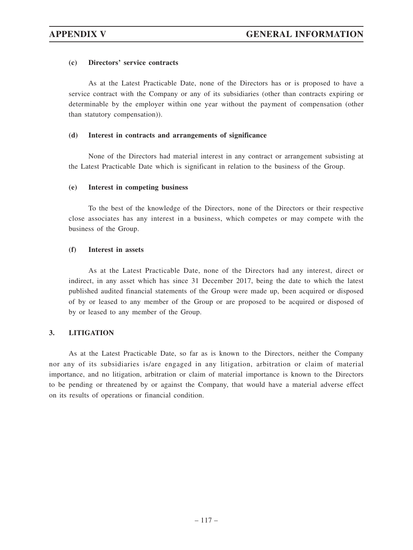### **(c) Directors' service contracts**

As at the Latest Practicable Date, none of the Directors has or is proposed to have a service contract with the Company or any of its subsidiaries (other than contracts expiring or determinable by the employer within one year without the payment of compensation (other than statutory compensation)).

### **(d) Interest in contracts and arrangements of significance**

None of the Directors had material interest in any contract or arrangement subsisting at the Latest Practicable Date which is significant in relation to the business of the Group.

### **(e) Interest in competing business**

To the best of the knowledge of the Directors, none of the Directors or their respective close associates has any interest in a business, which competes or may compete with the business of the Group.

### **(f) Interest in assets**

As at the Latest Practicable Date, none of the Directors had any interest, direct or indirect, in any asset which has since 31 December 2017, being the date to which the latest published audited financial statements of the Group were made up, been acquired or disposed of by or leased to any member of the Group or are proposed to be acquired or disposed of by or leased to any member of the Group.

## **3. LITIGATION**

As at the Latest Practicable Date, so far as is known to the Directors, neither the Company nor any of its subsidiaries is/are engaged in any litigation, arbitration or claim of material importance, and no litigation, arbitration or claim of material importance is known to the Directors to be pending or threatened by or against the Company, that would have a material adverse effect on its results of operations or financial condition.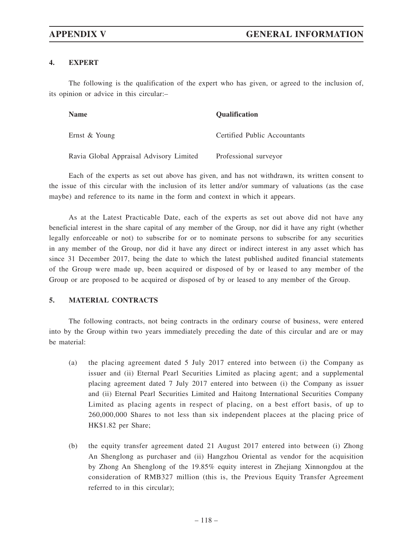## **4. EXPERT**

The following is the qualification of the expert who has given, or agreed to the inclusion of, its opinion or advice in this circular:–

| <b>Name</b>                             | <b>Qualification</b>         |
|-----------------------------------------|------------------------------|
| Ernst & Young                           | Certified Public Accountants |
| Ravia Global Appraisal Advisory Limited | Professional surveyor        |

Each of the experts as set out above has given, and has not withdrawn, its written consent to the issue of this circular with the inclusion of its letter and/or summary of valuations (as the case maybe) and reference to its name in the form and context in which it appears.

As at the Latest Practicable Date, each of the experts as set out above did not have any beneficial interest in the share capital of any member of the Group, nor did it have any right (whether legally enforceable or not) to subscribe for or to nominate persons to subscribe for any securities in any member of the Group, nor did it have any direct or indirect interest in any asset which has since 31 December 2017, being the date to which the latest published audited financial statements of the Group were made up, been acquired or disposed of by or leased to any member of the Group or are proposed to be acquired or disposed of by or leased to any member of the Group.

## **5. MATERIAL CONTRACTS**

The following contracts, not being contracts in the ordinary course of business, were entered into by the Group within two years immediately preceding the date of this circular and are or may be material:

- (a) the placing agreement dated 5 July 2017 entered into between (i) the Company as issuer and (ii) Eternal Pearl Securities Limited as placing agent; and a supplemental placing agreement dated 7 July 2017 entered into between (i) the Company as issuer and (ii) Eternal Pearl Securities Limited and Haitong International Securities Company Limited as placing agents in respect of placing, on a best effort basis, of up to 260,000,000 Shares to not less than six independent placees at the placing price of HK\$1.82 per Share;
- (b) the equity transfer agreement dated 21 August 2017 entered into between (i) Zhong An Shenglong as purchaser and (ii) Hangzhou Oriental as vendor for the acquisition by Zhong An Shenglong of the 19.85% equity interest in Zhejiang Xinnongdou at the consideration of RMB327 million (this is, the Previous Equity Transfer Agreement referred to in this circular);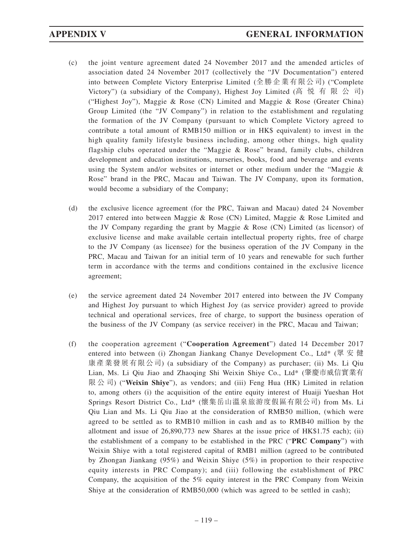- (c) the joint venture agreement dated 24 November 2017 and the amended articles of association dated 24 November 2017 (collectively the "JV Documentation") entered into between Complete Victory Enterprise Limited (全勝企業有限公司) ("Complete Victory") (a subsidiary of the Company), Highest Joy Limited (高悦有限公司) ("Highest Joy"), Maggie & Rose (CN) Limited and Maggie & Rose (Greater China) Group Limited (the "JV Company") in relation to the establishment and regulating the formation of the JV Company (pursuant to which Complete Victory agreed to contribute a total amount of RMB150 million or in HK\$ equivalent) to invest in the high quality family lifestyle business including, among other things, high quality flagship clubs operated under the "Maggie & Rose" brand, family clubs, children development and education institutions, nurseries, books, food and beverage and events using the System and/or websites or internet or other medium under the "Maggie & Rose" brand in the PRC, Macau and Taiwan. The JV Company, upon its formation, would become a subsidiary of the Company;
- (d) the exclusive licence agreement (for the PRC, Taiwan and Macau) dated 24 November 2017 entered into between Maggie & Rose (CN) Limited, Maggie & Rose Limited and the JV Company regarding the grant by Maggie & Rose (CN) Limited (as licensor) of exclusive license and make available certain intellectual property rights, free of charge to the JV Company (as licensee) for the business operation of the JV Company in the PRC, Macau and Taiwan for an initial term of 10 years and renewable for such further term in accordance with the terms and conditions contained in the exclusive licence agreement;
- (e) the service agreement dated 24 November 2017 entered into between the JV Company and Highest Joy pursuant to which Highest Joy (as service provider) agreed to provide technical and operational services, free of charge, to support the business operation of the business of the JV Company (as service receiver) in the PRC, Macau and Taiwan;
- (f) the cooperation agreement ("**Cooperation Agreement**") dated 14 December 2017 entered into between (i) Zhongan Jiankang Chanye Development Co., Ltd\* (眾 安 健 康產業發展有限公司) (a subsidiary of the Company) as purchaser; (ii) Ms. Li Qiu Lian, Ms. Li Qiu Jiao and Zhaoqing Shi Weixin Shiye Co., Ltd\* (肇慶市威信實業有 限公司) ("**Weixin Shiye**"), as vendors; and (iii) Feng Hua (HK) Limited in relation to, among others (i) the acquisition of the entire equity interest of Huaiji Yueshan Hot Springs Resort District Co., Ltd\* (懷集岳山溫泉旅游度假區有限公司) from Ms. Li Qiu Lian and Ms. Li Qiu Jiao at the consideration of RMB50 million, (which were agreed to be settled as to RMB10 million in cash and as to RMB40 million by the allotment and issue of 26,890,773 new Shares at the issue price of HK\$1.75 each); (ii) the establishment of a company to be established in the PRC ("**PRC Company**") with Weixin Shiye with a total registered capital of RMB1 million (agreed to be contributed by Zhongan Jiankang (95%) and Weixin Shiye (5%) in proportion to their respective equity interests in PRC Company); and (iii) following the establishment of PRC Company, the acquisition of the  $5\%$  equity interest in the PRC Company from Weixin Shiye at the consideration of RMB50,000 (which was agreed to be settled in cash);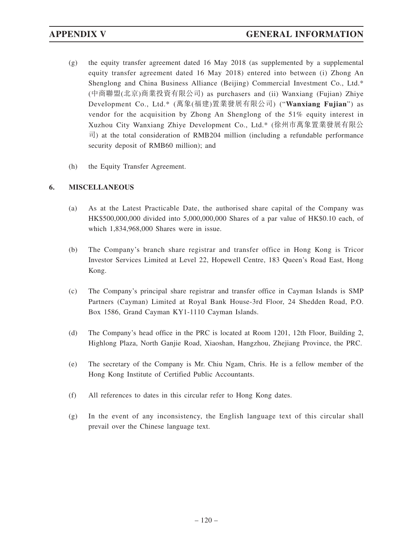- (g) the equity transfer agreement dated 16 May 2018 (as supplemented by a supplemental equity transfer agreement dated 16 May 2018) entered into between (i) Zhong An Shenglong and China Business Alliance (Beijing) Commercial Investment Co., Ltd.\* (中商聯盟(北京)商業投資有限公司) as purchasers and (ii) Wanxiang (Fujian) Zhiye Development Co., Ltd.\* (萬象(福建)置業發展有限公司) ("**Wanxiang Fujian**") as vendor for the acquisition by Zhong An Shenglong of the 51% equity interest in Xuzhou City Wanxiang Zhiye Development Co., Ltd.\* (徐州市萬象置業發展有限公 司) at the total consideration of RMB204 million (including a refundable performance security deposit of RMB60 million); and
- (h) the Equity Transfer Agreement.

# **6. MISCELLANEOUS**

- (a) As at the Latest Practicable Date, the authorised share capital of the Company was HK\$500,000,000 divided into 5,000,000,000 Shares of a par value of HK\$0.10 each, of which 1,834,968,000 Shares were in issue.
- (b) The Company's branch share registrar and transfer office in Hong Kong is Tricor Investor Services Limited at Level 22, Hopewell Centre, 183 Queen's Road East, Hong Kong.
- (c) The Company's principal share registrar and transfer office in Cayman Islands is SMP Partners (Cayman) Limited at Royal Bank House-3rd Floor, 24 Shedden Road, P.O. Box 1586, Grand Cayman KY1-1110 Cayman Islands.
- (d) The Company's head office in the PRC is located at Room 1201, 12th Floor, Building 2, Highlong Plaza, North Ganjie Road, Xiaoshan, Hangzhou, Zhejiang Province, the PRC.
- (e) The secretary of the Company is Mr. Chiu Ngam, Chris. He is a fellow member of the Hong Kong Institute of Certified Public Accountants.
- (f) All references to dates in this circular refer to Hong Kong dates.
- (g) In the event of any inconsistency, the English language text of this circular shall prevail over the Chinese language text.